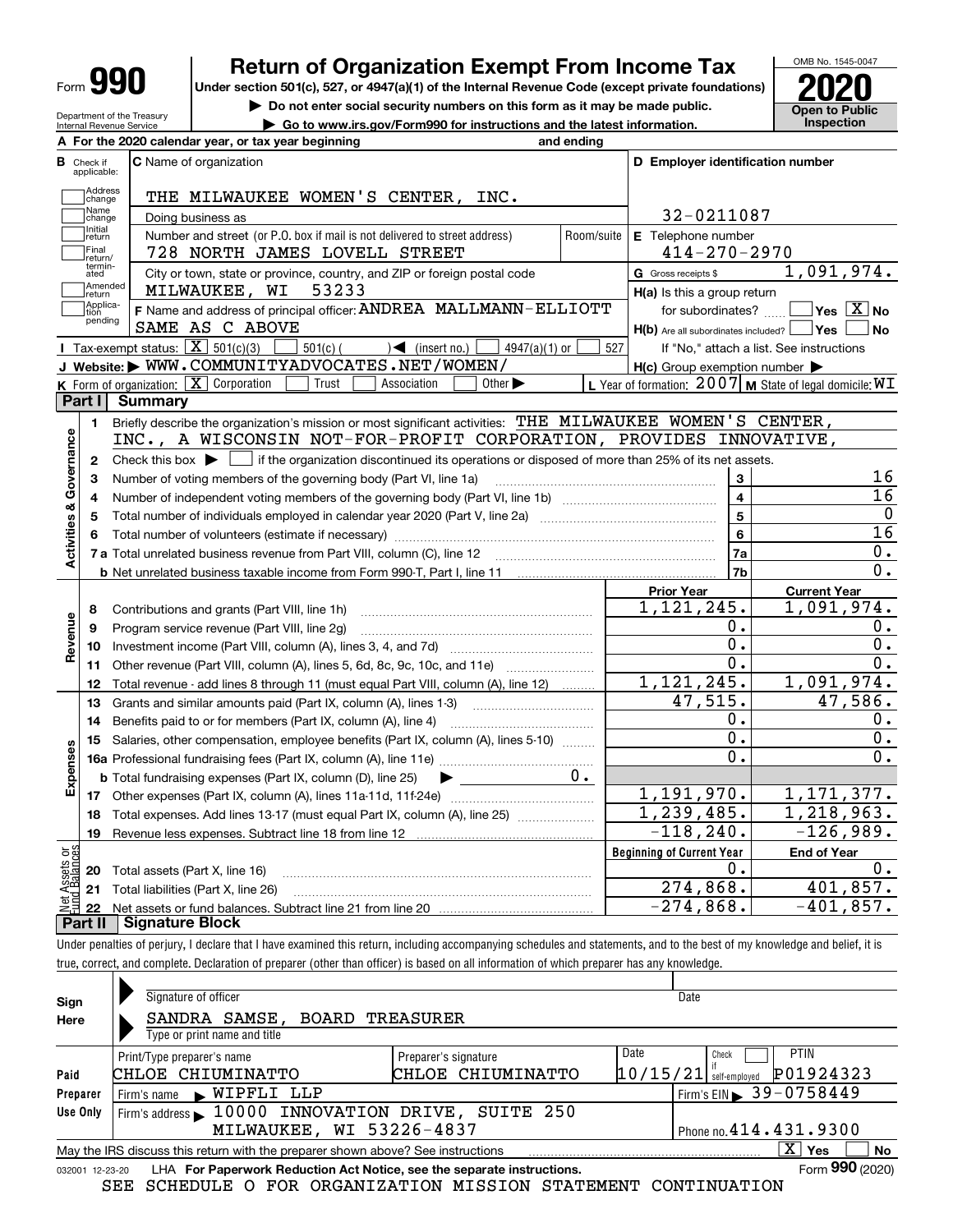| Form |
|------|
|------|

# **Return of Organization Exempt From Income Tax**

**Under section 501(c), 527, or 4947(a)(1) of the Internal Revenue Code (except private foundations) 2020**

**| Do not enter social security numbers on this form as it may be made public. | Go to www.irs.gov/Form990 for instructions and the latest information. Inspection**



Department of the Treasury Internal Revenue Service

|                         | A For the 2020 calendar year, or tax year beginning<br>and ending                                                                                   |                                                         |                                                           |
|-------------------------|-----------------------------------------------------------------------------------------------------------------------------------------------------|---------------------------------------------------------|-----------------------------------------------------------|
| Check if<br>applicable: | <b>C</b> Name of organization                                                                                                                       | D Employer identification number                        |                                                           |
| Address<br>change       | THE MILWAUKEE WOMEN'S CENTER, INC.                                                                                                                  |                                                         |                                                           |
| Name<br>change          | Doing business as                                                                                                                                   | 32-0211087                                              |                                                           |
| Initial<br>return       | Number and street (or P.O. box if mail is not delivered to street address)<br>Room/suite                                                            | E Telephone number                                      |                                                           |
| Final<br>return/        | 728 NORTH JAMES LOVELL STREET                                                                                                                       | $414 - 270 - 2970$                                      |                                                           |
| termin-<br>ated         | City or town, state or province, country, and ZIP or foreign postal code                                                                            | <b>G</b> Gross receipts \$                              | 1,091,974.                                                |
| Amended<br>return       | 53233<br>MILWAUKEE, WI                                                                                                                              | H(a) Is this a group return                             |                                                           |
| Applica-<br>tion        | F Name and address of principal officer: ANDREA MALLMANN-ELLIOTT                                                                                    | for subordinates?                                       | $\overline{\ }$ Yes $\overline{\phantom{X}}$ No           |
| pending                 | SAME AS C ABOVE                                                                                                                                     | $H(b)$ Are all subordinates included? $\Box$ Yes $\Box$ | No                                                        |
|                         | <b>I</b> Tax-exempt status: $\overline{X}$ 501(c)(3)<br>$501(c)$ (<br>$\leq$ (insert no.)<br>$4947(a)(1)$ or                                        | 527                                                     | If "No," attach a list. See instructions                  |
|                         | J Website: WWW.COMMUNITYADVOCATES.NET/WOMEN/                                                                                                        | $H(c)$ Group exemption number $\blacktriangleright$     |                                                           |
|                         | K Form of organization: $\boxed{\mathbf{X}}$ Corporation<br>Trust<br>Association<br>Other $\blacktriangleright$                                     |                                                         | L Year of formation: 2007   M State of legal domicile: WI |
| Part I                  | <b>Summary</b>                                                                                                                                      |                                                         |                                                           |
| 1.                      | Briefly describe the organization's mission or most significant activities: THE MILWAUKEE WOMEN'S CENTER,                                           |                                                         |                                                           |
|                         | INC., A WISCONSIN NOT-FOR-PROFIT CORPORATION, PROVIDES INNOVATIVE,                                                                                  |                                                         |                                                           |
| $\mathbf{2}$            | Check this box $\blacktriangleright$ $\blacksquare$ if the organization discontinued its operations or disposed of more than 25% of its net assets. |                                                         |                                                           |
| 3                       | Number of voting members of the governing body (Part VI, line 1a)                                                                                   | 3                                                       | 16                                                        |
| 4                       |                                                                                                                                                     | $\overline{4}$                                          | 16                                                        |
|                         |                                                                                                                                                     | 5                                                       | $\overline{0}$                                            |
|                         |                                                                                                                                                     | $6\phantom{a}$                                          | $\overline{16}$                                           |
|                         |                                                                                                                                                     | 7a                                                      | $0$ .                                                     |
|                         |                                                                                                                                                     | 7b                                                      | 0.                                                        |
|                         |                                                                                                                                                     | <b>Prior Year</b>                                       | <b>Current Year</b>                                       |
| 8                       | Contributions and grants (Part VIII, line 1h)                                                                                                       | 1,121,245.                                              | 1,091,974.                                                |
| 9                       | Program service revenue (Part VIII, line 2g)                                                                                                        | 0.                                                      | 0.                                                        |
| 10                      |                                                                                                                                                     | Ο.                                                      | 0.                                                        |
| 11                      | Other revenue (Part VIII, column (A), lines 5, 6d, 8c, 9c, 10c, and 11e)                                                                            | $\overline{0}$ .                                        | 0.                                                        |
| 12                      | Total revenue - add lines 8 through 11 (must equal Part VIII, column (A), line 12)                                                                  | 1, 121, 245.                                            | 1,091,974.                                                |
| 13                      | Grants and similar amounts paid (Part IX, column (A), lines 1-3) <i></i>                                                                            | 47,515.                                                 | 47,586.                                                   |
| 14                      | Benefits paid to or for members (Part IX, column (A), line 4)                                                                                       | 0.                                                      | 0.                                                        |
| 15                      | Salaries, other compensation, employee benefits (Part IX, column (A), lines 5-10)                                                                   | $\overline{0}$ .                                        | $\overline{0}$ .                                          |
|                         |                                                                                                                                                     | 0.                                                      | 0.                                                        |
|                         | υ.<br><b>b</b> Total fundraising expenses (Part IX, column (D), line 25)                                                                            |                                                         |                                                           |
|                         |                                                                                                                                                     | 1,191,970.                                              | 1, 171, 377.                                              |
| 18                      | Total expenses. Add lines 13-17 (must equal Part IX, column (A), line 25) <i></i>                                                                   | 1, 239, 485.                                            | 1, 218, 963.                                              |
| 19                      |                                                                                                                                                     | $-118, 240.$                                            | $-126,989.$                                               |
|                         |                                                                                                                                                     | <b>Beginning of Current Year</b>                        | <b>End of Year</b>                                        |
|                         |                                                                                                                                                     | Ο.                                                      | 0.                                                        |
|                         | <b>20</b> Total assets (Part X, line 16)                                                                                                            |                                                         |                                                           |
| ăğ                      | 21 Total liabilities (Part X, line 26)                                                                                                              | 274,868.                                                | 401,857.                                                  |

Under penalties of perjury, I declare that I have examined this return, including accompanying schedules and statements, and to the best of my knowledge and belief, it is true, correct, and complete. Declaration of preparer (other than officer) is based on all information of which preparer has any knowledge.

| Sign            | Signature of officer                                                            | Date                                  |
|-----------------|---------------------------------------------------------------------------------|---------------------------------------|
| Here            | SANDRA SAMSE, BOARD TREASURER<br>Type or print name and title                   |                                       |
|                 | Preparer's signature<br>Print/Type preparer's name                              | Date<br><b>PTIN</b><br>Check          |
| Paid            | CHLOE CHIUMINATTO<br>CHLOE CHIUMINATTO                                          | P01924323<br>$10/15/21$ self-employed |
| Preparer        | WIPFLI LLP<br>Firm's name                                                       | Firm's EIN 39-0758449                 |
| Use Only        | Firm's address 10000 INNOVATION DRIVE, SUITE 250                                |                                       |
|                 | MILWAUKEE, WI 53226-4837                                                        | Phone no. 414.431.9300                |
|                 | May the IRS discuss this return with the preparer shown above? See instructions | $\mathbf{X}$<br>Yes<br>No             |
| 032001 12-23-20 | LHA For Paperwork Reduction Act Notice, see the separate instructions.          | Form 990 (2020)                       |

SEE SCHEDULE O FOR ORGANIZATION MISSION STATEMENT CONTINUATION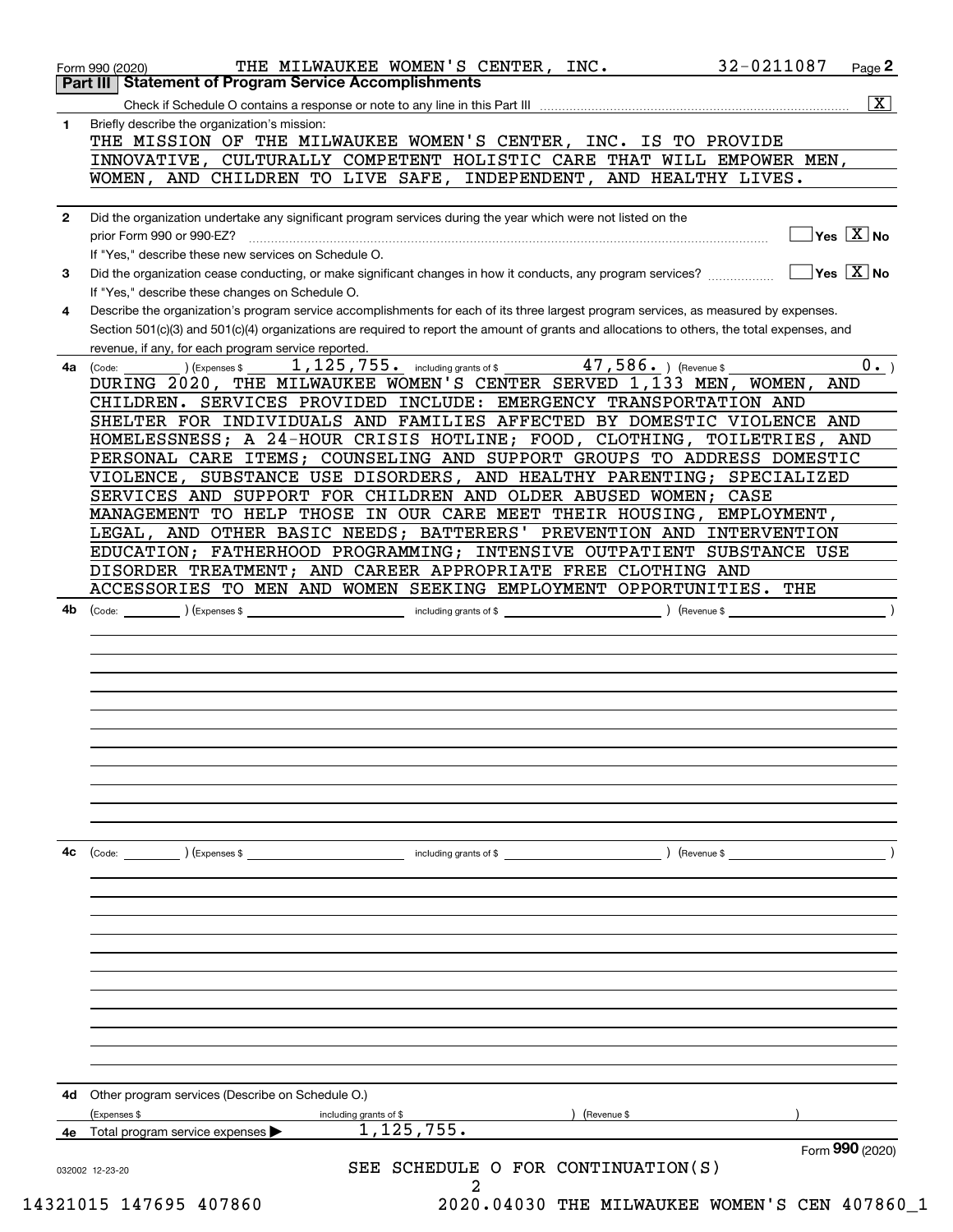|              | $\overline{\mathbf{x}}$                                                                                                                                            |
|--------------|--------------------------------------------------------------------------------------------------------------------------------------------------------------------|
| 1            | Briefly describe the organization's mission:<br>THE MISSION OF THE MILWAUKEE WOMEN'S CENTER, INC. IS TO PROVIDE                                                    |
|              | INNOVATIVE, CULTURALLY COMPETENT HOLISTIC CARE THAT WILL EMPOWER MEN,<br>WOMEN, AND CHILDREN TO LIVE SAFE, INDEPENDENT, AND HEALTHY LIVES.                         |
|              |                                                                                                                                                                    |
| $\mathbf{2}$ | Did the organization undertake any significant program services during the year which were not listed on the                                                       |
|              | $\sqrt{}$ Yes $\sqrt{X}$ No<br>prior Form 990 or 990-EZ?                                                                                                           |
|              | If "Yes," describe these new services on Schedule O.<br>$\overline{\mathsf{Yes} \mathbb{X}}$ No                                                                    |
| 3            | Did the organization cease conducting, or make significant changes in how it conducts, any program services?<br>If "Yes," describe these changes on Schedule O.    |
| 4            | Describe the organization's program service accomplishments for each of its three largest program services, as measured by expenses.                               |
|              | Section 501(c)(3) and 501(c)(4) organizations are required to report the amount of grants and allocations to others, the total expenses, and                       |
| 4a           | revenue, if any, for each program service reported.<br>$1,125,755$ $\cdot$ including grants of \$<br>47,586. ) (Revenue \$<br>$0 \cdot$ )<br>(Code:<br>Expenses \$ |
|              | DURING 2020, THE MILWAUKEE WOMEN'S CENTER SERVED 1,133 MEN, WOMEN,<br>AND                                                                                          |
|              | CHILDREN. SERVICES PROVIDED INCLUDE: EMERGENCY TRANSPORTATION AND                                                                                                  |
|              | SHELTER FOR INDIVIDUALS AND FAMILIES AFFECTED BY DOMESTIC VIOLENCE AND                                                                                             |
|              | HOMELESSNESS; A 24-HOUR CRISIS HOTLINE; FOOD, CLOTHING, TOILETRIES, AND                                                                                            |
|              | PERSONAL CARE ITEMS; COUNSELING AND SUPPORT GROUPS TO ADDRESS DOMESTIC                                                                                             |
|              | VIOLENCE, SUBSTANCE USE DISORDERS, AND HEALTHY PARENTING; SPECIALIZED<br>SERVICES AND SUPPORT FOR CHILDREN AND OLDER ABUSED WOMEN; CASE                            |
|              | MANAGEMENT TO HELP THOSE IN OUR CARE MEET THEIR HOUSING, EMPLOYMENT,                                                                                               |
|              | LEGAL, AND OTHER BASIC NEEDS; BATTERERS' PREVENTION AND INTERVENTION                                                                                               |
|              | EDUCATION; FATHERHOOD PROGRAMMING; INTENSIVE OUTPATIENT SUBSTANCE USE                                                                                              |
|              | DISORDER TREATMENT; AND CAREER APPROPRIATE FREE CLOTHING AND                                                                                                       |
|              | ACCESSORIES TO MEN AND WOMEN SEEKING EMPLOYMENT OPPORTUNITIES. THE                                                                                                 |
|              |                                                                                                                                                                    |
|              |                                                                                                                                                                    |
|              |                                                                                                                                                                    |
|              |                                                                                                                                                                    |
|              |                                                                                                                                                                    |
|              |                                                                                                                                                                    |
|              |                                                                                                                                                                    |
| 4c           | $\angle$ (Expenses \$<br>including grants of \$<br>) (Revenue \$<br>(Code:                                                                                         |
|              |                                                                                                                                                                    |
|              |                                                                                                                                                                    |
|              |                                                                                                                                                                    |
|              |                                                                                                                                                                    |
|              |                                                                                                                                                                    |
|              |                                                                                                                                                                    |
|              |                                                                                                                                                                    |
|              |                                                                                                                                                                    |
|              |                                                                                                                                                                    |
| 4d           | Other program services (Describe on Schedule O.)                                                                                                                   |
|              | (Expenses \$<br>(Revenue \$<br>including grants of \$                                                                                                              |
| 4e           | 1, 125, 755.<br>Total program service expenses<br>Form 990 (2020)                                                                                                  |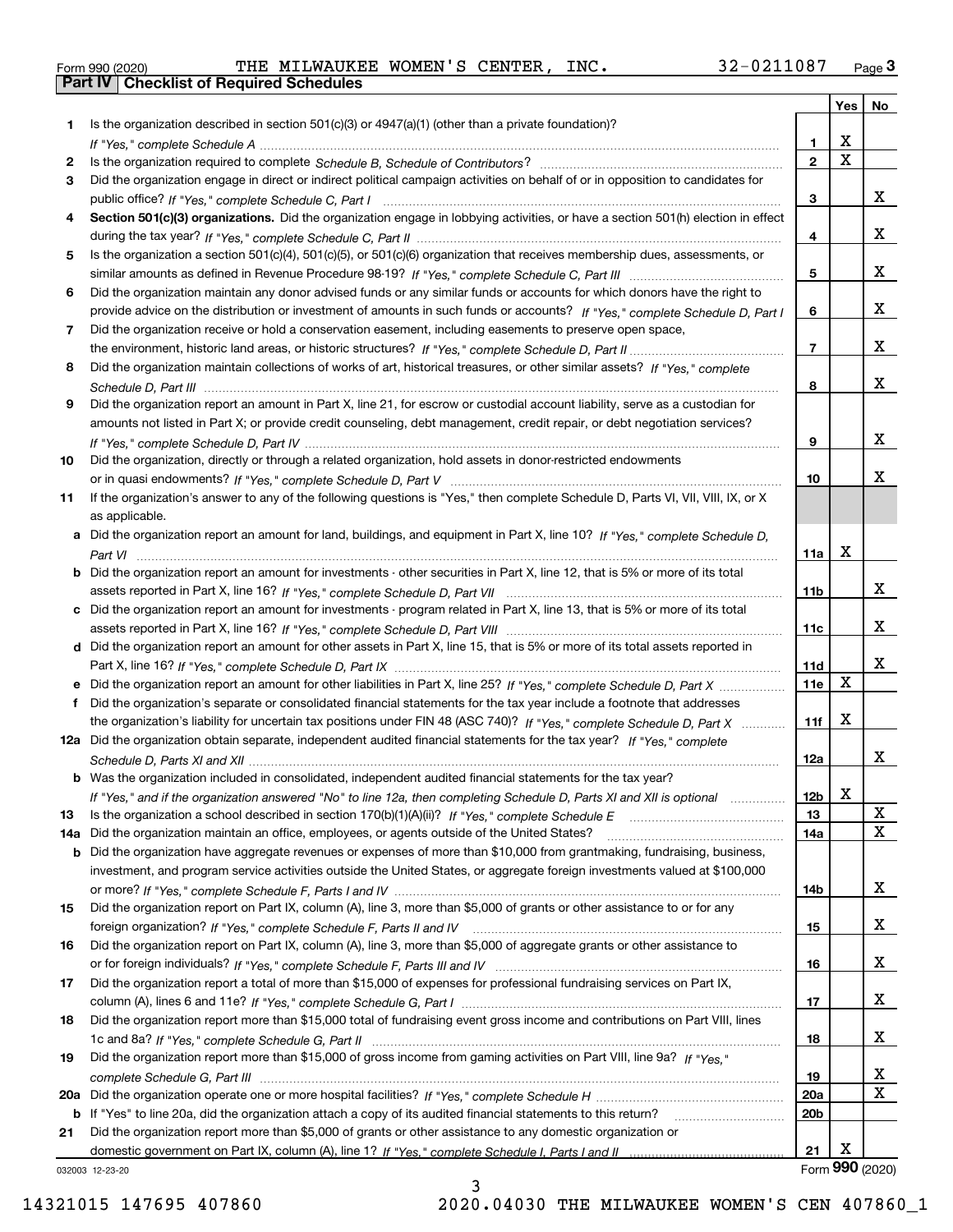|  | Form 990 (2020) |  |
|--|-----------------|--|

Form 990 (2020) THE MILWAUKEE WOMEN'S CENTER*,*INC. 32-0211087 <sub>Page</sub> 3<br>**Part IV | Checklist of Required Schedules** 

|     |                                                                                                                                       |                 | Yes         | No              |
|-----|---------------------------------------------------------------------------------------------------------------------------------------|-----------------|-------------|-----------------|
| 1.  | Is the organization described in section $501(c)(3)$ or $4947(a)(1)$ (other than a private foundation)?                               |                 |             |                 |
|     |                                                                                                                                       | 1.              | х           |                 |
| 2   |                                                                                                                                       | $\mathbf{2}$    | $\mathbf X$ |                 |
| 3   | Did the organization engage in direct or indirect political campaign activities on behalf of or in opposition to candidates for       |                 |             |                 |
|     |                                                                                                                                       | 3               |             | x               |
| 4   | Section 501(c)(3) organizations. Did the organization engage in lobbying activities, or have a section 501(h) election in effect      |                 |             |                 |
|     |                                                                                                                                       | 4               |             | x               |
| 5   | Is the organization a section 501(c)(4), 501(c)(5), or 501(c)(6) organization that receives membership dues, assessments, or          |                 |             |                 |
|     |                                                                                                                                       | 5               |             | x               |
| 6   | Did the organization maintain any donor advised funds or any similar funds or accounts for which donors have the right to             |                 |             | x               |
|     | provide advice on the distribution or investment of amounts in such funds or accounts? If "Yes," complete Schedule D, Part I          | 6               |             |                 |
| 7   | Did the organization receive or hold a conservation easement, including easements to preserve open space,                             | $\overline{7}$  |             | x               |
| 8   | Did the organization maintain collections of works of art, historical treasures, or other similar assets? If "Yes," complete          |                 |             |                 |
|     |                                                                                                                                       | 8               |             | x               |
| 9   | Did the organization report an amount in Part X, line 21, for escrow or custodial account liability, serve as a custodian for         |                 |             |                 |
|     | amounts not listed in Part X; or provide credit counseling, debt management, credit repair, or debt negotiation services?             |                 |             |                 |
|     |                                                                                                                                       | 9               |             | x               |
| 10  | Did the organization, directly or through a related organization, hold assets in donor-restricted endowments                          |                 |             |                 |
|     |                                                                                                                                       | 10              |             | x               |
| 11  | If the organization's answer to any of the following questions is "Yes," then complete Schedule D, Parts VI, VII, VIII, IX, or X      |                 |             |                 |
|     | as applicable.                                                                                                                        |                 |             |                 |
|     | a Did the organization report an amount for land, buildings, and equipment in Part X, line 10? If "Yes," complete Schedule D,         |                 |             |                 |
|     |                                                                                                                                       | 11a             | х           |                 |
|     | <b>b</b> Did the organization report an amount for investments - other securities in Part X, line 12, that is 5% or more of its total |                 |             |                 |
|     |                                                                                                                                       | 11b             |             | x               |
|     | c Did the organization report an amount for investments - program related in Part X, line 13, that is 5% or more of its total         |                 |             |                 |
|     |                                                                                                                                       | 11c             |             | х               |
|     | d Did the organization report an amount for other assets in Part X, line 15, that is 5% or more of its total assets reported in       |                 |             | х               |
|     | e Did the organization report an amount for other liabilities in Part X, line 25? If "Yes," complete Schedule D, Part X               | 11d<br>11e      | X           |                 |
| f   | Did the organization's separate or consolidated financial statements for the tax year include a footnote that addresses               |                 |             |                 |
|     | the organization's liability for uncertain tax positions under FIN 48 (ASC 740)? If "Yes," complete Schedule D, Part X                | 11f             | х           |                 |
|     | 12a Did the organization obtain separate, independent audited financial statements for the tax year? If "Yes," complete               |                 |             |                 |
|     |                                                                                                                                       | 12a             |             | x               |
|     | <b>b</b> Was the organization included in consolidated, independent audited financial statements for the tax year?                    |                 |             |                 |
|     | If "Yes," and if the organization answered "No" to line 12a, then completing Schedule D, Parts XI and XII is optional                 | 12b             | x           |                 |
| 13  |                                                                                                                                       | 13              |             | X               |
| 14a | Did the organization maintain an office, employees, or agents outside of the United States?                                           | 14a             |             | $\mathbf X$     |
|     | <b>b</b> Did the organization have aggregate revenues or expenses of more than \$10,000 from grantmaking, fundraising, business,      |                 |             |                 |
|     | investment, and program service activities outside the United States, or aggregate foreign investments valued at \$100,000            |                 |             |                 |
|     |                                                                                                                                       | 14b             |             | х               |
| 15  | Did the organization report on Part IX, column (A), line 3, more than \$5,000 of grants or other assistance to or for any             |                 |             |                 |
|     |                                                                                                                                       | 15              |             | x               |
| 16  | Did the organization report on Part IX, column (A), line 3, more than \$5,000 of aggregate grants or other assistance to              |                 |             | x               |
|     |                                                                                                                                       | 16              |             |                 |
| 17  | Did the organization report a total of more than \$15,000 of expenses for professional fundraising services on Part IX,               | 17              |             | x               |
| 18  | Did the organization report more than \$15,000 total of fundraising event gross income and contributions on Part VIII, lines          |                 |             |                 |
|     |                                                                                                                                       | 18              |             | x               |
| 19  | Did the organization report more than \$15,000 of gross income from gaming activities on Part VIII, line 9a? If "Yes."                |                 |             |                 |
|     |                                                                                                                                       | 19              |             | X               |
|     |                                                                                                                                       | <b>20a</b>      |             | $\mathbf X$     |
|     | b If "Yes" to line 20a, did the organization attach a copy of its audited financial statements to this return?                        | 20 <sub>b</sub> |             |                 |
| 21  | Did the organization report more than \$5,000 of grants or other assistance to any domestic organization or                           |                 |             |                 |
|     |                                                                                                                                       | 21              | х           |                 |
|     | 032003 12-23-20                                                                                                                       |                 |             | Form 990 (2020) |

032003 12-23-20

3 14321015 147695 407860 2020.04030 THE MILWAUKEE WOMEN'S CEN 407860\_1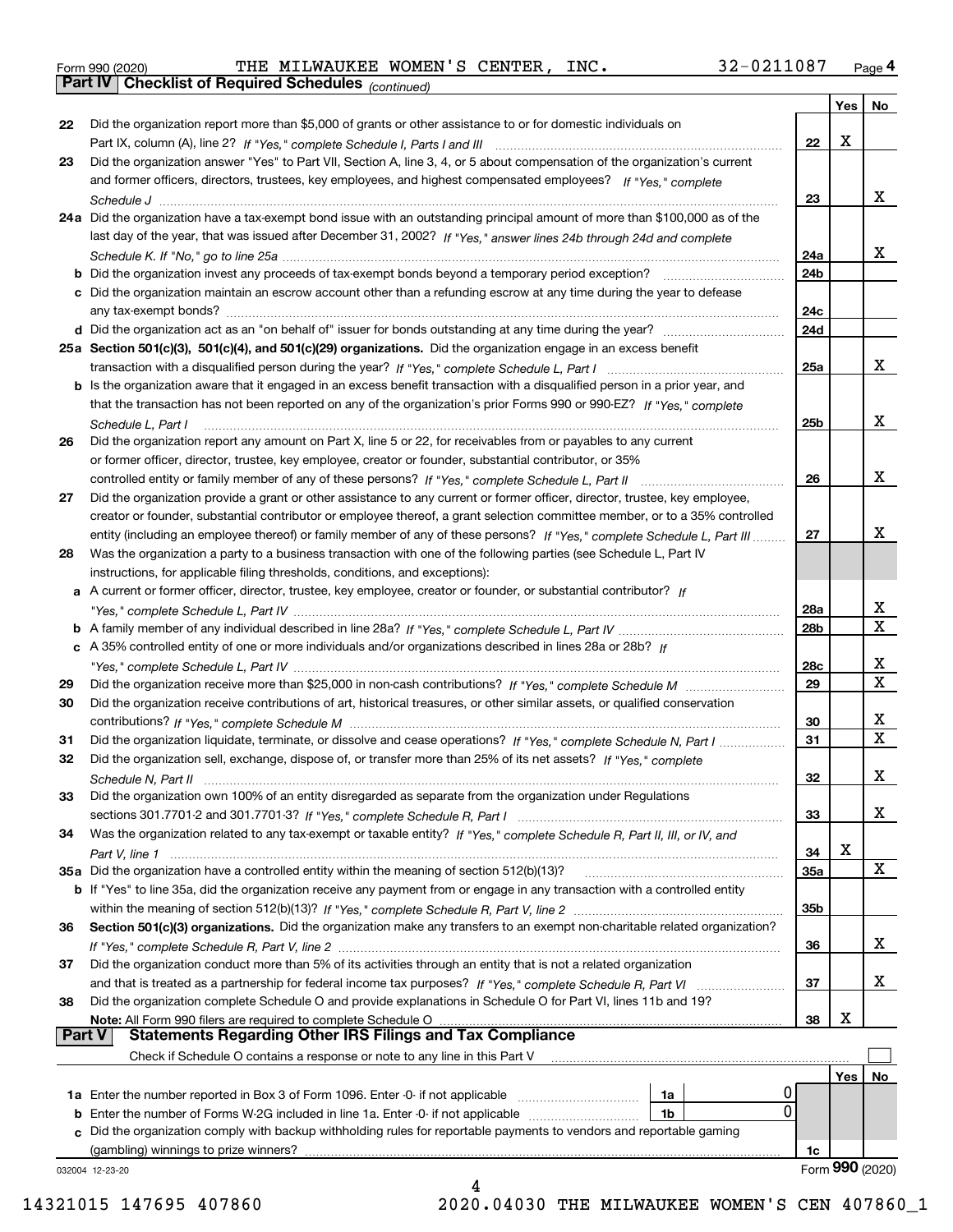|  | Form 990 (2020) |
|--|-----------------|
|  |                 |

Form 990 (2020) THE MILWAUKEE WOMEN'S CENTER,INC**.** 32-0211087 <sub>Page</sub> 4<br>**Part IV | Checklist of Required Schedules** <sub>(continued)</sub>

*(continued)*

|               |                                                                                                                                                                                                                                        |            | Yes | No                      |
|---------------|----------------------------------------------------------------------------------------------------------------------------------------------------------------------------------------------------------------------------------------|------------|-----|-------------------------|
| 22            | Did the organization report more than \$5,000 of grants or other assistance to or for domestic individuals on                                                                                                                          |            |     |                         |
|               |                                                                                                                                                                                                                                        | 22         | X   |                         |
| 23            | Did the organization answer "Yes" to Part VII, Section A, line 3, 4, or 5 about compensation of the organization's current                                                                                                             |            |     |                         |
|               | and former officers, directors, trustees, key employees, and highest compensated employees? If "Yes." complete                                                                                                                         |            |     |                         |
|               |                                                                                                                                                                                                                                        | 23         |     | x                       |
|               | 24a Did the organization have a tax-exempt bond issue with an outstanding principal amount of more than \$100,000 as of the                                                                                                            |            |     |                         |
|               | last day of the year, that was issued after December 31, 2002? If "Yes," answer lines 24b through 24d and complete                                                                                                                     |            |     |                         |
|               |                                                                                                                                                                                                                                        | 24a        |     | x                       |
|               | <b>b</b> Did the organization invest any proceeds of tax-exempt bonds beyond a temporary period exception?                                                                                                                             | 24b        |     |                         |
|               | c Did the organization maintain an escrow account other than a refunding escrow at any time during the year to defease                                                                                                                 |            |     |                         |
|               |                                                                                                                                                                                                                                        | 24c        |     |                         |
|               |                                                                                                                                                                                                                                        | 24d        |     |                         |
|               | 25a Section 501(c)(3), 501(c)(4), and 501(c)(29) organizations. Did the organization engage in an excess benefit                                                                                                                       |            |     |                         |
|               |                                                                                                                                                                                                                                        | 25a        |     | X                       |
|               | b Is the organization aware that it engaged in an excess benefit transaction with a disqualified person in a prior year, and                                                                                                           |            |     |                         |
|               | that the transaction has not been reported on any of the organization's prior Forms 990 or 990-EZ? If "Yes," complete                                                                                                                  |            |     |                         |
|               | Schedule L, Part I                                                                                                                                                                                                                     | 25b        |     | x                       |
| 26            | Did the organization report any amount on Part X, line 5 or 22, for receivables from or payables to any current                                                                                                                        |            |     |                         |
|               | or former officer, director, trustee, key employee, creator or founder, substantial contributor, or 35%                                                                                                                                |            |     |                         |
|               |                                                                                                                                                                                                                                        | 26         |     | x                       |
| 27            | Did the organization provide a grant or other assistance to any current or former officer, director, trustee, key employee,                                                                                                            |            |     |                         |
|               | creator or founder, substantial contributor or employee thereof, a grant selection committee member, or to a 35% controlled                                                                                                            |            |     |                         |
|               | entity (including an employee thereof) or family member of any of these persons? If "Yes," complete Schedule L, Part III                                                                                                               | 27         |     | x                       |
| 28            | Was the organization a party to a business transaction with one of the following parties (see Schedule L, Part IV                                                                                                                      |            |     |                         |
|               | instructions, for applicable filing thresholds, conditions, and exceptions):                                                                                                                                                           |            |     |                         |
|               | a A current or former officer, director, trustee, key employee, creator or founder, or substantial contributor? If                                                                                                                     |            |     |                         |
|               |                                                                                                                                                                                                                                        | 28a        |     | x                       |
|               |                                                                                                                                                                                                                                        | 28b        |     | $\overline{\text{x}}$   |
|               | c A 35% controlled entity of one or more individuals and/or organizations described in lines 28a or 28b? If                                                                                                                            |            |     |                         |
|               |                                                                                                                                                                                                                                        | 28c        |     | х                       |
| 29            |                                                                                                                                                                                                                                        | 29         |     | $\overline{\mathbf{x}}$ |
| 30            | Did the organization receive contributions of art, historical treasures, or other similar assets, or qualified conservation                                                                                                            |            |     |                         |
|               |                                                                                                                                                                                                                                        | 30         |     | x                       |
|               |                                                                                                                                                                                                                                        | 31         |     | $\overline{\mathbf{x}}$ |
| 31<br>32      | Did the organization liquidate, terminate, or dissolve and cease operations? If "Yes," complete Schedule N, Part I<br>Did the organization sell, exchange, dispose of, or transfer more than 25% of its net assets? If "Yes," complete |            |     |                         |
|               |                                                                                                                                                                                                                                        | 32         |     | х                       |
|               |                                                                                                                                                                                                                                        |            |     |                         |
|               | Did the organization own 100% of an entity disregarded as separate from the organization under Regulations                                                                                                                             |            |     | X                       |
|               |                                                                                                                                                                                                                                        | 33         |     |                         |
| 34            | Was the organization related to any tax-exempt or taxable entity? If "Yes," complete Schedule R, Part II, III, or IV, and                                                                                                              |            | X   |                         |
|               |                                                                                                                                                                                                                                        | 34         |     | X                       |
|               | 35a Did the organization have a controlled entity within the meaning of section 512(b)(13)?                                                                                                                                            | <b>35a</b> |     |                         |
|               | b If "Yes" to line 35a, did the organization receive any payment from or engage in any transaction with a controlled entity                                                                                                            |            |     |                         |
|               |                                                                                                                                                                                                                                        | 35b        |     |                         |
| 36            | Section 501(c)(3) organizations. Did the organization make any transfers to an exempt non-charitable related organization?                                                                                                             |            |     | x                       |
|               |                                                                                                                                                                                                                                        | 36         |     |                         |
| 37            | Did the organization conduct more than 5% of its activities through an entity that is not a related organization                                                                                                                       |            |     |                         |
|               | and that is treated as a partnership for federal income tax purposes? If "Yes," complete Schedule R, Part VI                                                                                                                           | 37         |     | x                       |
| 38            | Did the organization complete Schedule O and provide explanations in Schedule O for Part VI, lines 11b and 19?                                                                                                                         |            | х   |                         |
| <b>Part V</b> | Note: All Form 990 filers are required to complete Schedule O<br><b>Statements Regarding Other IRS Filings and Tax Compliance</b>                                                                                                      | 38         |     |                         |
|               | Check if Schedule O contains a response or note to any line in this Part V                                                                                                                                                             |            |     |                         |
|               |                                                                                                                                                                                                                                        |            |     |                         |
|               |                                                                                                                                                                                                                                        |            | Yes | No                      |
|               | 1a Enter the number reported in Box 3 of Form 1096. Enter -0- if not applicable<br>1a<br>0                                                                                                                                             |            |     |                         |
|               | <b>b</b> Enter the number of Forms W-2G included in line 1a. Enter -0- if not applicable<br>1b<br>c Did the organization comply with backup withholding rules for reportable payments to vendors and reportable gaming                 |            |     |                         |
|               | (gambling) winnings to prize winners?                                                                                                                                                                                                  |            |     |                         |
|               |                                                                                                                                                                                                                                        | 1c         |     | Form 990 (2020)         |
|               | 032004 12-23-20<br>4                                                                                                                                                                                                                   |            |     |                         |

14321015 147695 407860 2020.04030 THE MILWAUKEE WOMEN'S CEN 407860\_1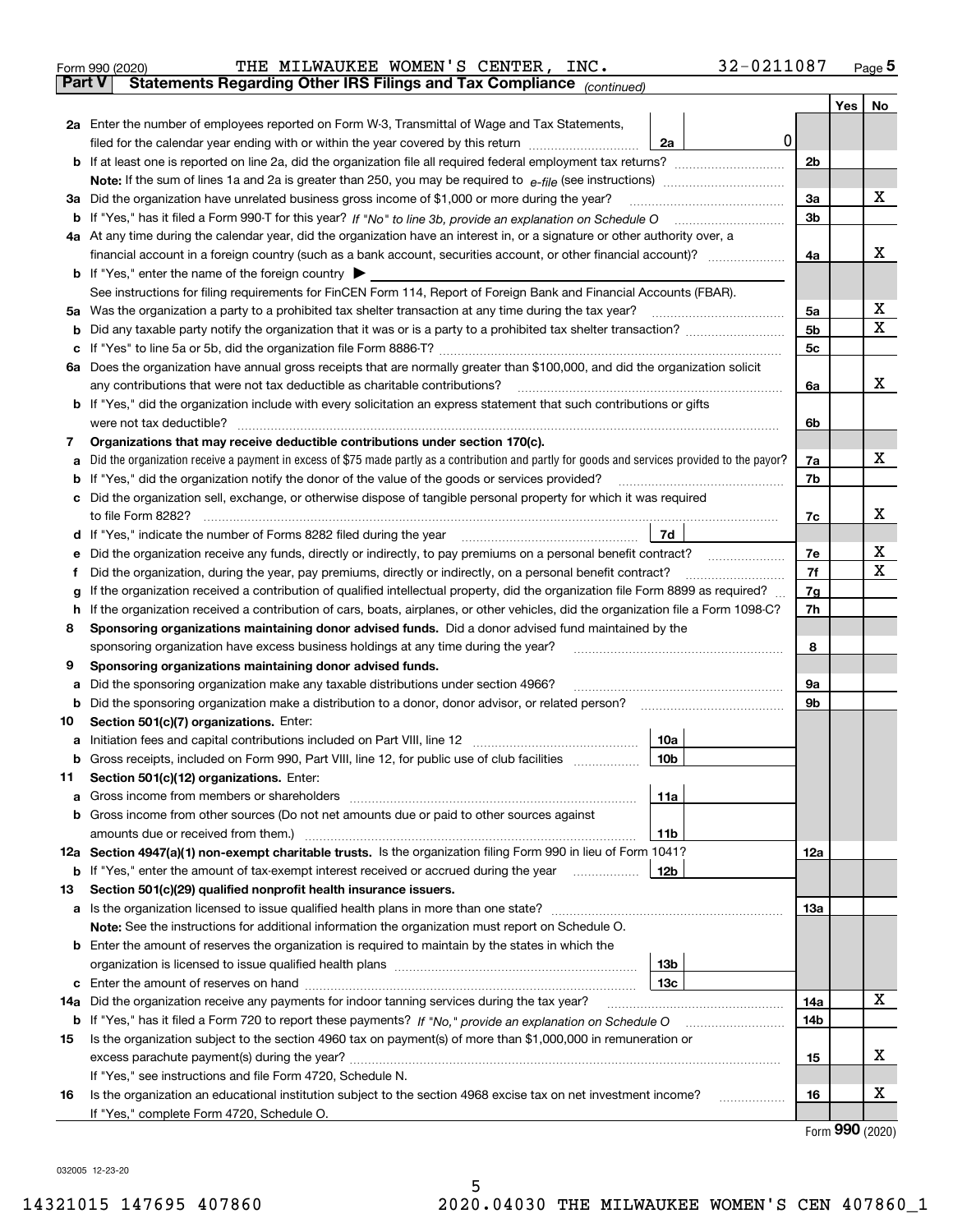| Form 990 (2020) |  | THE MILWAUKEE WOMEN'S CENTER, INC.                                                             |  | 32-0211087 | Page $5$ |
|-----------------|--|------------------------------------------------------------------------------------------------|--|------------|----------|
|                 |  | <b>Part V</b> Statements Regarding Other IRS Filings and Tax Compliance <sub>(continued)</sub> |  |            |          |

| Part V | Statements Regarding Other IRS Filings and Tax Compilance<br>(continued)                                                                                                                                   |     |     |    |
|--------|------------------------------------------------------------------------------------------------------------------------------------------------------------------------------------------------------------|-----|-----|----|
|        |                                                                                                                                                                                                            |     | Yes | No |
|        | 2a Enter the number of employees reported on Form W-3, Transmittal of Wage and Tax Statements,                                                                                                             |     |     |    |
|        | 0<br>filed for the calendar year ending with or within the year covered by this return <i>manumumumum</i><br>2a                                                                                            |     |     |    |
|        |                                                                                                                                                                                                            | 2b  |     |    |
|        |                                                                                                                                                                                                            |     |     |    |
|        | 3a Did the organization have unrelated business gross income of \$1,000 or more during the year?                                                                                                           | За  |     | х  |
|        | b If "Yes," has it filed a Form 990-T for this year? If "No" to line 3b, provide an explanation on Schedule O                                                                                              | 3b  |     |    |
|        | 4a At any time during the calendar year, did the organization have an interest in, or a signature or other authority over, a                                                                               |     |     | x  |
|        |                                                                                                                                                                                                            | 4a  |     |    |
|        | <b>b</b> If "Yes," enter the name of the foreign country                                                                                                                                                   |     |     |    |
|        | See instructions for filing requirements for FinCEN Form 114, Report of Foreign Bank and Financial Accounts (FBAR).                                                                                        |     |     | х  |
| 5а     | Was the organization a party to a prohibited tax shelter transaction at any time during the tax year?                                                                                                      | 5a  |     | x  |
|        |                                                                                                                                                                                                            | 5b  |     |    |
|        |                                                                                                                                                                                                            | 5c  |     |    |
| 6а     | Does the organization have annual gross receipts that are normally greater than \$100,000, and did the organization solicit<br>any contributions that were not tax deductible as charitable contributions? |     |     | x  |
|        |                                                                                                                                                                                                            | 6a  |     |    |
|        | <b>b</b> If "Yes," did the organization include with every solicitation an express statement that such contributions or gifts<br>were not tax deductible?                                                  | 6b  |     |    |
|        | Organizations that may receive deductible contributions under section 170(c).                                                                                                                              |     |     |    |
| 7      | Did the organization receive a payment in excess of \$75 made partly as a contribution and partly for goods and services provided to the payor?                                                            | 7a  |     | х  |
| а      | <b>b</b> If "Yes," did the organization notify the donor of the value of the goods or services provided?                                                                                                   | 7b  |     |    |
|        | c Did the organization sell, exchange, or otherwise dispose of tangible personal property for which it was required                                                                                        |     |     |    |
|        | to file Form 8282?                                                                                                                                                                                         | 7c  |     | х  |
|        | 7d<br>d If "Yes," indicate the number of Forms 8282 filed during the year                                                                                                                                  |     |     |    |
| е      | Did the organization receive any funds, directly or indirectly, to pay premiums on a personal benefit contract?                                                                                            | 7е  |     | х  |
| f      | Did the organization, during the year, pay premiums, directly or indirectly, on a personal benefit contract?                                                                                               | 7f  |     | х  |
| g      | If the organization received a contribution of qualified intellectual property, did the organization file Form 8899 as required?                                                                           | 7g  |     |    |
| h      | If the organization received a contribution of cars, boats, airplanes, or other vehicles, did the organization file a Form 1098-C?                                                                         | 7h  |     |    |
| 8      | Sponsoring organizations maintaining donor advised funds. Did a donor advised fund maintained by the                                                                                                       |     |     |    |
|        | sponsoring organization have excess business holdings at any time during the year?                                                                                                                         | 8   |     |    |
| 9      | Sponsoring organizations maintaining donor advised funds.                                                                                                                                                  |     |     |    |
| а      | Did the sponsoring organization make any taxable distributions under section 4966?                                                                                                                         | 9а  |     |    |
| b      | Did the sponsoring organization make a distribution to a donor, donor advisor, or related person?                                                                                                          | 9b  |     |    |
| 10     | Section 501(c)(7) organizations. Enter:                                                                                                                                                                    |     |     |    |
| a      | Initiation fees and capital contributions included on Part VIII, line 12<br>10a                                                                                                                            |     |     |    |
|        | b Gross receipts, included on Form 990, Part VIII, line 12, for public use of club facilities<br>10 <sub>b</sub>                                                                                           |     |     |    |
| 11.    | Section 501(c)(12) organizations. Enter:                                                                                                                                                                   |     |     |    |
|        | 11a                                                                                                                                                                                                        |     |     |    |
|        | <b>b</b> Gross income from other sources (Do not net amounts due or paid to other sources against                                                                                                          |     |     |    |
|        | 11b                                                                                                                                                                                                        |     |     |    |
|        | 12a Section 4947(a)(1) non-exempt charitable trusts. Is the organization filing Form 990 in lieu of Form 1041?                                                                                             | 12a |     |    |
|        | 12b<br><b>b</b> If "Yes," enter the amount of tax-exempt interest received or accrued during the year <i>manument</i> of                                                                                   |     |     |    |
| 13     | Section 501(c)(29) qualified nonprofit health insurance issuers.                                                                                                                                           |     |     |    |
|        | a Is the organization licensed to issue qualified health plans in more than one state?                                                                                                                     | 13a |     |    |
|        | Note: See the instructions for additional information the organization must report on Schedule O.                                                                                                          |     |     |    |
|        | <b>b</b> Enter the amount of reserves the organization is required to maintain by the states in which the                                                                                                  |     |     |    |
|        | 13 <sub>b</sub>                                                                                                                                                                                            |     |     |    |
|        | 13 <sub>c</sub>                                                                                                                                                                                            |     |     | x  |
| 14a    | Did the organization receive any payments for indoor tanning services during the tax year?                                                                                                                 | 14a |     |    |
|        |                                                                                                                                                                                                            | 14b |     |    |
| 15     | Is the organization subject to the section 4960 tax on payment(s) of more than \$1,000,000 in remuneration or                                                                                              |     |     | х  |
|        |                                                                                                                                                                                                            | 15  |     |    |
|        | If "Yes," see instructions and file Form 4720, Schedule N.                                                                                                                                                 | 16  |     | х  |
| 16     | Is the organization an educational institution subject to the section 4968 excise tax on net investment income?<br>If "Yes," complete Form 4720, Schedule O.                                               |     |     |    |
|        |                                                                                                                                                                                                            |     |     |    |

Form (2020) **990**

032005 12-23-20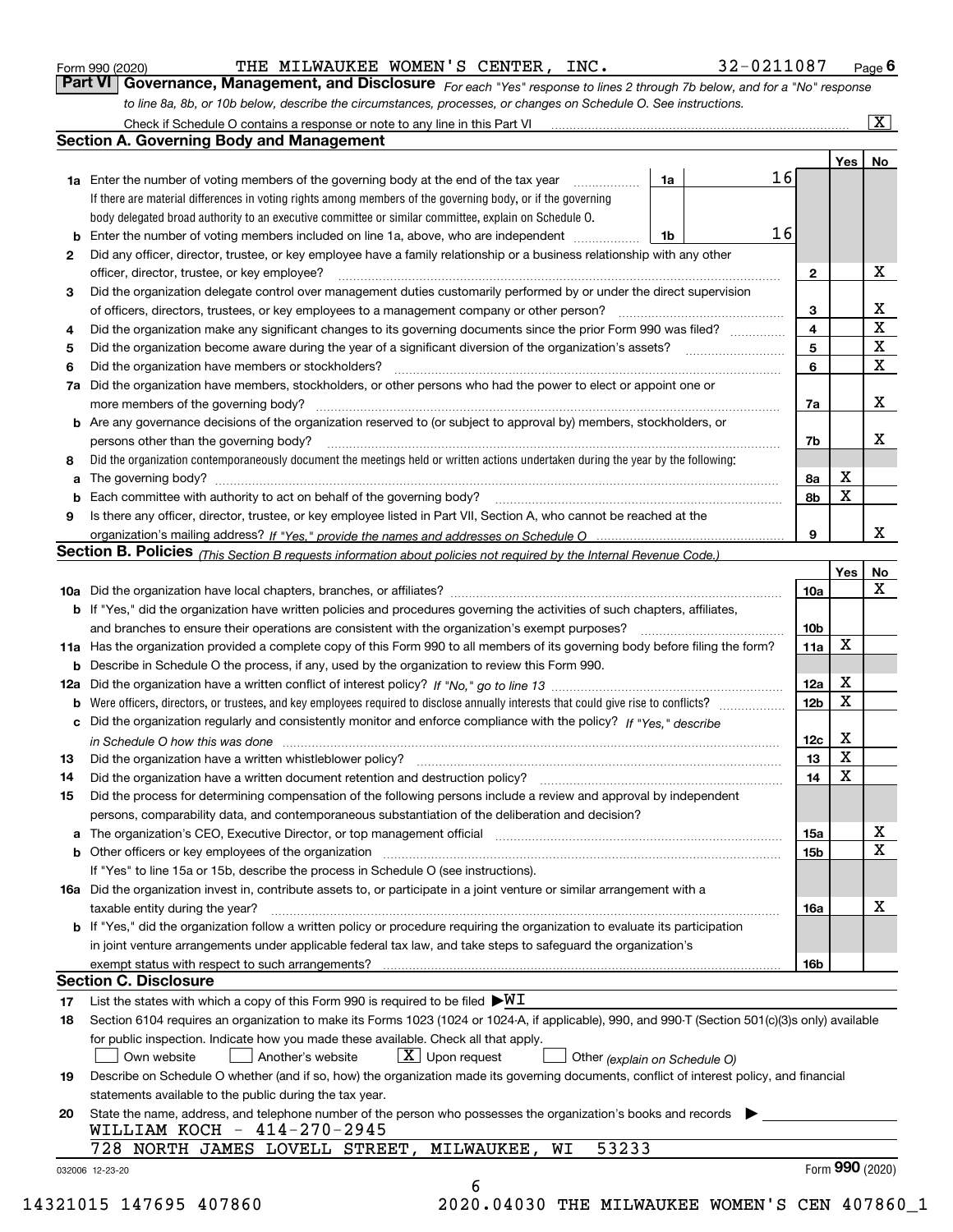|  | Form 990 (2020) |
|--|-----------------|
|  |                 |

THE MILWAUKEE WOMEN'S CENTER, INC. 32-0211087

Check if Schedule O contains a response or note to any line in this Part VI

 $\boxed{\text{X}}$ 

*For each "Yes" response to lines 2 through 7b below, and for a "No" response to line 8a, 8b, or 10b below, describe the circumstances, processes, or changes on Schedule O. See instructions.* Form 990 (2020) **Form 990 (2020)** THE MILWAUKEE WOMEN'S CENTER, INC. 32-0211087 Page 6<br>**Part VI** | Governance, Management, and Disclosure *For each "Yes" response to lines 2 through 7b below, and for a "No" response* 

|              |                                                                                                                                                                                                                         |    |    |                 | Yes | No                      |
|--------------|-------------------------------------------------------------------------------------------------------------------------------------------------------------------------------------------------------------------------|----|----|-----------------|-----|-------------------------|
|              | 1a Enter the number of voting members of the governing body at the end of the tax year                                                                                                                                  | 1a | 16 |                 |     |                         |
|              | If there are material differences in voting rights among members of the governing body, or if the governing                                                                                                             |    |    |                 |     |                         |
|              | body delegated broad authority to an executive committee or similar committee, explain on Schedule O.                                                                                                                   |    |    |                 |     |                         |
|              | Enter the number of voting members included on line 1a, above, who are independent                                                                                                                                      | 1b | 16 |                 |     |                         |
| $\mathbf{2}$ | Did any officer, director, trustee, or key employee have a family relationship or a business relationship with any other                                                                                                |    |    |                 |     |                         |
|              | officer, director, trustee, or key employee?                                                                                                                                                                            |    |    | 2               |     | X                       |
| з            | Did the organization delegate control over management duties customarily performed by or under the direct supervision                                                                                                   |    |    |                 |     |                         |
|              | of officers, directors, trustees, or key employees to a management company or other person?                                                                                                                             |    |    | 3               |     | $\frac{X}{X}$           |
| 4            | Did the organization make any significant changes to its governing documents since the prior Form 990 was filed?                                                                                                        |    |    | 4               |     |                         |
| 5            |                                                                                                                                                                                                                         |    |    | 5               |     | $\overline{\mathbf{x}}$ |
| 6            | Did the organization have members or stockholders?                                                                                                                                                                      |    |    | 6               |     | $\overline{\textbf{x}}$ |
| 7a           | Did the organization have members, stockholders, or other persons who had the power to elect or appoint one or                                                                                                          |    |    |                 |     |                         |
|              |                                                                                                                                                                                                                         |    |    | 7a              |     | X                       |
| b            | Are any governance decisions of the organization reserved to (or subject to approval by) members, stockholders, or                                                                                                      |    |    |                 |     |                         |
|              | persons other than the governing body?                                                                                                                                                                                  |    |    | 7b              |     | х                       |
| 8            | Did the organization contemporaneously document the meetings held or written actions undertaken during the year by the following:                                                                                       |    |    |                 |     |                         |
| a            |                                                                                                                                                                                                                         |    |    | 8а              | х   |                         |
| b            |                                                                                                                                                                                                                         |    |    | 8b              | X   |                         |
| 9            | Is there any officer, director, trustee, or key employee listed in Part VII, Section A, who cannot be reached at the                                                                                                    |    |    |                 |     |                         |
|              |                                                                                                                                                                                                                         |    |    | 9               |     | x                       |
|              | Section B. Policies (This Section B requests information about policies not required by the Internal Revenue Code.)                                                                                                     |    |    |                 |     |                         |
|              |                                                                                                                                                                                                                         |    |    |                 | Yes | No                      |
|              |                                                                                                                                                                                                                         |    |    | 10a             |     | X                       |
|              | <b>b</b> If "Yes," did the organization have written policies and procedures governing the activities of such chapters, affiliates,                                                                                     |    |    |                 |     |                         |
|              |                                                                                                                                                                                                                         |    |    | 10 <sub>b</sub> |     |                         |
|              | 11a Has the organization provided a complete copy of this Form 990 to all members of its governing body before filing the form?                                                                                         |    |    | 11a             | x   |                         |
|              | <b>b</b> Describe in Schedule O the process, if any, used by the organization to review this Form 990.                                                                                                                  |    |    |                 |     |                         |
|              |                                                                                                                                                                                                                         |    |    | 12a             | X   |                         |
|              |                                                                                                                                                                                                                         |    |    | 12 <sub>b</sub> | X   |                         |
| b            | c Did the organization regularly and consistently monitor and enforce compliance with the policy? If "Yes," describe                                                                                                    |    |    |                 |     |                         |
|              |                                                                                                                                                                                                                         |    |    | 12c             | x   |                         |
| 13           | in Schedule O how this was done manufactured and continuum control of the Schedule O how this was done manufactured and continuum control of the Schedule O how this was done                                           |    |    | 13              | X   |                         |
| 14           | Did the organization have a written document retention and destruction policy? manufactured and the organization have a written document retention and destruction policy?                                              |    |    | 14              | X   |                         |
| 15           |                                                                                                                                                                                                                         |    |    |                 |     |                         |
|              | Did the process for determining compensation of the following persons include a review and approval by independent<br>persons, comparability data, and contemporaneous substantiation of the deliberation and decision? |    |    |                 |     |                         |
|              | The organization's CEO, Executive Director, or top management official manufactured content of the organization's CEO, Executive Director, or top management official                                                   |    |    | 15a             |     | Y                       |
|              |                                                                                                                                                                                                                         |    |    |                 |     | ∡⊾<br>$\mathbf X$       |
|              |                                                                                                                                                                                                                         |    |    | 15b             |     |                         |
|              | If "Yes" to line 15a or 15b, describe the process in Schedule O (see instructions).<br>16a Did the organization invest in, contribute assets to, or participate in a joint venture or similar arrangement with a        |    |    |                 |     |                         |
|              |                                                                                                                                                                                                                         |    |    |                 |     | х                       |
|              | taxable entity during the year?<br>b If "Yes," did the organization follow a written policy or procedure requiring the organization to evaluate its participation                                                       |    |    | 16a             |     |                         |
|              |                                                                                                                                                                                                                         |    |    |                 |     |                         |
|              | in joint venture arrangements under applicable federal tax law, and take steps to safeguard the organization's                                                                                                          |    |    |                 |     |                         |
|              | <b>Section C. Disclosure</b>                                                                                                                                                                                            |    |    | 16b             |     |                         |
|              |                                                                                                                                                                                                                         |    |    |                 |     |                         |
| 17           | List the states with which a copy of this Form 990 is required to be filed $\blacktriangleright\!\!\mathsf{W}\mathbf{I}$                                                                                                |    |    |                 |     |                         |
| 18           | Section 6104 requires an organization to make its Forms 1023 (1024 or 1024-A, if applicable), 990, and 990-T (Section 501(c)(3)s only) available                                                                        |    |    |                 |     |                         |
|              | for public inspection. Indicate how you made these available. Check all that apply.                                                                                                                                     |    |    |                 |     |                         |
|              | $\lfloor X \rfloor$ Upon request<br>Own website<br>Another's website<br>Other (explain on Schedule O)                                                                                                                   |    |    |                 |     |                         |
| 19           | Describe on Schedule O whether (and if so, how) the organization made its governing documents, conflict of interest policy, and financial                                                                               |    |    |                 |     |                         |
|              | statements available to the public during the tax year.                                                                                                                                                                 |    |    |                 |     |                         |
| 20           | State the name, address, and telephone number of the person who possesses the organization's books and records                                                                                                          |    |    |                 |     |                         |
|              | WILLIAM KOCH $-414-270-2945$<br>53233                                                                                                                                                                                   |    |    |                 |     |                         |
|              | 728 NORTH JAMES LOVELL STREET,<br>MILWAUKEE,<br>WI                                                                                                                                                                      |    |    |                 |     | Form 990 (2020)         |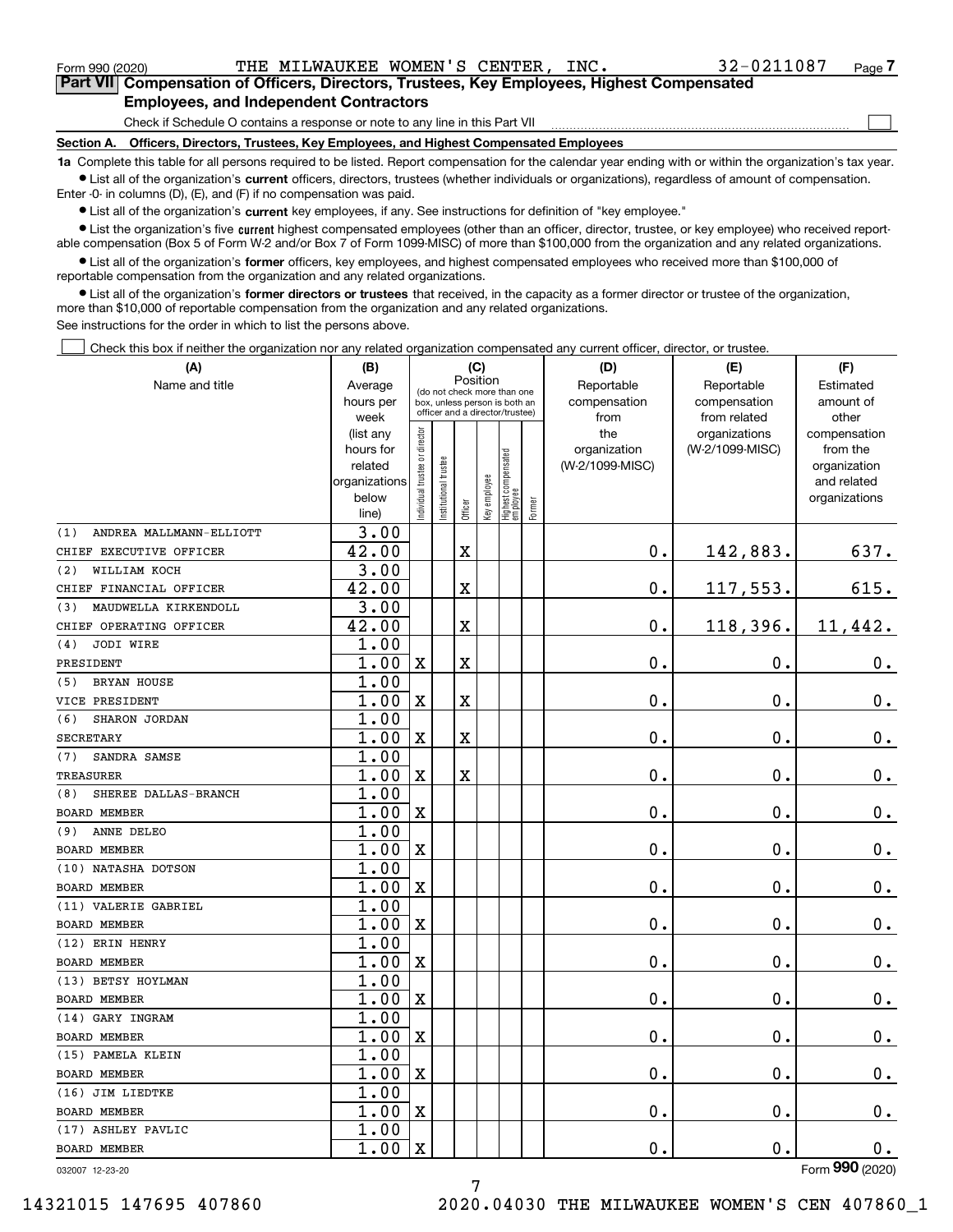|  | Form 990 (2020) |
|--|-----------------|
|  |                 |

<code>Form</code> 990 (2020) THE <code>MILWAUKEE WOMEN'S CENTER</code> , <code>INC</code> .  $32\text{--}0211087$   $_\text{Page}$ 

 $\mathcal{L}^{\text{max}}$ 

**7Part VII Compensation of Officers, Directors, Trustees, Key Employees, Highest Compensated Employees, and Independent Contractors**

Check if Schedule O contains a response or note to any line in this Part VII

**Section A. Officers, Directors, Trustees, Key Employees, and Highest Compensated Employees**

**1a**  Complete this table for all persons required to be listed. Report compensation for the calendar year ending with or within the organization's tax year. **•** List all of the organization's current officers, directors, trustees (whether individuals or organizations), regardless of amount of compensation.

Enter -0- in columns (D), (E), and (F) if no compensation was paid.

 $\bullet$  List all of the organization's  $\,$ current key employees, if any. See instructions for definition of "key employee."

**•** List the organization's five current highest compensated employees (other than an officer, director, trustee, or key employee) who received reportable compensation (Box 5 of Form W-2 and/or Box 7 of Form 1099-MISC) of more than \$100,000 from the organization and any related organizations.

**•** List all of the organization's former officers, key employees, and highest compensated employees who received more than \$100,000 of reportable compensation from the organization and any related organizations.

**former directors or trustees**  ¥ List all of the organization's that received, in the capacity as a former director or trustee of the organization, more than \$10,000 of reportable compensation from the organization and any related organizations.

See instructions for the order in which to list the persons above.

Check this box if neither the organization nor any related organization compensated any current officer, director, or trustee.  $\mathcal{L}^{\text{max}}$ 

| (A)                            | (B)                    |                               |                                                                  | (C)         |              |                                 |           | (D)                 | (E)                              | (F)                      |
|--------------------------------|------------------------|-------------------------------|------------------------------------------------------------------|-------------|--------------|---------------------------------|-----------|---------------------|----------------------------------|--------------------------|
| Name and title                 | Average                |                               | Position<br>(do not check more than one                          |             | Reportable   | Reportable                      | Estimated |                     |                                  |                          |
|                                | hours per              |                               | box, unless person is both an<br>officer and a director/trustee) |             |              |                                 |           | compensation        | compensation                     | amount of                |
|                                | week                   |                               |                                                                  |             |              |                                 |           | from                | from related                     | other                    |
|                                | (list any<br>hours for |                               |                                                                  |             |              |                                 |           | the<br>organization | organizations<br>(W-2/1099-MISC) | compensation<br>from the |
|                                | related                |                               |                                                                  |             |              |                                 |           | (W-2/1099-MISC)     |                                  | organization             |
|                                | organizations          |                               |                                                                  |             |              |                                 |           |                     |                                  | and related              |
|                                | below                  | ndividual trustee or director | In stitutional trustee                                           |             | Key employee | Highest compensated<br>employee |           |                     |                                  | organizations            |
|                                | line)                  |                               |                                                                  | Officer     |              |                                 | Former    |                     |                                  |                          |
| ANDREA MALLMANN-ELLIOTT<br>(1) | 3.00                   |                               |                                                                  |             |              |                                 |           |                     |                                  |                          |
| CHIEF EXECUTIVE OFFICER        | 42.00                  |                               |                                                                  | $\mathbf X$ |              |                                 |           | $\mathbf{0}$ .      | 142,883.                         | 637.                     |
| WILLIAM KOCH<br>(2)            | 3.00                   |                               |                                                                  |             |              |                                 |           |                     |                                  |                          |
| CHIEF FINANCIAL OFFICER        | 42.00                  |                               |                                                                  | Χ           |              |                                 |           | $\mathbf 0$ .       | 117,553.                         | 615.                     |
| MAUDWELLA KIRKENDOLL<br>(3)    | 3.00                   |                               |                                                                  |             |              |                                 |           |                     |                                  |                          |
| CHIEF OPERATING OFFICER        | 42.00                  |                               |                                                                  | X           |              |                                 |           | $\mathbf 0$ .       | 118,396.                         | 11,442.                  |
| JODI WIRE<br>(4)               | 1.00                   |                               |                                                                  |             |              |                                 |           |                     |                                  |                          |
| PRESIDENT                      | 1.00                   | X                             |                                                                  | X           |              |                                 |           | $\mathbf 0$ .       | 0.                               | $\mathbf 0$ .            |
| <b>BRYAN HOUSE</b><br>(5)      | 1.00                   |                               |                                                                  |             |              |                                 |           |                     |                                  |                          |
| VICE PRESIDENT                 | 1.00                   | $\mathbf x$                   |                                                                  | X           |              |                                 |           | $\mathbf 0$ .       | 0.                               | $\mathbf 0$ .            |
| (6)<br>SHARON JORDAN           | 1.00                   |                               |                                                                  |             |              |                                 |           |                     |                                  |                          |
| <b>SECRETARY</b>               | 1.00                   | $\mathbf X$                   |                                                                  | X           |              |                                 |           | $\mathbf 0$ .       | 0.                               | $\mathbf 0$ .            |
| SANDRA SAMSE<br>(7)            | 1.00                   |                               |                                                                  |             |              |                                 |           |                     |                                  |                          |
| <b>TREASURER</b>               | 1.00                   | $\mathbf X$                   |                                                                  | X           |              |                                 |           | 0.                  | 0.                               | 0.                       |
| SHEREE DALLAS-BRANCH<br>(8)    | 1.00                   |                               |                                                                  |             |              |                                 |           |                     |                                  |                          |
| <b>BOARD MEMBER</b>            | 1.00                   | $\mathbf X$                   |                                                                  |             |              |                                 |           | $\mathbf 0$ .       | $0$ .                            | $0_{.}$                  |
| ANNE DELEO<br>(9)              | 1.00                   |                               |                                                                  |             |              |                                 |           |                     |                                  |                          |
| <b>BOARD MEMBER</b>            | 1.00                   | X                             |                                                                  |             |              |                                 |           | $\mathbf 0$ .       | 0.                               | 0.                       |
| (10) NATASHA DOTSON            | 1.00                   |                               |                                                                  |             |              |                                 |           |                     |                                  |                          |
| <b>BOARD MEMBER</b>            | 1.00                   | X                             |                                                                  |             |              |                                 |           | $\mathbf 0$ .       | 0.                               | 0.                       |
| (11) VALERIE GABRIEL           | 1.00                   |                               |                                                                  |             |              |                                 |           |                     |                                  |                          |
| <b>BOARD MEMBER</b>            | 1.00                   | X                             |                                                                  |             |              |                                 |           | $\mathbf 0$ .       | Ο.                               | $\mathbf 0$ .            |
| (12) ERIN HENRY                | 1.00                   |                               |                                                                  |             |              |                                 |           |                     |                                  |                          |
| <b>BOARD MEMBER</b>            | 1.00                   | X                             |                                                                  |             |              |                                 |           | $\mathbf 0$ .       | 0.                               | $\mathbf 0$ .            |
| (13) BETSY HOYLMAN             | 1.00                   |                               |                                                                  |             |              |                                 |           |                     |                                  |                          |
| <b>BOARD MEMBER</b>            | 1.00                   | $\mathbf x$                   |                                                                  |             |              |                                 |           | $\mathbf 0$ .       | $\mathbf 0$ .                    | $\mathbf 0$ .            |
| (14) GARY INGRAM               | 1.00                   |                               |                                                                  |             |              |                                 |           |                     |                                  |                          |
| <b>BOARD MEMBER</b>            | 1.00                   | X                             |                                                                  |             |              |                                 |           | $\mathbf 0$ .       | $\mathbf 0$ .                    | 0.                       |
| (15) PAMELA KLEIN              | 1.00                   |                               |                                                                  |             |              |                                 |           |                     |                                  |                          |
| <b>BOARD MEMBER</b>            | 1.00                   | X                             |                                                                  |             |              |                                 |           | $\mathbf 0$ .       | 0.                               | $\mathbf 0$ .            |
| (16) JIM LIEDTKE               | 1.00                   |                               |                                                                  |             |              |                                 |           |                     |                                  |                          |
| <b>BOARD MEMBER</b>            | 1.00                   | $\mathbf X$                   |                                                                  |             |              |                                 |           | $\mathbf 0$ .       | 0.                               | $\mathbf 0$ .            |
| (17) ASHLEY PAVLIC             | 1.00                   |                               |                                                                  |             |              |                                 |           |                     |                                  |                          |
| <b>BOARD MEMBER</b>            | 1.00                   | $\mathbf X$                   |                                                                  |             |              |                                 |           | $\mathbf 0$ .       | 0.                               | 0.<br>$\overline{2}$     |

7

032007 12-23-20

Form (2020) **990**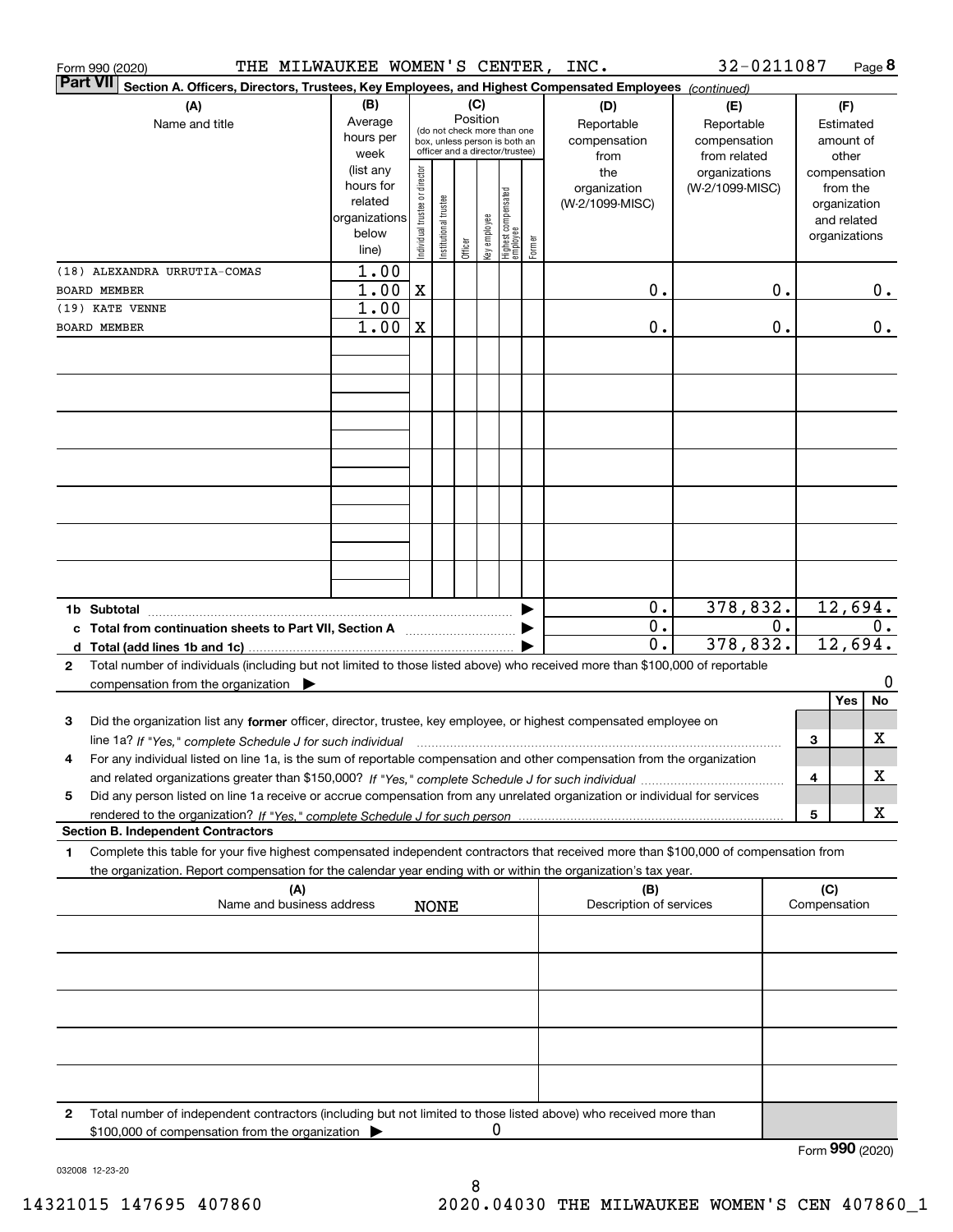| THE MILWAUKEE WOMEN'S CENTER,<br>Form 990 (2020)                                                                                                     |               |                                                              |                       |         |              |                                  |        | INC.                    | 32-0211087      |                  |              |               | Page 8 |
|------------------------------------------------------------------------------------------------------------------------------------------------------|---------------|--------------------------------------------------------------|-----------------------|---------|--------------|----------------------------------|--------|-------------------------|-----------------|------------------|--------------|---------------|--------|
| <b>Part VII</b><br>Section A. Officers, Directors, Trustees, Key Employees, and Highest Compensated Employees (continued)                            |               |                                                              |                       |         |              |                                  |        |                         |                 |                  |              |               |        |
| (A)                                                                                                                                                  | (B)           |                                                              |                       | (C)     |              |                                  |        | (D)                     | (E)             |                  |              | (F)           |        |
| Name and title                                                                                                                                       | Average       |                                                              |                       |         | Position     |                                  |        | Reportable              | Reportable      |                  |              | Estimated     |        |
|                                                                                                                                                      | hours per     | (do not check more than one<br>box, unless person is both an |                       |         |              |                                  |        | compensation            | compensation    |                  | amount of    |               |        |
|                                                                                                                                                      | week          |                                                              |                       |         |              | officer and a director/trustee)  |        | from                    | from related    |                  | other        |               |        |
|                                                                                                                                                      | (list any     |                                                              |                       |         |              |                                  |        | the                     | organizations   |                  |              | compensation  |        |
|                                                                                                                                                      | hours for     |                                                              |                       |         |              |                                  |        | organization            | (W-2/1099-MISC) |                  |              | from the      |        |
|                                                                                                                                                      | related       |                                                              |                       |         |              |                                  |        | (W-2/1099-MISC)         |                 |                  |              | organization  |        |
|                                                                                                                                                      | organizations |                                                              |                       |         |              |                                  |        |                         |                 |                  |              | and related   |        |
|                                                                                                                                                      | below         | Individual trustee or director                               | Institutional trustee |         | Key employee |                                  |        |                         |                 |                  |              | organizations |        |
|                                                                                                                                                      | line)         |                                                              |                       | Officer |              | Highest compensated<br> employee | Former |                         |                 |                  |              |               |        |
| (18) ALEXANDRA URRUTIA-COMAS                                                                                                                         | 1.00          |                                                              |                       |         |              |                                  |        |                         |                 |                  |              |               |        |
| <b>BOARD MEMBER</b>                                                                                                                                  | 1.00          | $\mathbf X$                                                  |                       |         |              |                                  |        | 0.                      |                 | 0.               |              |               | 0.     |
| (19) KATE VENNE                                                                                                                                      | 1.00          |                                                              |                       |         |              |                                  |        |                         |                 |                  |              |               |        |
| <b>BOARD MEMBER</b>                                                                                                                                  | 1.00          | $\mathbf X$                                                  |                       |         |              |                                  |        | 0.                      |                 | 0.               |              |               | $0$ .  |
|                                                                                                                                                      |               |                                                              |                       |         |              |                                  |        |                         |                 |                  |              |               |        |
|                                                                                                                                                      |               |                                                              |                       |         |              |                                  |        |                         |                 |                  |              |               |        |
|                                                                                                                                                      |               |                                                              |                       |         |              |                                  |        |                         |                 |                  |              |               |        |
|                                                                                                                                                      |               |                                                              |                       |         |              |                                  |        |                         |                 |                  |              |               |        |
|                                                                                                                                                      |               |                                                              |                       |         |              |                                  |        |                         |                 |                  |              |               |        |
|                                                                                                                                                      |               |                                                              |                       |         |              |                                  |        |                         |                 |                  |              |               |        |
|                                                                                                                                                      |               |                                                              |                       |         |              |                                  |        |                         |                 |                  |              |               |        |
|                                                                                                                                                      |               |                                                              |                       |         |              |                                  |        |                         |                 |                  |              |               |        |
|                                                                                                                                                      |               |                                                              |                       |         |              |                                  |        |                         |                 |                  |              |               |        |
|                                                                                                                                                      |               |                                                              |                       |         |              |                                  |        |                         |                 |                  |              |               |        |
|                                                                                                                                                      |               |                                                              |                       |         |              |                                  |        |                         |                 |                  |              |               |        |
|                                                                                                                                                      |               |                                                              |                       |         |              |                                  |        |                         |                 |                  |              |               |        |
|                                                                                                                                                      |               |                                                              |                       |         |              |                                  |        |                         |                 |                  |              |               |        |
|                                                                                                                                                      |               |                                                              |                       |         |              |                                  |        |                         |                 |                  |              |               |        |
|                                                                                                                                                      |               |                                                              |                       |         |              |                                  |        |                         |                 |                  |              |               |        |
|                                                                                                                                                      |               |                                                              |                       |         |              |                                  |        |                         |                 |                  |              |               |        |
|                                                                                                                                                      |               |                                                              |                       |         |              |                                  |        | $\mathbf 0$ .           | 378,832.        |                  |              | 12,694.       |        |
| c Total from continuation sheets to Part VII, Section A                                                                                              |               |                                                              |                       |         |              |                                  |        | 0.                      |                 | $\overline{0}$ . |              |               | $0$ .  |
|                                                                                                                                                      |               |                                                              |                       |         |              |                                  |        | $\overline{0}$ .        | 378,832.        |                  |              | 12,694.       |        |
| Total number of individuals (including but not limited to those listed above) who received more than \$100,000 of reportable<br>$\mathbf{2}$         |               |                                                              |                       |         |              |                                  |        |                         |                 |                  |              |               |        |
| compensation from the organization $\blacktriangleright$                                                                                             |               |                                                              |                       |         |              |                                  |        |                         |                 |                  |              |               | 0      |
|                                                                                                                                                      |               |                                                              |                       |         |              |                                  |        |                         |                 |                  |              | Yes           | No     |
| 3<br>Did the organization list any former officer, director, trustee, key employee, or highest compensated employee on                               |               |                                                              |                       |         |              |                                  |        |                         |                 |                  |              |               |        |
|                                                                                                                                                      |               |                                                              |                       |         |              |                                  |        |                         |                 |                  | З            |               | х      |
| line 1a? If "Yes," complete Schedule J for such individual manufactured contained and the line 1a? If "Yes," complete Schedule J for such individual |               |                                                              |                       |         |              |                                  |        |                         |                 |                  |              |               |        |
| For any individual listed on line 1a, is the sum of reportable compensation and other compensation from the organization                             |               |                                                              |                       |         |              |                                  |        |                         |                 |                  |              |               |        |
|                                                                                                                                                      |               |                                                              |                       |         |              |                                  |        |                         |                 |                  | 4            |               | х      |
| Did any person listed on line 1a receive or accrue compensation from any unrelated organization or individual for services<br>5                      |               |                                                              |                       |         |              |                                  |        |                         |                 |                  |              |               |        |
|                                                                                                                                                      |               |                                                              |                       |         |              |                                  |        |                         |                 |                  | 5            |               | х      |
| <b>Section B. Independent Contractors</b>                                                                                                            |               |                                                              |                       |         |              |                                  |        |                         |                 |                  |              |               |        |
| Complete this table for your five highest compensated independent contractors that received more than \$100,000 of compensation from<br>1            |               |                                                              |                       |         |              |                                  |        |                         |                 |                  |              |               |        |
| the organization. Report compensation for the calendar year ending with or within the organization's tax year.                                       |               |                                                              |                       |         |              |                                  |        |                         |                 |                  |              |               |        |
| (A)                                                                                                                                                  |               |                                                              |                       |         |              |                                  |        | (B)                     |                 |                  | (C)          |               |        |
| Name and business address                                                                                                                            |               |                                                              | <b>NONE</b>           |         |              |                                  |        | Description of services |                 |                  | Compensation |               |        |
|                                                                                                                                                      |               |                                                              |                       |         |              |                                  |        |                         |                 |                  |              |               |        |
|                                                                                                                                                      |               |                                                              |                       |         |              |                                  |        |                         |                 |                  |              |               |        |
|                                                                                                                                                      |               |                                                              |                       |         |              |                                  |        |                         |                 |                  |              |               |        |
|                                                                                                                                                      |               |                                                              |                       |         |              |                                  |        |                         |                 |                  |              |               |        |
|                                                                                                                                                      |               |                                                              |                       |         |              |                                  |        |                         |                 |                  |              |               |        |
|                                                                                                                                                      |               |                                                              |                       |         |              |                                  |        |                         |                 |                  |              |               |        |
|                                                                                                                                                      |               |                                                              |                       |         |              |                                  |        |                         |                 |                  |              |               |        |
|                                                                                                                                                      |               |                                                              |                       |         |              |                                  |        |                         |                 |                  |              |               |        |
|                                                                                                                                                      |               |                                                              |                       |         |              |                                  |        |                         |                 |                  |              |               |        |
|                                                                                                                                                      |               |                                                              |                       |         |              |                                  |        |                         |                 |                  |              |               |        |
|                                                                                                                                                      |               |                                                              |                       |         |              |                                  |        |                         |                 |                  |              |               |        |
| Total number of independent contractors (including but not limited to those listed above) who received more than<br>2                                |               |                                                              |                       |         |              |                                  |        |                         |                 |                  |              |               |        |
| \$100,000 of compensation from the organization                                                                                                      |               |                                                              |                       |         | 0            |                                  |        |                         |                 |                  |              |               |        |

Form (2020) **990**

032008 12-23-20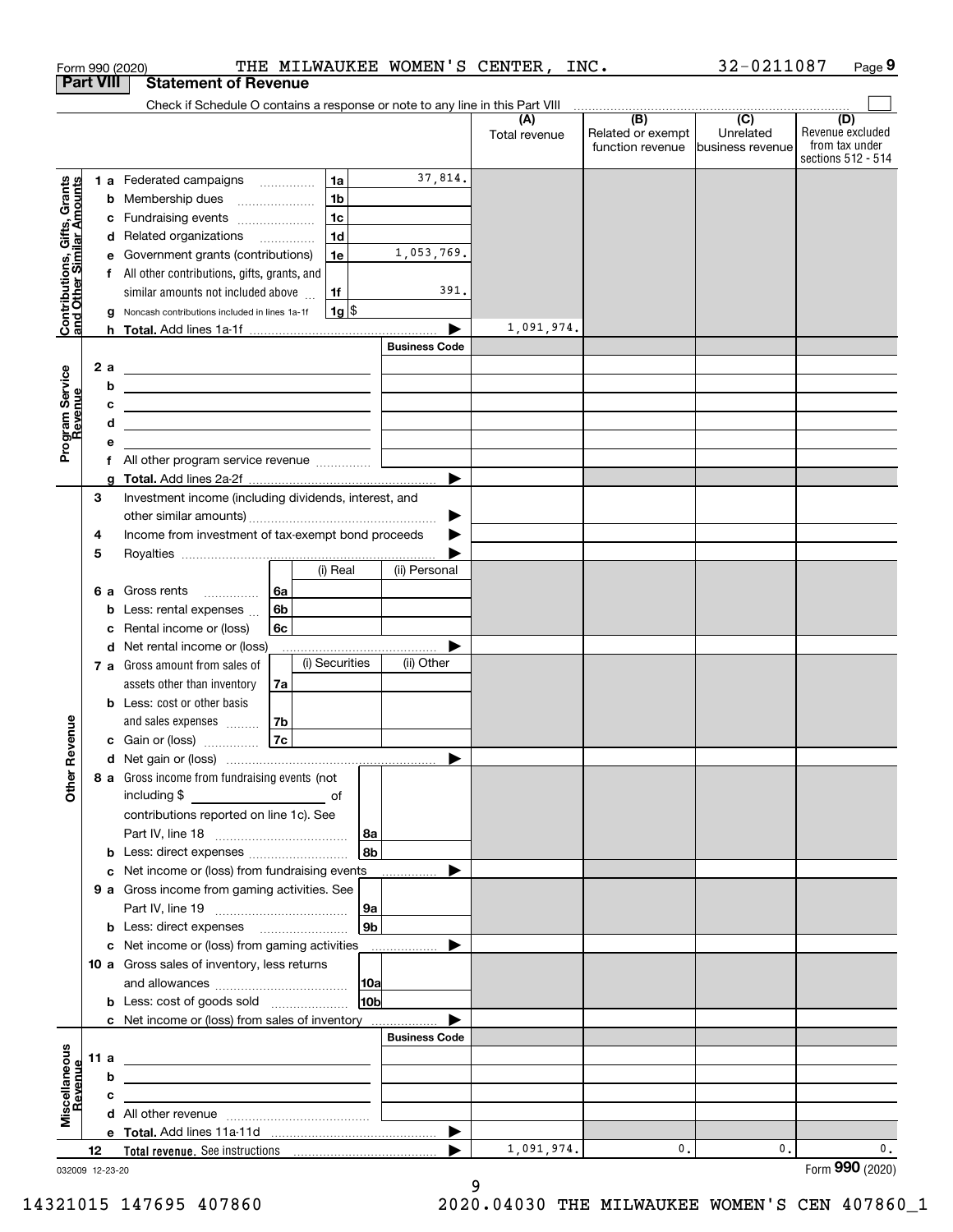|                                                           |                  |        | THE MILWAUKEE WOMEN'S CENTER,<br>Form 990 (2020)                                                                      |                      |                       |                      | INC.                                                                                                       | 32-0211087                    | Page 9                                                          |
|-----------------------------------------------------------|------------------|--------|-----------------------------------------------------------------------------------------------------------------------|----------------------|-----------------------|----------------------|------------------------------------------------------------------------------------------------------------|-------------------------------|-----------------------------------------------------------------|
|                                                           | <b>Part VIII</b> |        | <b>Statement of Revenue</b>                                                                                           |                      |                       |                      |                                                                                                            |                               |                                                                 |
|                                                           |                  |        | Check if Schedule O contains a response or note to any line in this Part VIII                                         |                      |                       |                      | $\begin{array}{c c c c c c c} \hline \text{ } & \text{(B)} & \text{ } & \text{(C)} & \text{ } \end{array}$ |                               |                                                                 |
|                                                           |                  |        |                                                                                                                       |                      |                       | (A)<br>Total revenue | Related or exempt<br>function revenue                                                                      | Unrelated<br>business revenue | (D)<br>Revenue excluded<br>from tax under<br>sections 512 - 514 |
|                                                           |                  |        | 1a<br>1 a Federated campaigns                                                                                         |                      | 37,814.               |                      |                                                                                                            |                               |                                                                 |
| Contributions, Gifts, Grants<br>and Other Similar Amounts |                  | b      | 1 <sub>b</sub><br>Membership dues                                                                                     |                      |                       |                      |                                                                                                            |                               |                                                                 |
|                                                           |                  | с      | 1 <sub>c</sub><br>Fundraising events                                                                                  |                      |                       |                      |                                                                                                            |                               |                                                                 |
|                                                           |                  |        | 1 <sub>d</sub><br>d Related organizations                                                                             |                      |                       |                      |                                                                                                            |                               |                                                                 |
|                                                           |                  | е      | Government grants (contributions)<br>1e                                                                               |                      | 1,053,769.            |                      |                                                                                                            |                               |                                                                 |
|                                                           |                  |        | f All other contributions, gifts, grants, and                                                                         |                      |                       |                      |                                                                                                            |                               |                                                                 |
|                                                           |                  |        | similar amounts not included above<br>1f                                                                              |                      | 391.                  |                      |                                                                                                            |                               |                                                                 |
|                                                           |                  | a      | $1g$ \$<br>Noncash contributions included in lines 1a-1f                                                              |                      |                       |                      |                                                                                                            |                               |                                                                 |
|                                                           |                  | h.     |                                                                                                                       |                      |                       | 1,091,974.           |                                                                                                            |                               |                                                                 |
|                                                           |                  |        |                                                                                                                       | <b>Business Code</b> |                       |                      |                                                                                                            |                               |                                                                 |
|                                                           | 2 a              |        | <u> 1989 - Johann Harry Harry Harry Harry Harry Harry Harry Harry Harry Harry Harry Harry Harry Harry Harry Harry</u> |                      |                       |                      |                                                                                                            |                               |                                                                 |
|                                                           |                  | b      | <u> 1989 - Johann Barn, mars and de Brasilian (b. 1989)</u>                                                           |                      |                       |                      |                                                                                                            |                               |                                                                 |
| Program Service<br>Revenue                                |                  | с<br>d | <u> 1989 - Johann Harry Harry Harry Harry Harry Harry Harry Harry Harry Harry Harry Harry Harry Harry Harry Harry</u> |                      |                       |                      |                                                                                                            |                               |                                                                 |
|                                                           |                  | е      | <u> 1989 - Johann Stein, mars an de Brasilia (b. 1989)</u>                                                            |                      |                       |                      |                                                                                                            |                               |                                                                 |
|                                                           |                  |        |                                                                                                                       |                      |                       |                      |                                                                                                            |                               |                                                                 |
|                                                           |                  | g      |                                                                                                                       |                      | ▶                     |                      |                                                                                                            |                               |                                                                 |
|                                                           | 3                |        | Investment income (including dividends, interest, and                                                                 |                      |                       |                      |                                                                                                            |                               |                                                                 |
|                                                           |                  |        |                                                                                                                       |                      | ▶                     |                      |                                                                                                            |                               |                                                                 |
|                                                           | 4                |        | Income from investment of tax-exempt bond proceeds                                                                    |                      |                       |                      |                                                                                                            |                               |                                                                 |
|                                                           | 5                |        |                                                                                                                       |                      |                       |                      |                                                                                                            |                               |                                                                 |
|                                                           |                  |        | (i) Real                                                                                                              | (ii) Personal        |                       |                      |                                                                                                            |                               |                                                                 |
|                                                           | 6а               |        | 6а<br>Gross rents                                                                                                     |                      |                       |                      |                                                                                                            |                               |                                                                 |
|                                                           |                  | b      | 6b<br>Less: rental expenses                                                                                           |                      |                       |                      |                                                                                                            |                               |                                                                 |
|                                                           |                  | c      | Rental income or (loss)<br>6с                                                                                         |                      |                       |                      |                                                                                                            |                               |                                                                 |
|                                                           |                  |        | d Net rental income or (loss)                                                                                         |                      |                       |                      |                                                                                                            |                               |                                                                 |
|                                                           |                  |        | (i) Securities<br>7 a Gross amount from sales of                                                                      | (ii) Other           |                       |                      |                                                                                                            |                               |                                                                 |
|                                                           |                  |        | assets other than inventory<br>7a                                                                                     |                      |                       |                      |                                                                                                            |                               |                                                                 |
|                                                           |                  |        | <b>b</b> Less: cost or other basis                                                                                    |                      |                       |                      |                                                                                                            |                               |                                                                 |
| evenue                                                    |                  |        | 7b<br>and sales expenses                                                                                              |                      |                       |                      |                                                                                                            |                               |                                                                 |
|                                                           |                  |        | 7c<br>c Gain or (loss)                                                                                                |                      |                       |                      |                                                                                                            |                               |                                                                 |
| Œ                                                         |                  |        |                                                                                                                       |                      |                       |                      |                                                                                                            |                               |                                                                 |
| <b>Other</b>                                              |                  |        | 8 a Gross income from fundraising events (not<br>including \$                                                         |                      |                       |                      |                                                                                                            |                               |                                                                 |
|                                                           |                  |        | <u>of</u> of<br>contributions reported on line 1c). See                                                               |                      |                       |                      |                                                                                                            |                               |                                                                 |
|                                                           |                  |        |                                                                                                                       | 8a                   |                       |                      |                                                                                                            |                               |                                                                 |
|                                                           |                  |        | b Less: direct expenses                                                                                               | 8b                   |                       |                      |                                                                                                            |                               |                                                                 |
|                                                           |                  |        | c Net income or (loss) from fundraising events                                                                        |                      |                       |                      |                                                                                                            |                               |                                                                 |
|                                                           |                  |        | 9 a Gross income from gaming activities. See                                                                          |                      |                       |                      |                                                                                                            |                               |                                                                 |
|                                                           |                  |        |                                                                                                                       | 9a                   |                       |                      |                                                                                                            |                               |                                                                 |
|                                                           |                  |        | <b>b</b> Less: direct expenses <b>manually</b>                                                                        | 9 <sub>b</sub>       |                       |                      |                                                                                                            |                               |                                                                 |
|                                                           |                  |        | c Net income or (loss) from gaming activities _______________                                                         |                      |                       |                      |                                                                                                            |                               |                                                                 |
|                                                           |                  |        | 10 a Gross sales of inventory, less returns                                                                           |                      |                       |                      |                                                                                                            |                               |                                                                 |
|                                                           |                  |        |                                                                                                                       | 10a                  |                       |                      |                                                                                                            |                               |                                                                 |
|                                                           |                  |        | <b>b</b> Less: cost of goods sold                                                                                     | 10 <sub>b</sub>      |                       |                      |                                                                                                            |                               |                                                                 |
|                                                           |                  |        | c Net income or (loss) from sales of inventory                                                                        |                      |                       |                      |                                                                                                            |                               |                                                                 |
|                                                           |                  |        |                                                                                                                       | <b>Business Code</b> |                       |                      |                                                                                                            |                               |                                                                 |
|                                                           | 11 a             |        | <u> 1989 - Johann Barn, mars eta bainar eta bainar eta baina eta baina eta baina eta baina eta baina eta baina e</u>  |                      |                       |                      |                                                                                                            |                               |                                                                 |
| evenue                                                    |                  | b      | the contract of the contract of the contract of the contract of the contract of                                       |                      |                       |                      |                                                                                                            |                               |                                                                 |
|                                                           |                  | с      | the control of the control of the control of the control of the control of                                            |                      |                       |                      |                                                                                                            |                               |                                                                 |
| Miscellaneous                                             |                  |        |                                                                                                                       |                      |                       |                      |                                                                                                            |                               |                                                                 |
|                                                           |                  |        |                                                                                                                       |                      | $\blacktriangleright$ | 1,091,974.           |                                                                                                            |                               |                                                                 |
|                                                           | 12               |        |                                                                                                                       |                      | ▶                     |                      | 0.                                                                                                         | 0.                            | 0.                                                              |

032009 12-23-20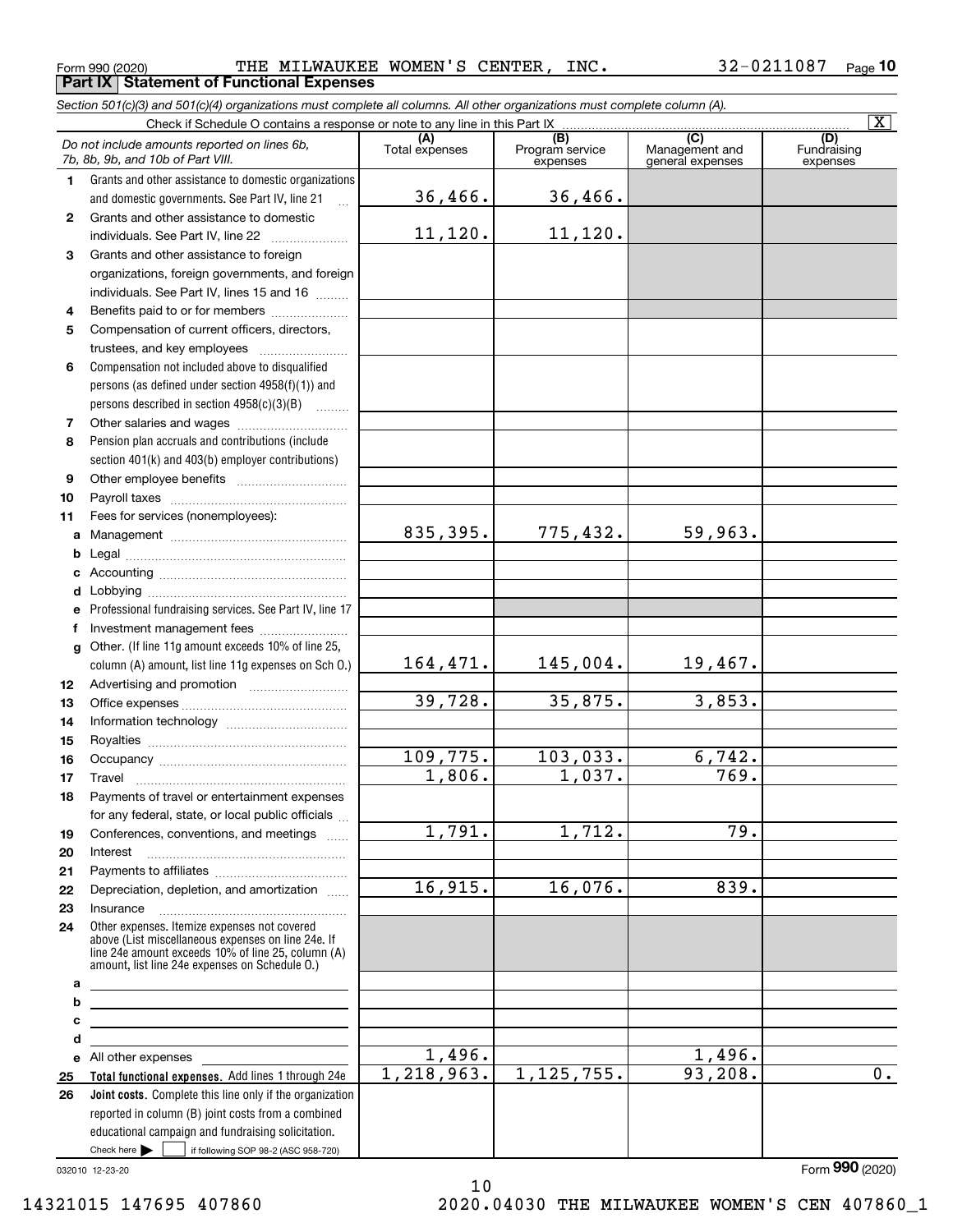**Part IX Statement of Functional Expenses**

*Section 501(c)(3) and 501(c)(4) organizations must complete all columns. All other organizations must complete column (A).*

<code>Form</code> 990 (2020) THE <code>MILWAUKEE WOMEN'S CENTER</code> , <code>INC</code> .  $32\text{--}0211087$  <code>Page</code> **10**

|              |                                                                                                                                                                                                            |                       |                                                 |                                                      | ΙX.                            |
|--------------|------------------------------------------------------------------------------------------------------------------------------------------------------------------------------------------------------------|-----------------------|-------------------------------------------------|------------------------------------------------------|--------------------------------|
|              | Do not include amounts reported on lines 6b,<br>7b, 8b, 9b, and 10b of Part VIII.                                                                                                                          | (A)<br>Total expenses | $\overline{(B)}$<br>Program service<br>expenses | $\overline{C}$<br>Management and<br>general expenses | (D)<br>Fundraising<br>expenses |
| 1.           | Grants and other assistance to domestic organizations                                                                                                                                                      |                       |                                                 |                                                      |                                |
|              | and domestic governments. See Part IV, line 21                                                                                                                                                             | 36,466.               | 36,466.                                         |                                                      |                                |
| $\mathbf{2}$ | Grants and other assistance to domestic                                                                                                                                                                    |                       |                                                 |                                                      |                                |
|              | individuals. See Part IV, line 22                                                                                                                                                                          | 11,120.               | 11,120.                                         |                                                      |                                |
| 3            | Grants and other assistance to foreign                                                                                                                                                                     |                       |                                                 |                                                      |                                |
|              | organizations, foreign governments, and foreign                                                                                                                                                            |                       |                                                 |                                                      |                                |
|              | individuals. See Part IV, lines 15 and 16                                                                                                                                                                  |                       |                                                 |                                                      |                                |
| 4            | Benefits paid to or for members                                                                                                                                                                            |                       |                                                 |                                                      |                                |
| 5            | Compensation of current officers, directors,                                                                                                                                                               |                       |                                                 |                                                      |                                |
|              | trustees, and key employees                                                                                                                                                                                |                       |                                                 |                                                      |                                |
| 6            | Compensation not included above to disqualified                                                                                                                                                            |                       |                                                 |                                                      |                                |
|              | persons (as defined under section 4958(f)(1)) and                                                                                                                                                          |                       |                                                 |                                                      |                                |
|              | persons described in section 4958(c)(3)(B)                                                                                                                                                                 |                       |                                                 |                                                      |                                |
| 7            |                                                                                                                                                                                                            |                       |                                                 |                                                      |                                |
| 8            | Pension plan accruals and contributions (include                                                                                                                                                           |                       |                                                 |                                                      |                                |
|              | section 401(k) and 403(b) employer contributions)                                                                                                                                                          |                       |                                                 |                                                      |                                |
| 9            |                                                                                                                                                                                                            |                       |                                                 |                                                      |                                |
| 10           |                                                                                                                                                                                                            |                       |                                                 |                                                      |                                |
| 11           | Fees for services (nonemployees):                                                                                                                                                                          |                       |                                                 |                                                      |                                |
| a            |                                                                                                                                                                                                            | 835,395.              | 775,432.                                        | 59,963.                                              |                                |
| b            |                                                                                                                                                                                                            |                       |                                                 |                                                      |                                |
| c            |                                                                                                                                                                                                            |                       |                                                 |                                                      |                                |
| d            |                                                                                                                                                                                                            |                       |                                                 |                                                      |                                |
| е            | Professional fundraising services. See Part IV, line 17                                                                                                                                                    |                       |                                                 |                                                      |                                |
| f            | Investment management fees                                                                                                                                                                                 |                       |                                                 |                                                      |                                |
| $\mathbf{q}$ | Other. (If line 11g amount exceeds 10% of line 25,                                                                                                                                                         |                       |                                                 |                                                      |                                |
|              | column (A) amount, list line 11g expenses on Sch O.)                                                                                                                                                       | 164,471.              | 145,004.                                        | 19,467.                                              |                                |
| 12           |                                                                                                                                                                                                            |                       |                                                 |                                                      |                                |
| 13           |                                                                                                                                                                                                            | 39,728.               | 35,875.                                         | 3,853.                                               |                                |
| 14           |                                                                                                                                                                                                            |                       |                                                 |                                                      |                                |
| 15           |                                                                                                                                                                                                            |                       |                                                 |                                                      |                                |
| 16           |                                                                                                                                                                                                            | 109,775.              | 103,033.                                        | 6,742.                                               |                                |
| 17           | Travel                                                                                                                                                                                                     | 1,806.                | 1,037.                                          | 769.                                                 |                                |
| 18           | Payments of travel or entertainment expenses                                                                                                                                                               |                       |                                                 |                                                      |                                |
|              | for any federal, state, or local public officials                                                                                                                                                          |                       |                                                 |                                                      |                                |
| 19           | Conferences, conventions, and meetings                                                                                                                                                                     | $\overline{1,791}$ .  | 1,712.                                          | 79.                                                  |                                |
| 20           | Interest                                                                                                                                                                                                   |                       |                                                 |                                                      |                                |
| 21           |                                                                                                                                                                                                            |                       |                                                 |                                                      |                                |
| 22           | Depreciation, depletion, and amortization                                                                                                                                                                  | 16,915.               | 16,076.                                         | 839.                                                 |                                |
| 23           | Insurance                                                                                                                                                                                                  |                       |                                                 |                                                      |                                |
| 24           | Other expenses. Itemize expenses not covered<br>above (List miscellaneous expenses on line 24e. If<br>line 24e amount exceeds 10% of line 25, column (A)<br>amount, list line 24e expenses on Schedule 0.) |                       |                                                 |                                                      |                                |
| а            | <u> 1989 - Johann Barn, amerikansk politiker (d. 1989)</u>                                                                                                                                                 |                       |                                                 |                                                      |                                |
| b            | <u> 1989 - Johann Barbara, martin amerikan basar dan berasal dalam basar dalam basar dalam basar dalam basar dala</u>                                                                                      |                       |                                                 |                                                      |                                |
| с            | <u> 1989 - Johann Stein, marwolaethau a bhann an t-Amhain an t-Amhain an t-Amhain an t-Amhain an t-Amhain an t-A</u>                                                                                       |                       |                                                 |                                                      |                                |
| d            | <u> 1980 - Johann Barbara, martxa alemaniar arg</u>                                                                                                                                                        |                       |                                                 |                                                      |                                |
|              | e All other expenses                                                                                                                                                                                       | 1,496.                |                                                 | 1,496.                                               |                                |
| 25           | Total functional expenses. Add lines 1 through 24e                                                                                                                                                         | 1,218,963.            | 1, 125, 755.                                    | 93,208.                                              | $\overline{0}$ .               |
| 26           | Joint costs. Complete this line only if the organization                                                                                                                                                   |                       |                                                 |                                                      |                                |
|              | reported in column (B) joint costs from a combined                                                                                                                                                         |                       |                                                 |                                                      |                                |
|              | educational campaign and fundraising solicitation.<br>Check here         if following SOP 98-2 (ASC 958-720)                                                                                               |                       |                                                 |                                                      |                                |
|              |                                                                                                                                                                                                            |                       |                                                 |                                                      |                                |

10

032010 12-23-20

Form (2020) **990**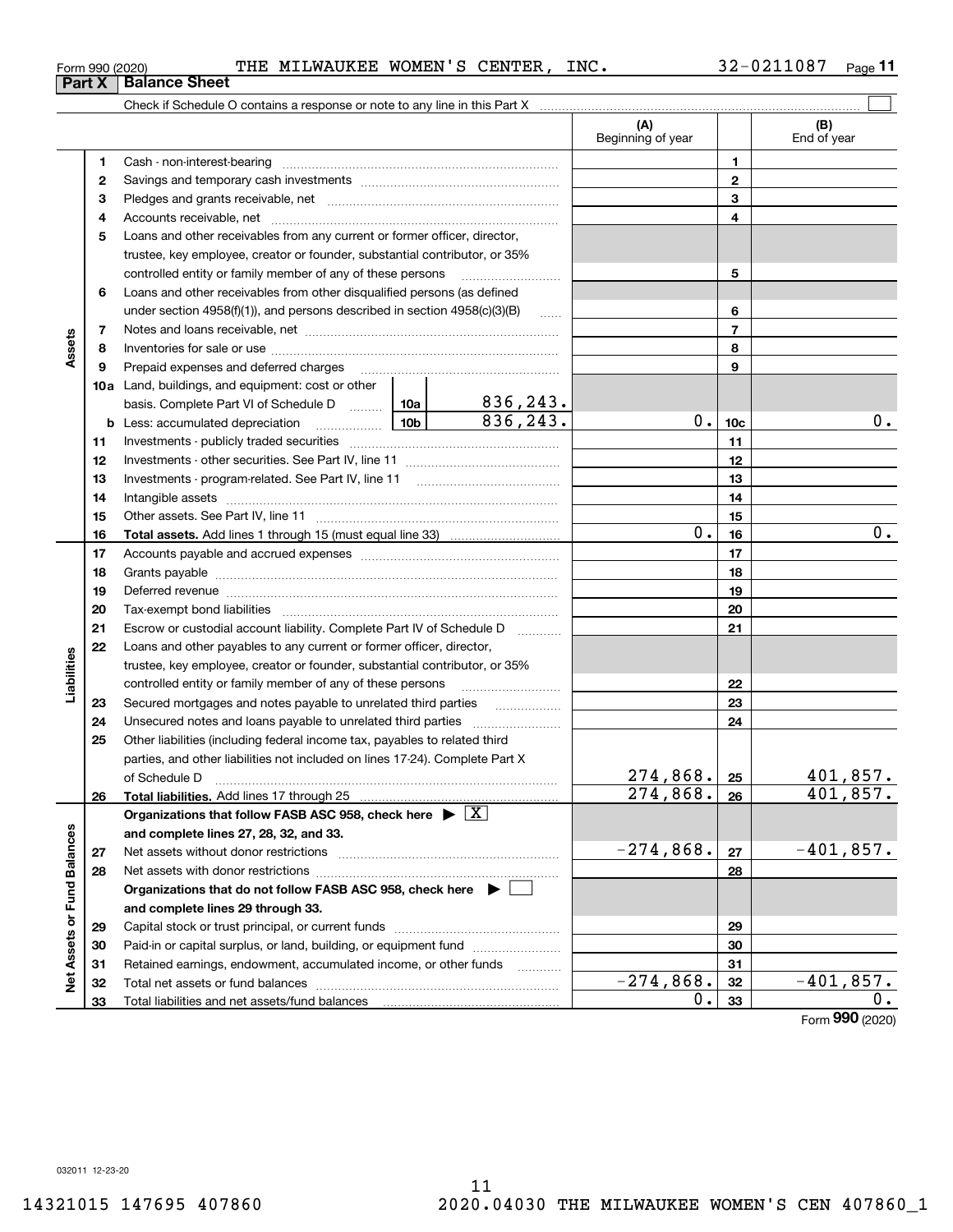### <code>Form</code> 990 (2020) THE <code>MILWAUKEE WOMEN'S CENTER</code> , <code>INC</code> .  $32\text{--}0211087$  <code>Page</code>

**11**

|                             |    | Check if Schedule O contains a response or note to any line in this Part X [11] manufacture in the schedule O contains a response or note to any line in this Part X [11] manufacture in the state of the state of the state o |  |           |                          |                 |                    |
|-----------------------------|----|--------------------------------------------------------------------------------------------------------------------------------------------------------------------------------------------------------------------------------|--|-----------|--------------------------|-----------------|--------------------|
|                             |    |                                                                                                                                                                                                                                |  |           | (A)<br>Beginning of year |                 | (B)<br>End of year |
|                             | 1  |                                                                                                                                                                                                                                |  |           |                          | 1               |                    |
|                             | 2  |                                                                                                                                                                                                                                |  |           |                          | $\mathbf 2$     |                    |
|                             | 3  |                                                                                                                                                                                                                                |  |           |                          | 3               |                    |
|                             | 4  |                                                                                                                                                                                                                                |  |           | 4                        |                 |                    |
|                             | 5  | Loans and other receivables from any current or former officer, director,                                                                                                                                                      |  |           |                          |                 |                    |
|                             |    | trustee, key employee, creator or founder, substantial contributor, or 35%                                                                                                                                                     |  |           |                          |                 |                    |
|                             |    | controlled entity or family member of any of these persons                                                                                                                                                                     |  |           |                          | 5               |                    |
|                             | 6  | Loans and other receivables from other disqualified persons (as defined                                                                                                                                                        |  |           |                          |                 |                    |
|                             |    | under section $4958(f)(1)$ , and persons described in section $4958(c)(3)(B)$                                                                                                                                                  |  |           |                          | 6               |                    |
|                             | 7  |                                                                                                                                                                                                                                |  |           | $\overline{7}$           |                 |                    |
| Assets                      | 8  |                                                                                                                                                                                                                                |  |           |                          | 8               |                    |
|                             | 9  | Prepaid expenses and deferred charges [11] [11] prepaid expenses and deferred charges [11] [11] minimum materials                                                                                                              |  |           |                          | 9               |                    |
|                             |    | <b>10a</b> Land, buildings, and equipment: cost or other                                                                                                                                                                       |  |           |                          |                 |                    |
|                             |    | basis. Complete Part VI of Schedule D    10a   836, 243.                                                                                                                                                                       |  |           |                          |                 |                    |
|                             |    | <b>b</b> Less: accumulated depreciation                                                                                                                                                                                        |  | 836, 243. | $0$ .                    | 10 <sub>c</sub> | $0$ .              |
|                             | 11 |                                                                                                                                                                                                                                |  | 11        |                          |                 |                    |
|                             | 12 |                                                                                                                                                                                                                                |  | 12        |                          |                 |                    |
|                             | 13 |                                                                                                                                                                                                                                |  | 13        |                          |                 |                    |
|                             | 14 |                                                                                                                                                                                                                                |  | 14        |                          |                 |                    |
|                             | 15 |                                                                                                                                                                                                                                |  |           | 15                       |                 |                    |
|                             | 16 |                                                                                                                                                                                                                                |  | $0$ .     | 16                       | $0$ .           |                    |
|                             | 17 |                                                                                                                                                                                                                                |  |           | 17                       |                 |                    |
|                             | 18 |                                                                                                                                                                                                                                |  | 18        |                          |                 |                    |
|                             | 19 | Deferred revenue material contracts and a contract of the contract of the contract of the contract of the contract of the contract of the contract of the contract of the contract of the contract of the contract of the cont |  |           | 19                       |                 |                    |
|                             | 20 |                                                                                                                                                                                                                                |  |           |                          | 20              |                    |
|                             | 21 | Escrow or custodial account liability. Complete Part IV of Schedule D                                                                                                                                                          |  |           |                          | 21              |                    |
|                             | 22 | Loans and other payables to any current or former officer, director,                                                                                                                                                           |  |           |                          |                 |                    |
| Liabilities                 |    | trustee, key employee, creator or founder, substantial contributor, or 35%                                                                                                                                                     |  |           |                          |                 |                    |
|                             |    | controlled entity or family member of any of these persons                                                                                                                                                                     |  |           |                          | 22              |                    |
|                             | 23 | Secured mortgages and notes payable to unrelated third parties                                                                                                                                                                 |  |           |                          | 23              |                    |
|                             | 24 |                                                                                                                                                                                                                                |  |           |                          | 24              |                    |
|                             | 25 | Other liabilities (including federal income tax, payables to related third                                                                                                                                                     |  |           |                          |                 |                    |
|                             |    | parties, and other liabilities not included on lines 17-24). Complete Part X                                                                                                                                                   |  |           |                          |                 |                    |
|                             |    | of Schedule D                                                                                                                                                                                                                  |  |           | 274,868.                 | 25              | 401,857.           |
|                             | 26 | Total liabilities. Add lines 17 through 25                                                                                                                                                                                     |  |           | $\overline{274,868}$ .   | 26              | 401,857.           |
|                             |    | Organizations that follow FASB ASC 958, check here $\blacktriangleright \lfloor X \rfloor$                                                                                                                                     |  |           |                          |                 |                    |
|                             |    | and complete lines 27, 28, 32, and 33.                                                                                                                                                                                         |  |           |                          |                 |                    |
|                             | 27 |                                                                                                                                                                                                                                |  |           | $-274,868.$              | 27              | $-401,857.$        |
|                             | 28 |                                                                                                                                                                                                                                |  |           |                          | 28              |                    |
|                             |    | Organizations that do not follow FASB ASC 958, check here $\blacktriangleright \lfloor$                                                                                                                                        |  |           |                          |                 |                    |
|                             |    | and complete lines 29 through 33.                                                                                                                                                                                              |  |           |                          |                 |                    |
|                             | 29 |                                                                                                                                                                                                                                |  |           |                          | 29              |                    |
|                             | 30 | Paid-in or capital surplus, or land, building, or equipment fund                                                                                                                                                               |  |           |                          | 30              |                    |
|                             | 31 | Retained earnings, endowment, accumulated income, or other funds                                                                                                                                                               |  |           |                          | 31              |                    |
| Net Assets or Fund Balances | 32 |                                                                                                                                                                                                                                |  |           | $-274,868.$              | 32              | $-401,857.$        |
|                             | 33 |                                                                                                                                                                                                                                |  |           | 0.                       | 33              | 0.                 |
|                             |    |                                                                                                                                                                                                                                |  |           |                          |                 |                    |

Form (2020) **990**

**Part X Balance Sheet**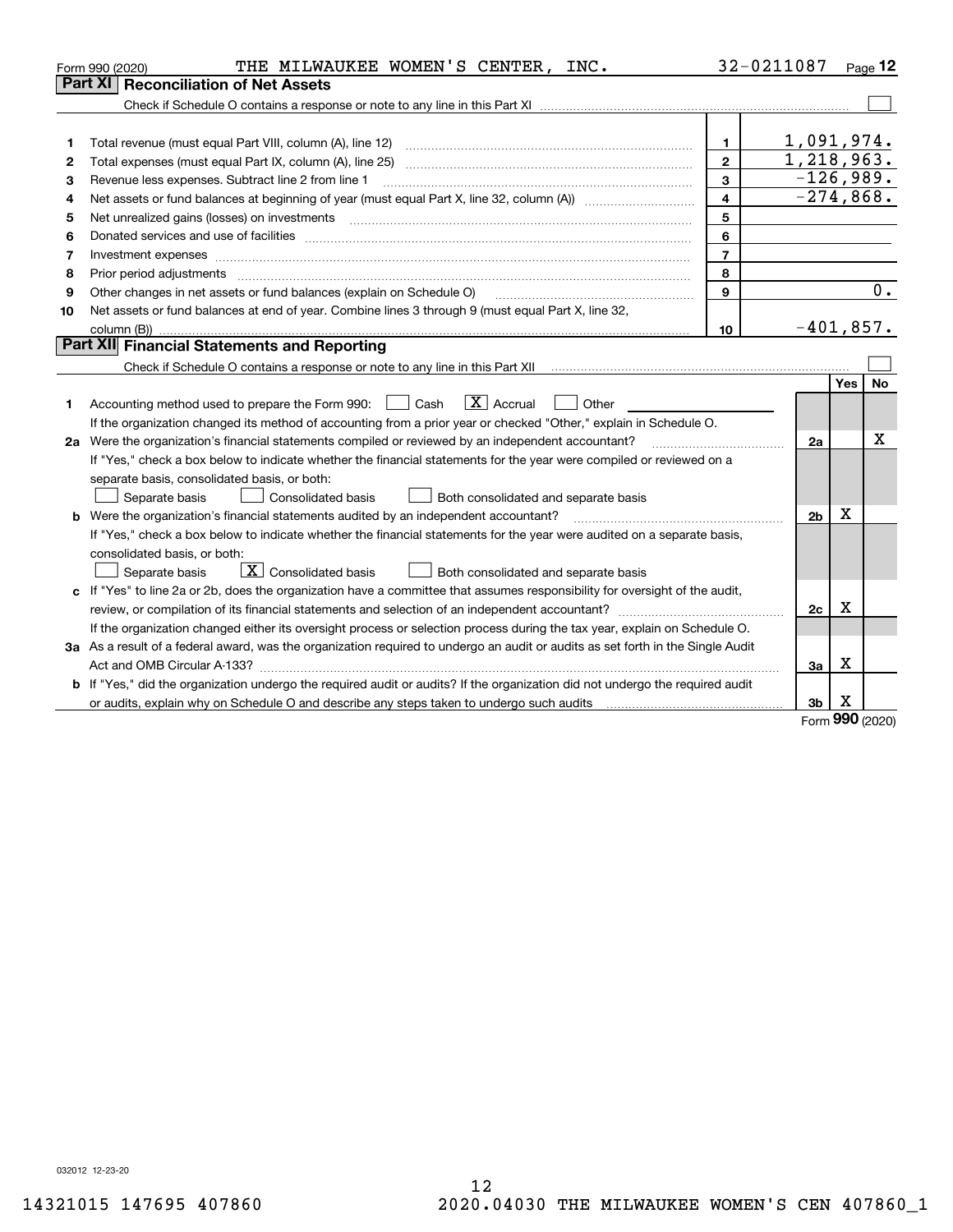|    | THE MILWAUKEE WOMEN'S CENTER, INC.<br>Form 990 (2020)                                                                                                                                                                          |                | 32-0211087     |            | Page $12$        |
|----|--------------------------------------------------------------------------------------------------------------------------------------------------------------------------------------------------------------------------------|----------------|----------------|------------|------------------|
|    | Part XI<br><b>Reconciliation of Net Assets</b>                                                                                                                                                                                 |                |                |            |                  |
|    |                                                                                                                                                                                                                                |                |                |            |                  |
|    |                                                                                                                                                                                                                                |                |                |            |                  |
| 1  |                                                                                                                                                                                                                                | 1              | 1,091,974.     |            |                  |
| 2  |                                                                                                                                                                                                                                | $\mathbf{2}$   | 1,218,963.     |            |                  |
| З  | Revenue less expenses. Subtract line 2 from line 1                                                                                                                                                                             | 3              | $-126,989.$    |            |                  |
| 4  |                                                                                                                                                                                                                                | $\overline{4}$ | $-274,868.$    |            |                  |
| 5  | Net unrealized gains (losses) on investments [11] matter contracts and the state of the state of the state of the state of the state of the state of the state of the state of the state of the state of the state of the stat | 5              |                |            |                  |
| 6  | Donated services and use of facilities [111] processes and the service of facilities [11] processes and use of facilities [11] processes and the service of facilities [11] processes and the service of the service of the se | 6              |                |            |                  |
| 7  | Investment expenses www.communication.com/www.communication.com/www.communication.com/www.com                                                                                                                                  | $\overline{7}$ |                |            |                  |
| 8  | Prior period adjustments material contents and content of the content of the content of the content of the content of the content of the content of the content of the content of the content of the content of the content of | 8              |                |            |                  |
| 9  | Other changes in net assets or fund balances (explain on Schedule O)                                                                                                                                                           | 9              |                |            | $\overline{0}$ . |
| 10 | Net assets or fund balances at end of year. Combine lines 3 through 9 (must equal Part X, line 32,                                                                                                                             |                |                |            |                  |
|    |                                                                                                                                                                                                                                | 10             | $-401,857.$    |            |                  |
|    | Part XII Financial Statements and Reporting                                                                                                                                                                                    |                |                |            |                  |
|    |                                                                                                                                                                                                                                |                |                |            |                  |
|    |                                                                                                                                                                                                                                |                |                | <b>Yes</b> | <b>No</b>        |
| 1  | $\mathbf{X}$ Accrual<br>Accounting method used to prepare the Form 990: <u>In Cash</u><br>Other                                                                                                                                |                |                |            |                  |
|    | If the organization changed its method of accounting from a prior year or checked "Other," explain in Schedule O.                                                                                                              |                |                |            |                  |
|    |                                                                                                                                                                                                                                |                | 2a             |            | х                |
|    | If "Yes," check a box below to indicate whether the financial statements for the year were compiled or reviewed on a                                                                                                           |                |                |            |                  |
|    | separate basis, consolidated basis, or both:                                                                                                                                                                                   |                |                |            |                  |
|    | Both consolidated and separate basis<br>Separate basis<br>Consolidated basis                                                                                                                                                   |                |                |            |                  |
|    | <b>b</b> Were the organization's financial statements audited by an independent accountant?                                                                                                                                    |                | 2 <sub>b</sub> | Х          |                  |
|    | If "Yes," check a box below to indicate whether the financial statements for the year were audited on a separate basis,                                                                                                        |                |                |            |                  |
|    | consolidated basis, or both:                                                                                                                                                                                                   |                |                |            |                  |
|    | X Consolidated basis<br>Both consolidated and separate basis<br>Separate basis                                                                                                                                                 |                |                |            |                  |
|    | c If "Yes" to line 2a or 2b, does the organization have a committee that assumes responsibility for oversight of the audit,                                                                                                    |                |                |            |                  |
|    |                                                                                                                                                                                                                                |                | 2c             | х          |                  |
|    | If the organization changed either its oversight process or selection process during the tax year, explain on Schedule O.                                                                                                      |                |                |            |                  |
|    | 3a As a result of a federal award, was the organization required to undergo an audit or audits as set forth in the Single Audit                                                                                                |                |                |            |                  |
|    |                                                                                                                                                                                                                                |                | 3a             | x          |                  |
|    | <b>b</b> If "Yes," did the organization undergo the required audit or audits? If the organization did not undergo the required audit                                                                                           |                |                |            |                  |
|    |                                                                                                                                                                                                                                |                | 3b             | х<br>ś     |                  |

Form (2020) **990**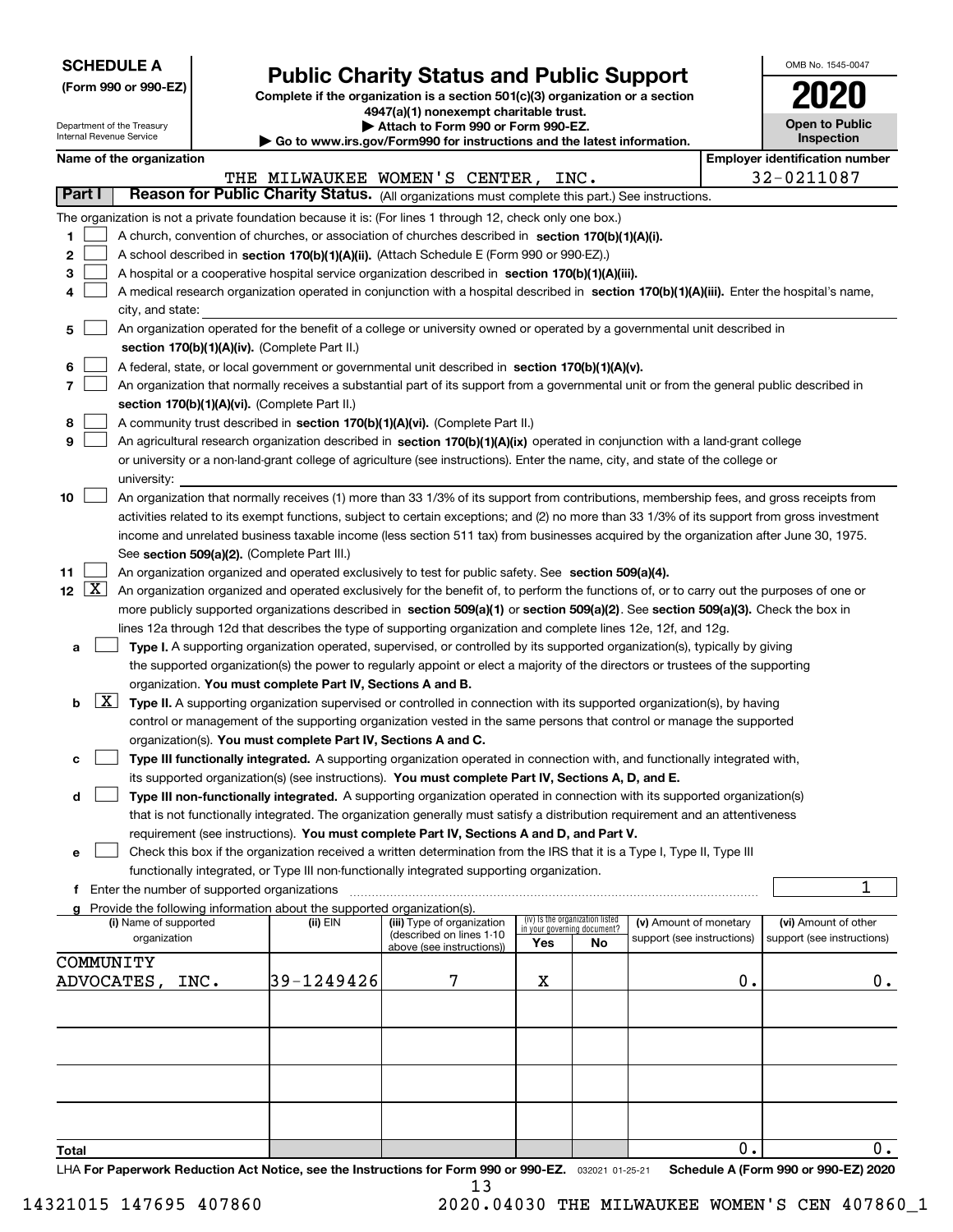| <b>SCHEDULE A</b> |
|-------------------|
|-------------------|

**(Form 990 or 990-EZ)**

# **Public Charity Status and Public Support**

**Complete if the organization is a section 501(c)(3) organization or a section 4947(a)(1) nonexempt charitable trust. | Attach to Form 990 or Form 990-EZ.** 

| OMB No. 1545-0047     |
|-----------------------|
| 2020                  |
| <b>Open to Public</b> |

|                  | Department of the Treasury<br>Internal Revenue Service |      |                                                                                    | Attach to Form 990 or Form 990-EZ.<br>Go to www.irs.gov/Form990 for instructions and the latest information.                                 |     |                                |                            |    | <b>Open to Public</b><br>Inspection   |
|------------------|--------------------------------------------------------|------|------------------------------------------------------------------------------------|----------------------------------------------------------------------------------------------------------------------------------------------|-----|--------------------------------|----------------------------|----|---------------------------------------|
|                  | Name of the organization                               |      |                                                                                    |                                                                                                                                              |     |                                |                            |    | <b>Employer identification number</b> |
|                  |                                                        |      |                                                                                    | THE MILWAUKEE WOMEN'S CENTER,                                                                                                                |     | INC.                           |                            |    | 32-0211087                            |
| Part I           |                                                        |      |                                                                                    | Reason for Public Charity Status. (All organizations must complete this part.) See instructions.                                             |     |                                |                            |    |                                       |
|                  |                                                        |      |                                                                                    | The organization is not a private foundation because it is: (For lines 1 through 12, check only one box.)                                    |     |                                |                            |    |                                       |
| 1.               |                                                        |      |                                                                                    | A church, convention of churches, or association of churches described in section 170(b)(1)(A)(i).                                           |     |                                |                            |    |                                       |
| 2                |                                                        |      |                                                                                    | A school described in section 170(b)(1)(A)(ii). (Attach Schedule E (Form 990 or 990-EZ).)                                                    |     |                                |                            |    |                                       |
| 3                |                                                        |      |                                                                                    | A hospital or a cooperative hospital service organization described in section 170(b)(1)(A)(iii).                                            |     |                                |                            |    |                                       |
| 4                |                                                        |      |                                                                                    | A medical research organization operated in conjunction with a hospital described in section 170(b)(1)(A)(iii). Enter the hospital's name,   |     |                                |                            |    |                                       |
|                  | city, and state:                                       |      |                                                                                    |                                                                                                                                              |     |                                |                            |    |                                       |
| 5                |                                                        |      |                                                                                    | An organization operated for the benefit of a college or university owned or operated by a governmental unit described in                    |     |                                |                            |    |                                       |
|                  |                                                        |      | section 170(b)(1)(A)(iv). (Complete Part II.)                                      |                                                                                                                                              |     |                                |                            |    |                                       |
| 6                |                                                        |      |                                                                                    | A federal, state, or local government or governmental unit described in section 170(b)(1)(A)(v).                                             |     |                                |                            |    |                                       |
| 7                |                                                        |      |                                                                                    | An organization that normally receives a substantial part of its support from a governmental unit or from the general public described in    |     |                                |                            |    |                                       |
|                  |                                                        |      | section 170(b)(1)(A)(vi). (Complete Part II.)                                      |                                                                                                                                              |     |                                |                            |    |                                       |
| 8                |                                                        |      |                                                                                    | A community trust described in section 170(b)(1)(A)(vi). (Complete Part II.)                                                                 |     |                                |                            |    |                                       |
| 9                |                                                        |      |                                                                                    | An agricultural research organization described in section 170(b)(1)(A)(ix) operated in conjunction with a land-grant college                |     |                                |                            |    |                                       |
|                  |                                                        |      |                                                                                    | or university or a non-land-grant college of agriculture (see instructions). Enter the name, city, and state of the college or               |     |                                |                            |    |                                       |
|                  | university:                                            |      |                                                                                    |                                                                                                                                              |     |                                |                            |    |                                       |
| 10               |                                                        |      |                                                                                    | An organization that normally receives (1) more than 33 1/3% of its support from contributions, membership fees, and gross receipts from     |     |                                |                            |    |                                       |
|                  |                                                        |      |                                                                                    | activities related to its exempt functions, subject to certain exceptions; and (2) no more than 33 1/3% of its support from gross investment |     |                                |                            |    |                                       |
|                  |                                                        |      |                                                                                    | income and unrelated business taxable income (less section 511 tax) from businesses acquired by the organization after June 30, 1975.        |     |                                |                            |    |                                       |
|                  |                                                        |      | See section 509(a)(2). (Complete Part III.)                                        |                                                                                                                                              |     |                                |                            |    |                                       |
| 11               |                                                        |      |                                                                                    | An organization organized and operated exclusively to test for public safety. See section 509(a)(4).                                         |     |                                |                            |    |                                       |
| $12 \mid X \mid$ |                                                        |      |                                                                                    | An organization organized and operated exclusively for the benefit of, to perform the functions of, or to carry out the purposes of one or   |     |                                |                            |    |                                       |
|                  |                                                        |      |                                                                                    | more publicly supported organizations described in section 509(a)(1) or section 509(a)(2). See section 509(a)(3). Check the box in           |     |                                |                            |    |                                       |
|                  |                                                        |      |                                                                                    | lines 12a through 12d that describes the type of supporting organization and complete lines 12e, 12f, and 12g.                               |     |                                |                            |    |                                       |
| а                |                                                        |      |                                                                                    | Type I. A supporting organization operated, supervised, or controlled by its supported organization(s), typically by giving                  |     |                                |                            |    |                                       |
|                  |                                                        |      |                                                                                    | the supported organization(s) the power to regularly appoint or elect a majority of the directors or trustees of the supporting              |     |                                |                            |    |                                       |
|                  |                                                        |      | organization. You must complete Part IV, Sections A and B.                         |                                                                                                                                              |     |                                |                            |    |                                       |
| b                | $\lfloor x \rfloor$                                    |      |                                                                                    | Type II. A supporting organization supervised or controlled in connection with its supported organization(s), by having                      |     |                                |                            |    |                                       |
|                  |                                                        |      |                                                                                    | control or management of the supporting organization vested in the same persons that control or manage the supported                         |     |                                |                            |    |                                       |
|                  |                                                        |      | organization(s). You must complete Part IV, Sections A and C.                      |                                                                                                                                              |     |                                |                            |    |                                       |
| с                |                                                        |      |                                                                                    | Type III functionally integrated. A supporting organization operated in connection with, and functionally integrated with,                   |     |                                |                            |    |                                       |
|                  |                                                        |      |                                                                                    | its supported organization(s) (see instructions). You must complete Part IV, Sections A, D, and E.                                           |     |                                |                            |    |                                       |
| d                |                                                        |      |                                                                                    | Type III non-functionally integrated. A supporting organization operated in connection with its supported organization(s)                    |     |                                |                            |    |                                       |
|                  |                                                        |      |                                                                                    | that is not functionally integrated. The organization generally must satisfy a distribution requirement and an attentiveness                 |     |                                |                            |    |                                       |
|                  |                                                        |      |                                                                                    | requirement (see instructions). You must complete Part IV, Sections A and D, and Part V.                                                     |     |                                |                            |    |                                       |
| е                |                                                        |      |                                                                                    | Check this box if the organization received a written determination from the IRS that it is a Type I, Type II, Type III                      |     |                                |                            |    |                                       |
|                  |                                                        |      |                                                                                    | functionally integrated, or Type III non-functionally integrated supporting organization.                                                    |     |                                |                            |    |                                       |
|                  | f Enter the number of supported organizations          |      |                                                                                    |                                                                                                                                              |     |                                |                            |    | 1                                     |
|                  | (i) Name of supported                                  |      | Provide the following information about the supported organization(s).<br>(ii) EIN | (iii) Type of organization                                                                                                                   |     | iv) Is the organization listed | (v) Amount of monetary     |    | (vi) Amount of other                  |
|                  | organization                                           |      |                                                                                    | (described on lines 1-10                                                                                                                     |     | in your governing document?    | support (see instructions) |    | support (see instructions)            |
|                  |                                                        |      |                                                                                    | above (see instructions))                                                                                                                    | Yes | No                             |                            |    |                                       |
|                  | COMMUNITY                                              |      |                                                                                    |                                                                                                                                              |     |                                |                            |    |                                       |
|                  | ADVOCATES ,                                            | INC. | 39-1249426                                                                         | 7                                                                                                                                            | х   |                                |                            | 0. | $0$ .                                 |
|                  |                                                        |      |                                                                                    |                                                                                                                                              |     |                                |                            |    |                                       |
|                  |                                                        |      |                                                                                    |                                                                                                                                              |     |                                |                            |    |                                       |
|                  |                                                        |      |                                                                                    |                                                                                                                                              |     |                                |                            |    |                                       |
|                  |                                                        |      |                                                                                    |                                                                                                                                              |     |                                |                            |    |                                       |
|                  |                                                        |      |                                                                                    |                                                                                                                                              |     |                                |                            |    |                                       |
|                  |                                                        |      |                                                                                    |                                                                                                                                              |     |                                |                            |    |                                       |
|                  |                                                        |      |                                                                                    |                                                                                                                                              |     |                                |                            |    |                                       |
| Total            |                                                        |      |                                                                                    |                                                                                                                                              |     |                                |                            | 0. | 0.                                    |

**Total**

LHA For Paperwork Reduction Act Notice, see the Instructions for Form 990 or 990-EZ. <sub>032021</sub> o1-25-21 Schedule A (Form 990 or 990-EZ) 2020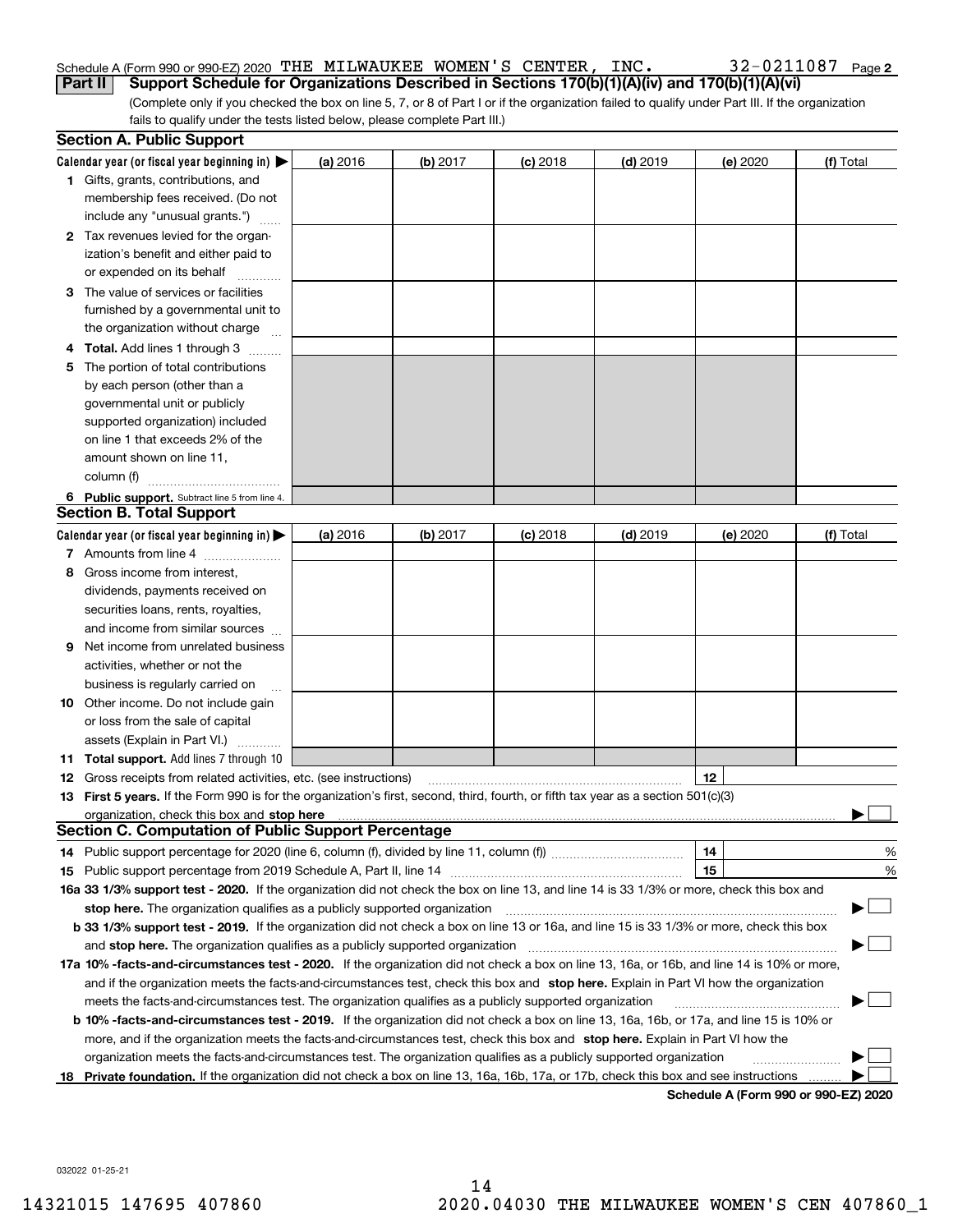#### Schedule A (Form 990 or 990-EZ) 2020 Page THE MILWAUKEE WOMEN'S CENTER, INC. 32-0211087 **Part II** Support Schedule for Organizations Described in Sections 170(b)(1)(A)(iv) and 170(b)(1)(A)(vi)

|  | 32-0211087 Page 2 |  |
|--|-------------------|--|
|--|-------------------|--|

(Complete only if you checked the box on line 5, 7, or 8 of Part I or if the organization failed to qualify under Part III. If the organization fails to qualify under the tests listed below, please complete Part III.)

|    | <b>Section A. Public Support</b>                                                                                                               |          |                 |            |            |                                      |           |
|----|------------------------------------------------------------------------------------------------------------------------------------------------|----------|-----------------|------------|------------|--------------------------------------|-----------|
|    | Calendar year (or fiscal year beginning in) $\blacktriangleright$                                                                              | (a) 2016 | <b>(b)</b> 2017 | $(c)$ 2018 | $(d)$ 2019 | (e) 2020                             | (f) Total |
|    | <b>1</b> Gifts, grants, contributions, and                                                                                                     |          |                 |            |            |                                      |           |
|    | membership fees received. (Do not                                                                                                              |          |                 |            |            |                                      |           |
|    | include any "unusual grants.")                                                                                                                 |          |                 |            |            |                                      |           |
|    | 2 Tax revenues levied for the organ-                                                                                                           |          |                 |            |            |                                      |           |
|    | ization's benefit and either paid to                                                                                                           |          |                 |            |            |                                      |           |
|    | or expended on its behalf                                                                                                                      |          |                 |            |            |                                      |           |
|    | 3 The value of services or facilities                                                                                                          |          |                 |            |            |                                      |           |
|    | furnished by a governmental unit to                                                                                                            |          |                 |            |            |                                      |           |
|    | the organization without charge                                                                                                                |          |                 |            |            |                                      |           |
|    | 4 Total. Add lines 1 through 3                                                                                                                 |          |                 |            |            |                                      |           |
| 5  | The portion of total contributions                                                                                                             |          |                 |            |            |                                      |           |
|    | by each person (other than a                                                                                                                   |          |                 |            |            |                                      |           |
|    | governmental unit or publicly                                                                                                                  |          |                 |            |            |                                      |           |
|    | supported organization) included                                                                                                               |          |                 |            |            |                                      |           |
|    | on line 1 that exceeds 2% of the                                                                                                               |          |                 |            |            |                                      |           |
|    | amount shown on line 11,                                                                                                                       |          |                 |            |            |                                      |           |
|    | column (f)                                                                                                                                     |          |                 |            |            |                                      |           |
|    | 6 Public support. Subtract line 5 from line 4.                                                                                                 |          |                 |            |            |                                      |           |
|    | <b>Section B. Total Support</b>                                                                                                                |          |                 |            |            |                                      |           |
|    | Calendar year (or fiscal year beginning in) $\blacktriangleright$                                                                              | (a) 2016 | (b) 2017        | $(c)$ 2018 | $(d)$ 2019 | (e) 2020                             | (f) Total |
|    | 7 Amounts from line 4                                                                                                                          |          |                 |            |            |                                      |           |
|    | 8 Gross income from interest,                                                                                                                  |          |                 |            |            |                                      |           |
|    | dividends, payments received on                                                                                                                |          |                 |            |            |                                      |           |
|    | securities loans, rents, royalties,                                                                                                            |          |                 |            |            |                                      |           |
|    | and income from similar sources                                                                                                                |          |                 |            |            |                                      |           |
| 9. | Net income from unrelated business                                                                                                             |          |                 |            |            |                                      |           |
|    | activities, whether or not the                                                                                                                 |          |                 |            |            |                                      |           |
|    | business is regularly carried on                                                                                                               |          |                 |            |            |                                      |           |
|    | <b>10</b> Other income. Do not include gain                                                                                                    |          |                 |            |            |                                      |           |
|    | or loss from the sale of capital                                                                                                               |          |                 |            |            |                                      |           |
|    | assets (Explain in Part VI.)                                                                                                                   |          |                 |            |            |                                      |           |
|    | <b>11 Total support.</b> Add lines 7 through 10                                                                                                |          |                 |            |            |                                      |           |
|    | <b>12</b> Gross receipts from related activities, etc. (see instructions)                                                                      |          |                 |            |            | 12                                   |           |
|    | 13 First 5 years. If the Form 990 is for the organization's first, second, third, fourth, or fifth tax year as a section 501(c)(3)             |          |                 |            |            |                                      |           |
|    |                                                                                                                                                |          |                 |            |            |                                      |           |
|    | <b>Section C. Computation of Public Support Percentage</b>                                                                                     |          |                 |            |            |                                      |           |
|    | 14 Public support percentage for 2020 (line 6, column (f), divided by line 11, column (f) <i>mummumumum</i>                                    |          |                 |            |            | 14                                   | %         |
|    |                                                                                                                                                |          |                 |            |            | 15                                   | %         |
|    | 16a 33 1/3% support test - 2020. If the organization did not check the box on line 13, and line 14 is 33 1/3% or more, check this box and      |          |                 |            |            |                                      |           |
|    | stop here. The organization qualifies as a publicly supported organization                                                                     |          |                 |            |            |                                      |           |
|    | b 33 1/3% support test - 2019. If the organization did not check a box on line 13 or 16a, and line 15 is 33 1/3% or more, check this box       |          |                 |            |            |                                      |           |
|    | and stop here. The organization qualifies as a publicly supported organization                                                                 |          |                 |            |            |                                      |           |
|    | 17a 10% -facts-and-circumstances test - 2020. If the organization did not check a box on line 13, 16a, or 16b, and line 14 is 10% or more,     |          |                 |            |            |                                      |           |
|    | and if the organization meets the facts-and-circumstances test, check this box and stop here. Explain in Part VI how the organization          |          |                 |            |            |                                      |           |
|    | meets the facts-and-circumstances test. The organization qualifies as a publicly supported organization                                        |          |                 |            |            |                                      |           |
|    | <b>b 10% -facts-and-circumstances test - 2019.</b> If the organization did not check a box on line 13, 16a, 16b, or 17a, and line 15 is 10% or |          |                 |            |            |                                      |           |
|    | more, and if the organization meets the facts-and-circumstances test, check this box and stop here. Explain in Part VI how the                 |          |                 |            |            |                                      |           |
|    | organization meets the facts-and-circumstances test. The organization qualifies as a publicly supported organization                           |          |                 |            |            |                                      |           |
| 18 | Private foundation. If the organization did not check a box on line 13, 16a, 16b, 17a, or 17b, check this box and see instructions             |          |                 |            |            |                                      |           |
|    |                                                                                                                                                |          |                 |            |            | Schedule A (Form 990 or 990-F7) 2020 |           |

**Schedule A (Form 990 or 990-EZ) 2020**

032022 01-25-21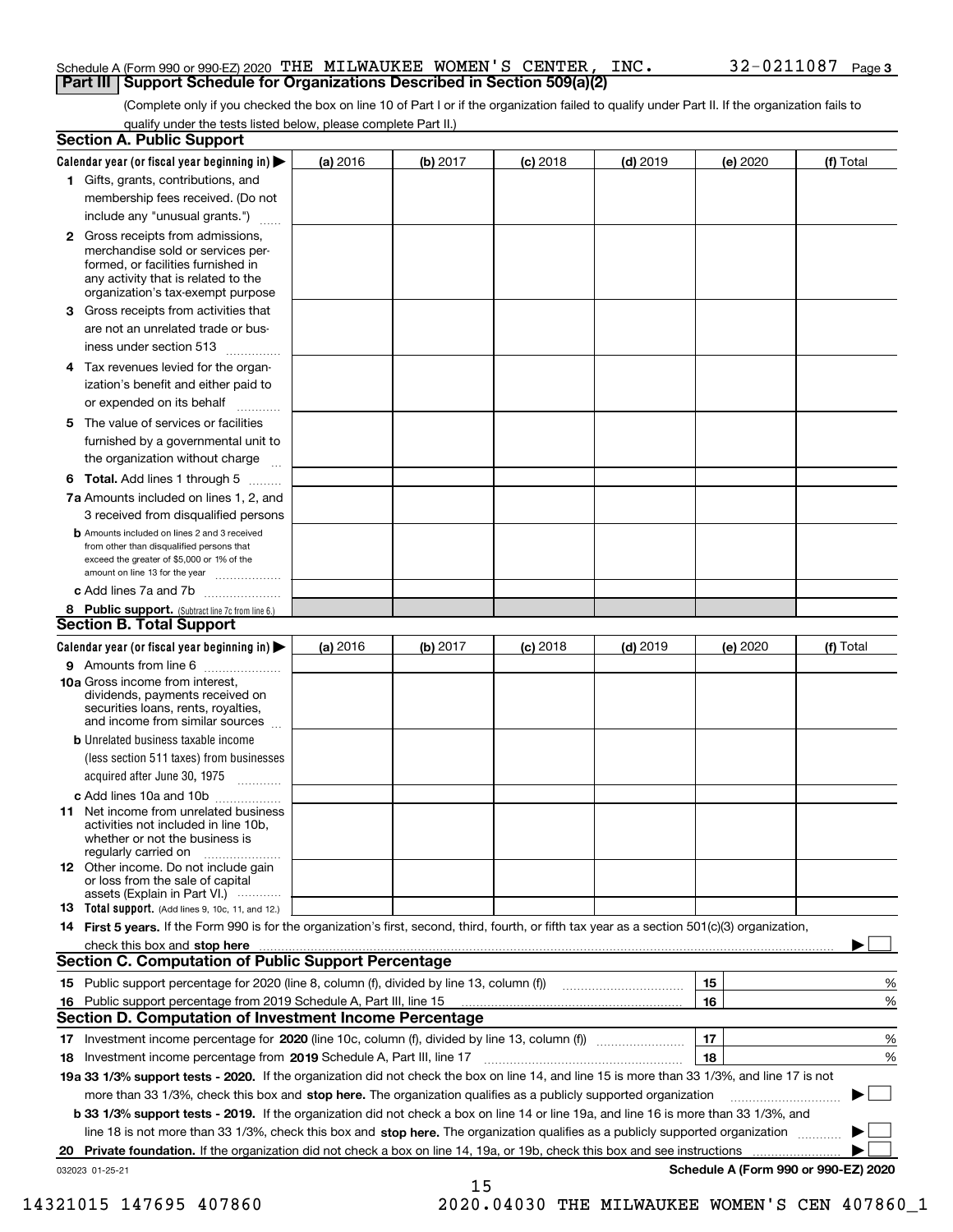#### Schedule A (Form 990 or 990-EZ) 2020 Page THE MILWAUKEE WOMEN'S CENTER, INC. 32-0211087 **Part III Support Schedule for Organizations Described in Section 509(a)(2)**

(Complete only if you checked the box on line 10 of Part I or if the organization failed to qualify under Part II. If the organization fails to qualify under the tests listed below, please complete Part II.)

|    | <b>Section A. Public Support</b>                                                                                                                                                         |          |          |            |            |          |                                      |
|----|------------------------------------------------------------------------------------------------------------------------------------------------------------------------------------------|----------|----------|------------|------------|----------|--------------------------------------|
|    | Calendar year (or fiscal year beginning in) $\blacktriangleright$                                                                                                                        | (a) 2016 | (b) 2017 | $(c)$ 2018 | $(d)$ 2019 | (e) 2020 | (f) Total                            |
|    | 1 Gifts, grants, contributions, and                                                                                                                                                      |          |          |            |            |          |                                      |
|    | membership fees received. (Do not                                                                                                                                                        |          |          |            |            |          |                                      |
|    | include any "unusual grants.")                                                                                                                                                           |          |          |            |            |          |                                      |
|    | 2 Gross receipts from admissions,<br>merchandise sold or services per-<br>formed, or facilities furnished in<br>any activity that is related to the<br>organization's tax-exempt purpose |          |          |            |            |          |                                      |
|    | 3 Gross receipts from activities that<br>are not an unrelated trade or bus-                                                                                                              |          |          |            |            |          |                                      |
|    | iness under section 513                                                                                                                                                                  |          |          |            |            |          |                                      |
|    | 4 Tax revenues levied for the organ-                                                                                                                                                     |          |          |            |            |          |                                      |
|    | ization's benefit and either paid to<br>or expended on its behalf<br>.                                                                                                                   |          |          |            |            |          |                                      |
|    | 5 The value of services or facilities                                                                                                                                                    |          |          |            |            |          |                                      |
|    | furnished by a governmental unit to                                                                                                                                                      |          |          |            |            |          |                                      |
|    | the organization without charge                                                                                                                                                          |          |          |            |            |          |                                      |
|    | <b>6 Total.</b> Add lines 1 through 5                                                                                                                                                    |          |          |            |            |          |                                      |
|    | 7a Amounts included on lines 1, 2, and<br>3 received from disqualified persons                                                                                                           |          |          |            |            |          |                                      |
|    | <b>b</b> Amounts included on lines 2 and 3 received<br>from other than disqualified persons that<br>exceed the greater of \$5,000 or 1% of the<br>amount on line 13 for the year         |          |          |            |            |          |                                      |
|    | c Add lines 7a and 7b                                                                                                                                                                    |          |          |            |            |          |                                      |
|    | 8 Public support. (Subtract line 7c from line 6.)                                                                                                                                        |          |          |            |            |          |                                      |
|    | <b>Section B. Total Support</b>                                                                                                                                                          |          |          |            |            |          |                                      |
|    | Calendar year (or fiscal year beginning in) $\blacktriangleright$                                                                                                                        | (a) 2016 | (b) 2017 | $(c)$ 2018 | $(d)$ 2019 | (e) 2020 | (f) Total                            |
|    | 9 Amounts from line 6                                                                                                                                                                    |          |          |            |            |          |                                      |
|    | 10a Gross income from interest,<br>dividends, payments received on<br>securities loans, rents, royalties,<br>and income from similar sources                                             |          |          |            |            |          |                                      |
|    | <b>b</b> Unrelated business taxable income<br>(less section 511 taxes) from businesses                                                                                                   |          |          |            |            |          |                                      |
|    | acquired after June 30, 1975                                                                                                                                                             |          |          |            |            |          |                                      |
|    | c Add lines 10a and 10b<br>11 Net income from unrelated business<br>activities not included in line 10b,<br>whether or not the business is<br>regularly carried on                       |          |          |            |            |          |                                      |
|    | 12 Other income. Do not include gain<br>or loss from the sale of capital<br>assets (Explain in Part VI.)                                                                                 |          |          |            |            |          |                                      |
|    | <b>13</b> Total support. (Add lines 9, 10c, 11, and 12.)                                                                                                                                 |          |          |            |            |          |                                      |
|    | 14 First 5 years. If the Form 990 is for the organization's first, second, third, fourth, or fifth tax year as a section 501(c)(3) organization,                                         |          |          |            |            |          |                                      |
|    | check this box and stop here measurements are constructed as the state of the state of the state of the state o                                                                          |          |          |            |            |          |                                      |
|    | Section C. Computation of Public Support Percentage                                                                                                                                      |          |          |            |            |          |                                      |
|    | 15 Public support percentage for 2020 (line 8, column (f), divided by line 13, column (f))                                                                                               |          |          |            |            | 15       | %                                    |
|    | 16 Public support percentage from 2019 Schedule A, Part III, line 15                                                                                                                     |          |          |            |            | 16       | %                                    |
|    | <b>Section D. Computation of Investment Income Percentage</b>                                                                                                                            |          |          |            |            |          |                                      |
|    | 17 Investment income percentage for 2020 (line 10c, column (f), divided by line 13, column (f))                                                                                          |          |          |            |            | 17       | %                                    |
|    | <b>18</b> Investment income percentage from <b>2019</b> Schedule A, Part III, line 17                                                                                                    |          |          |            |            | 18       | %                                    |
|    | 19a 33 1/3% support tests - 2020. If the organization did not check the box on line 14, and line 15 is more than 33 1/3%, and line 17 is not                                             |          |          |            |            |          |                                      |
|    | more than 33 1/3%, check this box and stop here. The organization qualifies as a publicly supported organization                                                                         |          |          |            |            |          | ▶                                    |
|    | b 33 1/3% support tests - 2019. If the organization did not check a box on line 14 or line 19a, and line 16 is more than 33 1/3%, and                                                    |          |          |            |            |          |                                      |
|    | line 18 is not more than 33 1/3%, check this box and stop here. The organization qualifies as a publicly supported organization                                                          |          |          |            |            |          |                                      |
| 20 | <b>Private foundation.</b> If the organization did not check a box on line 14, 19a, or 19b, check this box and see instructions                                                          |          |          |            |            |          |                                      |
|    | 032023 01-25-21                                                                                                                                                                          |          | 15       |            |            |          | Schedule A (Form 990 or 990-EZ) 2020 |

 <sup>14321015 147695 407860 2020.04030</sup> THE MILWAUKEE WOMEN'S CEN 407860\_1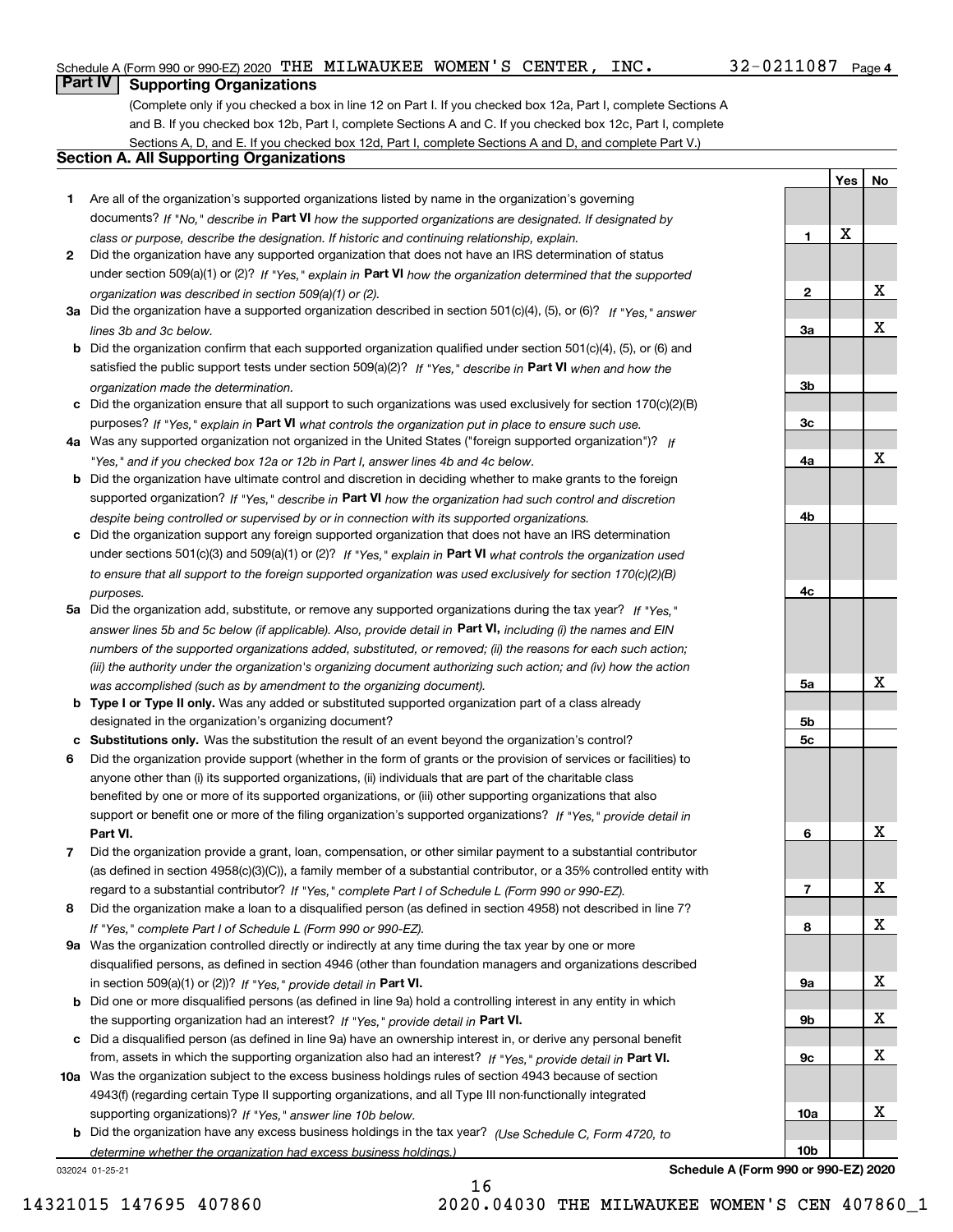**Yes**

**No**

## **Part IV Supporting Organizations**

(Complete only if you checked a box in line 12 on Part I. If you checked box 12a, Part I, complete Sections A and B. If you checked box 12b, Part I, complete Sections A and C. If you checked box 12c, Part I, complete Sections A, D, and E. If you checked box 12d, Part I, complete Sections A and D, and complete Part V.)

### **Section A. All Supporting Organizations**

- **1** Are all of the organization's supported organizations listed by name in the organization's governing documents? If "No," describe in **Part VI** how the supported organizations are designated. If designated by *class or purpose, describe the designation. If historic and continuing relationship, explain.*
- **2** Did the organization have any supported organization that does not have an IRS determination of status under section 509(a)(1) or (2)? If "Yes," explain in Part VI how the organization determined that the supported *organization was described in section 509(a)(1) or (2).*
- **3a** Did the organization have a supported organization described in section 501(c)(4), (5), or (6)? If "Yes," answer *lines 3b and 3c below.*
- **b** Did the organization confirm that each supported organization qualified under section 501(c)(4), (5), or (6) and satisfied the public support tests under section 509(a)(2)? If "Yes," describe in **Part VI** when and how the *organization made the determination.*
- **c**Did the organization ensure that all support to such organizations was used exclusively for section 170(c)(2)(B) purposes? If "Yes," explain in **Part VI** what controls the organization put in place to ensure such use.
- **4a***If* Was any supported organization not organized in the United States ("foreign supported organization")? *"Yes," and if you checked box 12a or 12b in Part I, answer lines 4b and 4c below.*
- **b** Did the organization have ultimate control and discretion in deciding whether to make grants to the foreign supported organization? If "Yes," describe in **Part VI** how the organization had such control and discretion *despite being controlled or supervised by or in connection with its supported organizations.*
- **c** Did the organization support any foreign supported organization that does not have an IRS determination under sections 501(c)(3) and 509(a)(1) or (2)? If "Yes," explain in **Part VI** what controls the organization used *to ensure that all support to the foreign supported organization was used exclusively for section 170(c)(2)(B) purposes.*
- **5a** Did the organization add, substitute, or remove any supported organizations during the tax year? If "Yes," answer lines 5b and 5c below (if applicable). Also, provide detail in **Part VI,** including (i) the names and EIN *numbers of the supported organizations added, substituted, or removed; (ii) the reasons for each such action; (iii) the authority under the organization's organizing document authorizing such action; and (iv) how the action was accomplished (such as by amendment to the organizing document).*
- **b** Type I or Type II only. Was any added or substituted supported organization part of a class already designated in the organization's organizing document?
- **cSubstitutions only.**  Was the substitution the result of an event beyond the organization's control?
- **6** Did the organization provide support (whether in the form of grants or the provision of services or facilities) to **Part VI.** *If "Yes," provide detail in* support or benefit one or more of the filing organization's supported organizations? anyone other than (i) its supported organizations, (ii) individuals that are part of the charitable class benefited by one or more of its supported organizations, or (iii) other supporting organizations that also
- **7**Did the organization provide a grant, loan, compensation, or other similar payment to a substantial contributor *If "Yes," complete Part I of Schedule L (Form 990 or 990-EZ).* regard to a substantial contributor? (as defined in section 4958(c)(3)(C)), a family member of a substantial contributor, or a 35% controlled entity with
- **8** Did the organization make a loan to a disqualified person (as defined in section 4958) not described in line 7? *If "Yes," complete Part I of Schedule L (Form 990 or 990-EZ).*
- **9a** Was the organization controlled directly or indirectly at any time during the tax year by one or more in section 509(a)(1) or (2))? If "Yes," *provide detail in* <code>Part VI.</code> disqualified persons, as defined in section 4946 (other than foundation managers and organizations described
- **b** Did one or more disqualified persons (as defined in line 9a) hold a controlling interest in any entity in which the supporting organization had an interest? If "Yes," provide detail in P**art VI**.
- **c**Did a disqualified person (as defined in line 9a) have an ownership interest in, or derive any personal benefit from, assets in which the supporting organization also had an interest? If "Yes," provide detail in P**art VI.**
- **10a** Was the organization subject to the excess business holdings rules of section 4943 because of section supporting organizations)? If "Yes," answer line 10b below. 4943(f) (regarding certain Type II supporting organizations, and all Type III non-functionally integrated
- **b** Did the organization have any excess business holdings in the tax year? (Use Schedule C, Form 4720, to *determine whether the organization had excess business holdings.)*

032024 01-25-21



**Schedule A (Form 990 or 990-EZ) 2020**

16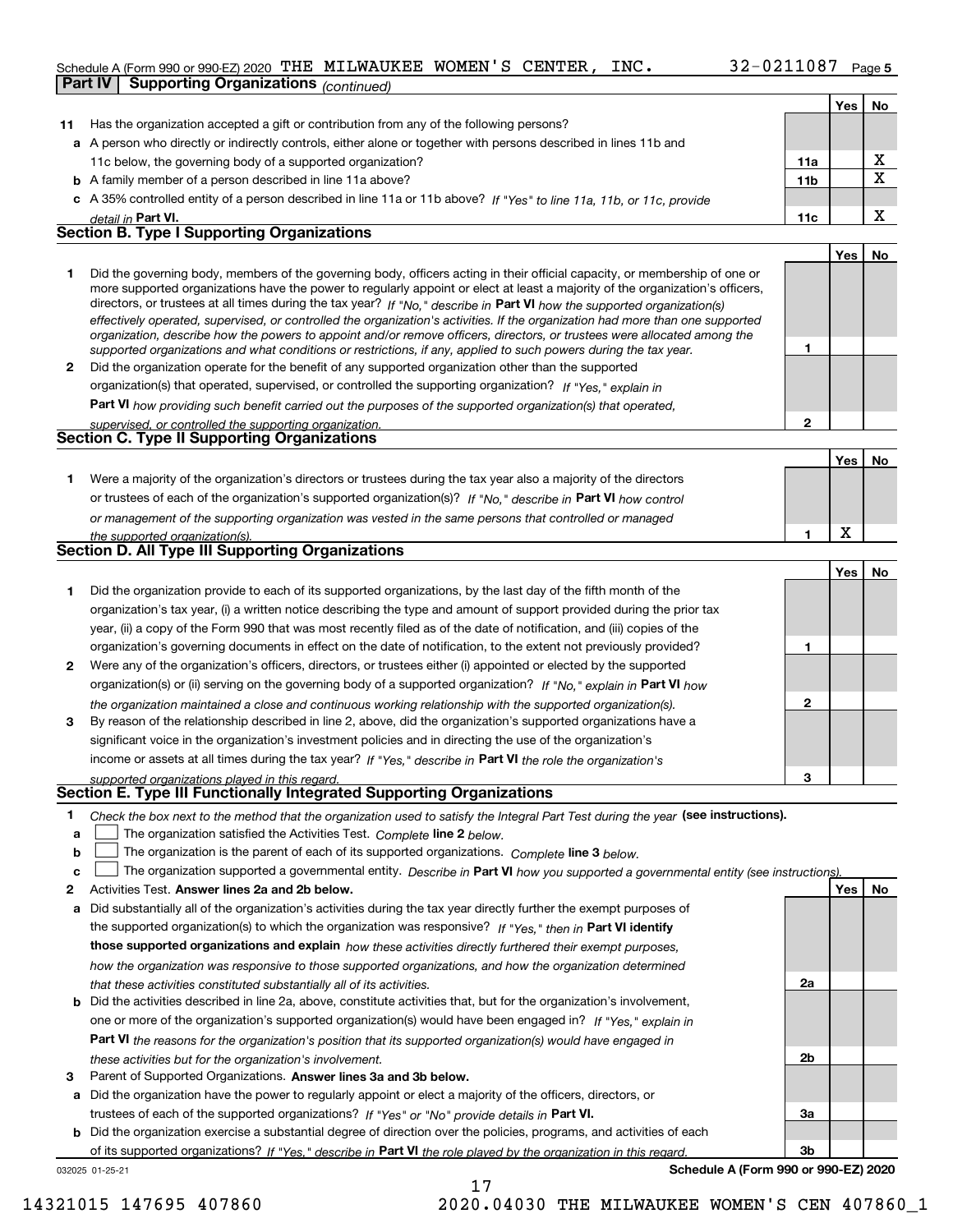### Schedule A (Form 990 or 990-EZ) 2020 Page THE MILWAUKEE WOMEN'S CENTER, INC. 32-0211087 **Part IV Supporting Organizations** *(continued)*

|              |                                                                                                                                                                                                                                              |              | Yes | No          |
|--------------|----------------------------------------------------------------------------------------------------------------------------------------------------------------------------------------------------------------------------------------------|--------------|-----|-------------|
| 11           | Has the organization accepted a gift or contribution from any of the following persons?                                                                                                                                                      |              |     |             |
|              | a A person who directly or indirectly controls, either alone or together with persons described in lines 11b and                                                                                                                             |              |     |             |
|              | 11c below, the governing body of a supported organization?                                                                                                                                                                                   | 11a          |     | х           |
|              | <b>b</b> A family member of a person described in line 11a above?                                                                                                                                                                            | 11b          |     | $\mathbf X$ |
|              | c A 35% controlled entity of a person described in line 11a or 11b above? If "Yes" to line 11a, 11b, or 11c, provide                                                                                                                         |              |     |             |
|              | detail in Part VI.                                                                                                                                                                                                                           | 11c          |     | X           |
|              | <b>Section B. Type I Supporting Organizations</b>                                                                                                                                                                                            |              |     |             |
|              |                                                                                                                                                                                                                                              |              | Yes | No          |
| 1.           | Did the governing body, members of the governing body, officers acting in their official capacity, or membership of one or                                                                                                                   |              |     |             |
|              | more supported organizations have the power to regularly appoint or elect at least a majority of the organization's officers,                                                                                                                |              |     |             |
|              | directors, or trustees at all times during the tax year? If "No," describe in Part VI how the supported organization(s)                                                                                                                      |              |     |             |
|              | effectively operated, supervised, or controlled the organization's activities. If the organization had more than one supported                                                                                                               |              |     |             |
|              | organization, describe how the powers to appoint and/or remove officers, directors, or trustees were allocated among the<br>supported organizations and what conditions or restrictions, if any, applied to such powers during the tax year. | 1            |     |             |
| $\mathbf{2}$ | Did the organization operate for the benefit of any supported organization other than the supported                                                                                                                                          |              |     |             |
|              | organization(s) that operated, supervised, or controlled the supporting organization? If "Yes," explain in                                                                                                                                   |              |     |             |
|              | Part VI how providing such benefit carried out the purposes of the supported organization(s) that operated,                                                                                                                                  |              |     |             |
|              | supervised, or controlled the supporting organization.                                                                                                                                                                                       | $\mathbf{2}$ |     |             |
|              | <b>Section C. Type II Supporting Organizations</b>                                                                                                                                                                                           |              |     |             |
|              |                                                                                                                                                                                                                                              |              | Yes | No          |
| 1.           | Were a majority of the organization's directors or trustees during the tax year also a majority of the directors                                                                                                                             |              |     |             |
|              | or trustees of each of the organization's supported organization(s)? If "No," describe in Part VI how control                                                                                                                                |              |     |             |
|              | or management of the supporting organization was vested in the same persons that controlled or managed                                                                                                                                       |              |     |             |
|              | the supported organization(s).                                                                                                                                                                                                               | 1            | X   |             |
|              | <b>Section D. All Type III Supporting Organizations</b>                                                                                                                                                                                      |              |     |             |
|              |                                                                                                                                                                                                                                              |              | Yes | No          |
| 1            | Did the organization provide to each of its supported organizations, by the last day of the fifth month of the                                                                                                                               |              |     |             |
|              | organization's tax year, (i) a written notice describing the type and amount of support provided during the prior tax                                                                                                                        |              |     |             |
|              | year, (ii) a copy of the Form 990 that was most recently filed as of the date of notification, and (iii) copies of the                                                                                                                       |              |     |             |
|              | organization's governing documents in effect on the date of notification, to the extent not previously provided?                                                                                                                             | 1            |     |             |
| 2            | Were any of the organization's officers, directors, or trustees either (i) appointed or elected by the supported                                                                                                                             |              |     |             |
|              | organization(s) or (ii) serving on the governing body of a supported organization? If "No," explain in Part VI how                                                                                                                           |              |     |             |
|              | the organization maintained a close and continuous working relationship with the supported organization(s).                                                                                                                                  | $\mathbf{2}$ |     |             |
| 3            | By reason of the relationship described in line 2, above, did the organization's supported organizations have a                                                                                                                              |              |     |             |
|              | significant voice in the organization's investment policies and in directing the use of the organization's                                                                                                                                   |              |     |             |
|              | income or assets at all times during the tax year? If "Yes," describe in Part VI the role the organization's                                                                                                                                 |              |     |             |
|              | supported organizations played in this regard.                                                                                                                                                                                               | з            |     |             |
|              | Section E. Type III Functionally Integrated Supporting Organizations                                                                                                                                                                         |              |     |             |
| 1            | Check the box next to the method that the organization used to satisfy the Integral Part Test during the year (see instructions).                                                                                                            |              |     |             |
| a            | The organization satisfied the Activities Test. Complete line 2 below.                                                                                                                                                                       |              |     |             |
| b            | The organization is the parent of each of its supported organizations. Complete line 3 below.                                                                                                                                                |              |     |             |
| c            | The organization supported a governmental entity. Describe in Part VI how you supported a governmental entity (see instructions)                                                                                                             |              |     |             |
| 2            | Activities Test. Answer lines 2a and 2b below.                                                                                                                                                                                               |              | Yes | No          |
| a            | Did substantially all of the organization's activities during the tax year directly further the exempt purposes of                                                                                                                           |              |     |             |
|              | the supported organization(s) to which the organization was responsive? If "Yes," then in Part VI identify                                                                                                                                   |              |     |             |
|              | those supported organizations and explain how these activities directly furthered their exempt purposes,                                                                                                                                     |              |     |             |
|              | how the organization was responsive to those supported organizations, and how the organization determined                                                                                                                                    |              |     |             |
|              | that these activities constituted substantially all of its activities.                                                                                                                                                                       | 2a           |     |             |
|              | <b>b</b> Did the activities described in line 2a, above, constitute activities that, but for the organization's involvement,                                                                                                                 |              |     |             |
|              | one or more of the organization's supported organization(s) would have been engaged in? If "Yes," explain in                                                                                                                                 |              |     |             |
|              | <b>Part VI</b> the reasons for the organization's position that its supported organization(s) would have engaged in                                                                                                                          |              |     |             |
|              | these activities but for the organization's involvement.                                                                                                                                                                                     | 2b           |     |             |
| 3            | Parent of Supported Organizations. Answer lines 3a and 3b below.                                                                                                                                                                             |              |     |             |
|              | a Did the organization have the power to regularly appoint or elect a majority of the officers, directors, or                                                                                                                                |              |     |             |
|              | trustees of each of the supported organizations? If "Yes" or "No" provide details in Part VI.                                                                                                                                                | За           |     |             |
|              | <b>b</b> Did the organization exercise a substantial degree of direction over the policies, programs, and activities of each                                                                                                                 |              |     |             |
|              | of its supported organizations? If "Ves " describe in <b>Part VI</b> the role played by the organization in this regard                                                                                                                      | 3b           |     |             |

of its supported organizations? If "Yes," describe in Part VI the role played by the organization in this regard.

17

032025 01-25-21

**Schedule A (Form 990 or 990-EZ) 2020**

**3b**

14321015 147695 407860 2020.04030 THE MILWAUKEE WOMEN'S CEN 407860\_1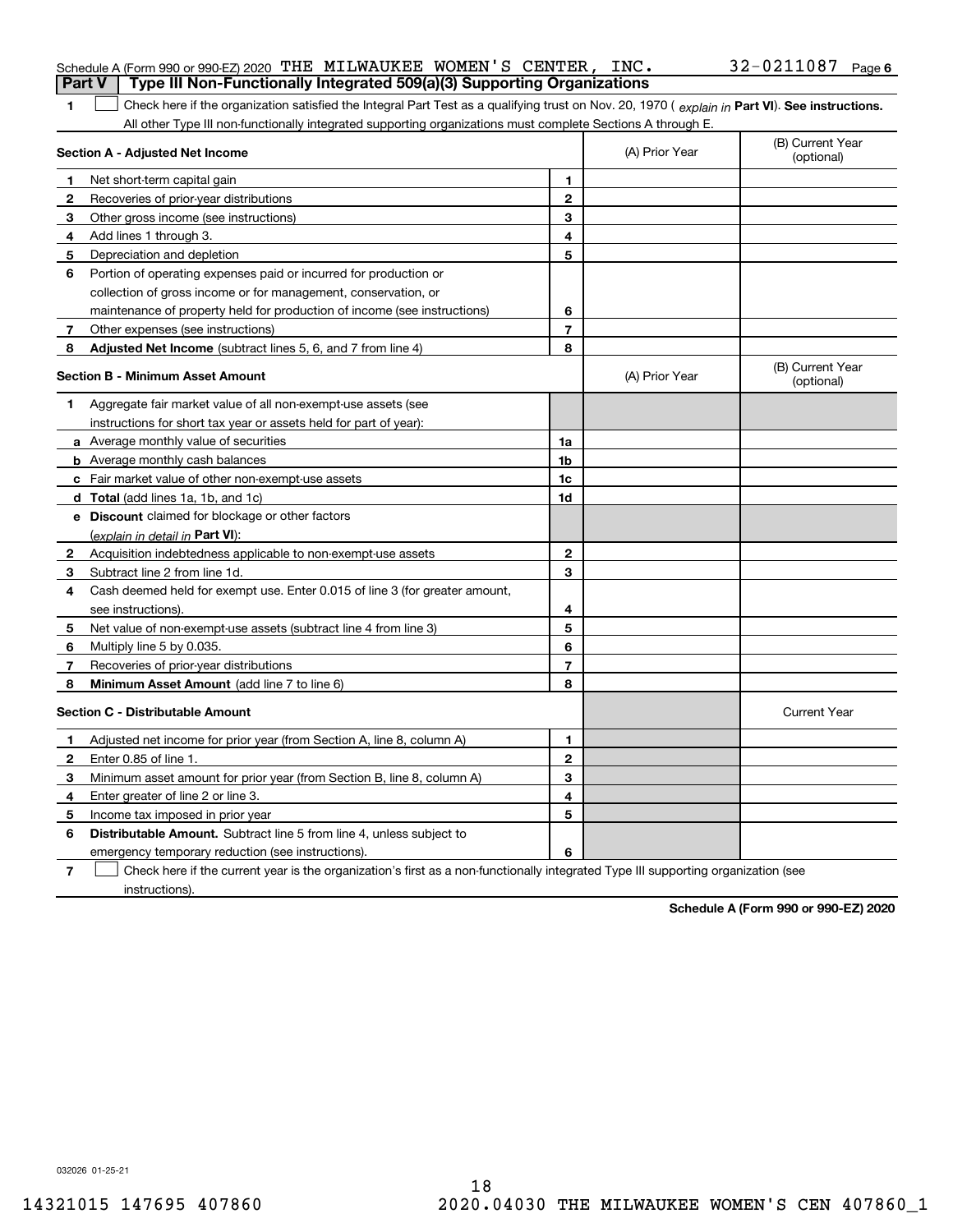|              | Schedule A (Form 990 or 990-EZ) 2020 THE MILWAUKEE WOMEN'S CENTER, INC.                                                                        |                |                | $32 - 0211087$ Page 6          |
|--------------|------------------------------------------------------------------------------------------------------------------------------------------------|----------------|----------------|--------------------------------|
|              | Type III Non-Functionally Integrated 509(a)(3) Supporting Organizations<br><b>Part V</b>                                                       |                |                |                                |
| 1.           | Check here if the organization satisfied the Integral Part Test as a qualifying trust on Nov. 20, 1970 (explain in Part VI). See instructions. |                |                |                                |
|              | All other Type III non-functionally integrated supporting organizations must complete Sections A through E.                                    |                |                |                                |
|              | Section A - Adjusted Net Income                                                                                                                |                | (A) Prior Year | (B) Current Year<br>(optional) |
| 1            | Net short-term capital gain                                                                                                                    | 1              |                |                                |
| 2            | Recoveries of prior-year distributions                                                                                                         | $\mathbf{2}$   |                |                                |
| 3            | Other gross income (see instructions)                                                                                                          | 3              |                |                                |
| 4            | Add lines 1 through 3.                                                                                                                         | 4              |                |                                |
| 5.           | Depreciation and depletion                                                                                                                     | 5              |                |                                |
| 6            | Portion of operating expenses paid or incurred for production or                                                                               |                |                |                                |
|              | collection of gross income or for management, conservation, or                                                                                 |                |                |                                |
|              | maintenance of property held for production of income (see instructions)                                                                       | 6              |                |                                |
| $\mathbf{7}$ | Other expenses (see instructions)                                                                                                              | $\overline{7}$ |                |                                |
| 8            | Adjusted Net Income (subtract lines 5, 6, and 7 from line 4)                                                                                   | 8              |                |                                |
|              | <b>Section B - Minimum Asset Amount</b>                                                                                                        |                | (A) Prior Year | (B) Current Year<br>(optional) |
| 1            | Aggregate fair market value of all non-exempt-use assets (see                                                                                  |                |                |                                |
|              | instructions for short tax year or assets held for part of year):                                                                              |                |                |                                |
|              | <b>a</b> Average monthly value of securities                                                                                                   | 1a             |                |                                |
|              | <b>b</b> Average monthly cash balances                                                                                                         | 1b             |                |                                |
|              | c Fair market value of other non-exempt-use assets                                                                                             | 1c             |                |                                |
|              | <b>d</b> Total (add lines 1a, 1b, and 1c)                                                                                                      | 1d             |                |                                |
|              | e Discount claimed for blockage or other factors                                                                                               |                |                |                                |
|              | (explain in detail in Part VI):                                                                                                                |                |                |                                |
|              | <b>2</b> Acquisition indebtedness applicable to non-exempt-use assets                                                                          | $\mathbf{2}$   |                |                                |
| 3.           | Subtract line 2 from line 1d.                                                                                                                  | 3              |                |                                |
| 4            | Cash deemed held for exempt use. Enter 0.015 of line 3 (for greater amount,                                                                    |                |                |                                |
|              | see instructions).                                                                                                                             | 4              |                |                                |
| 5.           | Net value of non-exempt-use assets (subtract line 4 from line 3)                                                                               | 5              |                |                                |
| 6            | Multiply line 5 by 0.035.                                                                                                                      | 6              |                |                                |
| 7            | Recoveries of prior-year distributions                                                                                                         | $\overline{7}$ |                |                                |
| 8            | Minimum Asset Amount (add line 7 to line 6)                                                                                                    | 8              |                |                                |
|              | <b>Section C - Distributable Amount</b>                                                                                                        |                |                | <b>Current Year</b>            |
| 1            | Adjusted net income for prior year (from Section A, line 8, column A)                                                                          | 1              |                |                                |
| 2            | Enter 0.85 of line 1.                                                                                                                          | 2              |                |                                |
| 3            | Minimum asset amount for prior year (from Section B, line 8, column A)                                                                         | 3              |                |                                |
| 4            | Enter greater of line 2 or line 3.                                                                                                             | 4              |                |                                |
| 5.           | Income tax imposed in prior year                                                                                                               | 5              |                |                                |
| 6            | Distributable Amount. Subtract line 5 from line 4, unless subject to                                                                           |                |                |                                |
|              | emergency temporary reduction (see instructions).                                                                                              | 6              |                |                                |
| 7            | Check here if the current year is the organization's first as a non-functionally integrated Type III supporting organization (see              |                |                |                                |

**Schedule A (Form 990 or 990-EZ) 2020**

032026 01-25-21

instructions).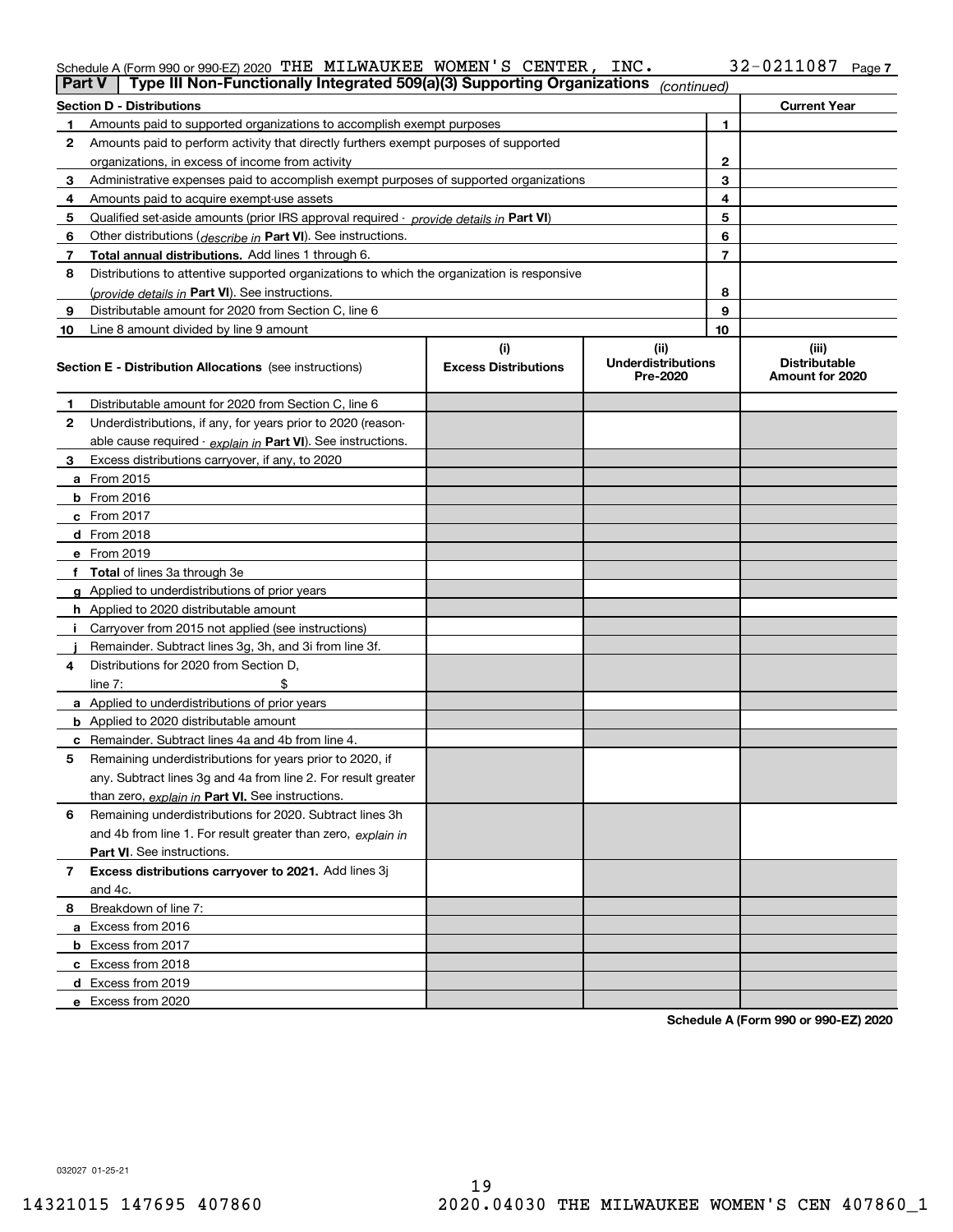## Schedule A (Form 990 or 990-EZ) 2020 Page THE MILWAUKEE WOMEN'S CENTER, INC. 32-0211087

| <b>Part V</b>  | Type III Non-Functionally Integrated 509(a)(3) Supporting Organizations                    |                             | (continued)                           |    |                                         |
|----------------|--------------------------------------------------------------------------------------------|-----------------------------|---------------------------------------|----|-----------------------------------------|
|                | <b>Section D - Distributions</b>                                                           |                             |                                       |    | <b>Current Year</b>                     |
| 1.             | Amounts paid to supported organizations to accomplish exempt purposes                      |                             | 1                                     |    |                                         |
| 2              | Amounts paid to perform activity that directly furthers exempt purposes of supported       |                             |                                       |    |                                         |
|                | organizations, in excess of income from activity                                           |                             | $\mathbf{2}$                          |    |                                         |
| 3              | Administrative expenses paid to accomplish exempt purposes of supported organizations      |                             | 3                                     |    |                                         |
| 4              | Amounts paid to acquire exempt-use assets                                                  |                             | 4                                     |    |                                         |
| 5              | Qualified set-aside amounts (prior IRS approval required - provide details in Part VI)     |                             | 5                                     |    |                                         |
| 6              | Other distributions ( <i>describe in</i> Part VI). See instructions.                       |                             |                                       | 6  |                                         |
| 7              | Total annual distributions. Add lines 1 through 6.                                         |                             |                                       | 7  |                                         |
| 8              | Distributions to attentive supported organizations to which the organization is responsive |                             |                                       |    |                                         |
|                | (provide details in Part VI). See instructions.                                            |                             |                                       | 8  |                                         |
| 9              | Distributable amount for 2020 from Section C, line 6                                       |                             |                                       | 9  |                                         |
| 10             | Line 8 amount divided by line 9 amount                                                     |                             |                                       | 10 |                                         |
|                |                                                                                            | (i)                         | (ii)                                  |    | (iii)                                   |
|                | <b>Section E - Distribution Allocations</b> (see instructions)                             | <b>Excess Distributions</b> | <b>Underdistributions</b><br>Pre-2020 |    | <b>Distributable</b><br>Amount for 2020 |
| 1              | Distributable amount for 2020 from Section C, line 6                                       |                             |                                       |    |                                         |
| 2              | Underdistributions, if any, for years prior to 2020 (reason-                               |                             |                                       |    |                                         |
|                | able cause required - explain in Part VI). See instructions.                               |                             |                                       |    |                                         |
| 3              | Excess distributions carryover, if any, to 2020                                            |                             |                                       |    |                                         |
|                | a From 2015                                                                                |                             |                                       |    |                                         |
|                | <b>b</b> From 2016                                                                         |                             |                                       |    |                                         |
|                | c From 2017                                                                                |                             |                                       |    |                                         |
|                | d From 2018                                                                                |                             |                                       |    |                                         |
|                | e From 2019                                                                                |                             |                                       |    |                                         |
|                | f Total of lines 3a through 3e                                                             |                             |                                       |    |                                         |
|                | g Applied to underdistributions of prior years                                             |                             |                                       |    |                                         |
|                | <b>h</b> Applied to 2020 distributable amount                                              |                             |                                       |    |                                         |
|                | Carryover from 2015 not applied (see instructions)                                         |                             |                                       |    |                                         |
|                | Remainder. Subtract lines 3g, 3h, and 3i from line 3f.                                     |                             |                                       |    |                                         |
| 4              | Distributions for 2020 from Section D.                                                     |                             |                                       |    |                                         |
|                | line $7:$                                                                                  |                             |                                       |    |                                         |
|                | a Applied to underdistributions of prior years                                             |                             |                                       |    |                                         |
|                | <b>b</b> Applied to 2020 distributable amount                                              |                             |                                       |    |                                         |
|                | c Remainder. Subtract lines 4a and 4b from line 4.                                         |                             |                                       |    |                                         |
| 5              | Remaining underdistributions for years prior to 2020, if                                   |                             |                                       |    |                                         |
|                | any. Subtract lines 3g and 4a from line 2. For result greater                              |                             |                                       |    |                                         |
|                | than zero, explain in Part VI. See instructions.                                           |                             |                                       |    |                                         |
| 6              | Remaining underdistributions for 2020. Subtract lines 3h                                   |                             |                                       |    |                                         |
|                | and 4b from line 1. For result greater than zero, explain in                               |                             |                                       |    |                                         |
|                | Part VI. See instructions.                                                                 |                             |                                       |    |                                         |
| $\overline{7}$ | Excess distributions carryover to 2021. Add lines 3j                                       |                             |                                       |    |                                         |
|                | and 4c.                                                                                    |                             |                                       |    |                                         |
| 8              | Breakdown of line 7:                                                                       |                             |                                       |    |                                         |
|                | a Excess from 2016                                                                         |                             |                                       |    |                                         |
|                | <b>b</b> Excess from 2017                                                                  |                             |                                       |    |                                         |
|                | c Excess from 2018                                                                         |                             |                                       |    |                                         |
|                | d Excess from 2019                                                                         |                             |                                       |    |                                         |
|                | e Excess from 2020                                                                         |                             |                                       |    |                                         |

**Schedule A (Form 990 or 990-EZ) 2020**

032027 01-25-21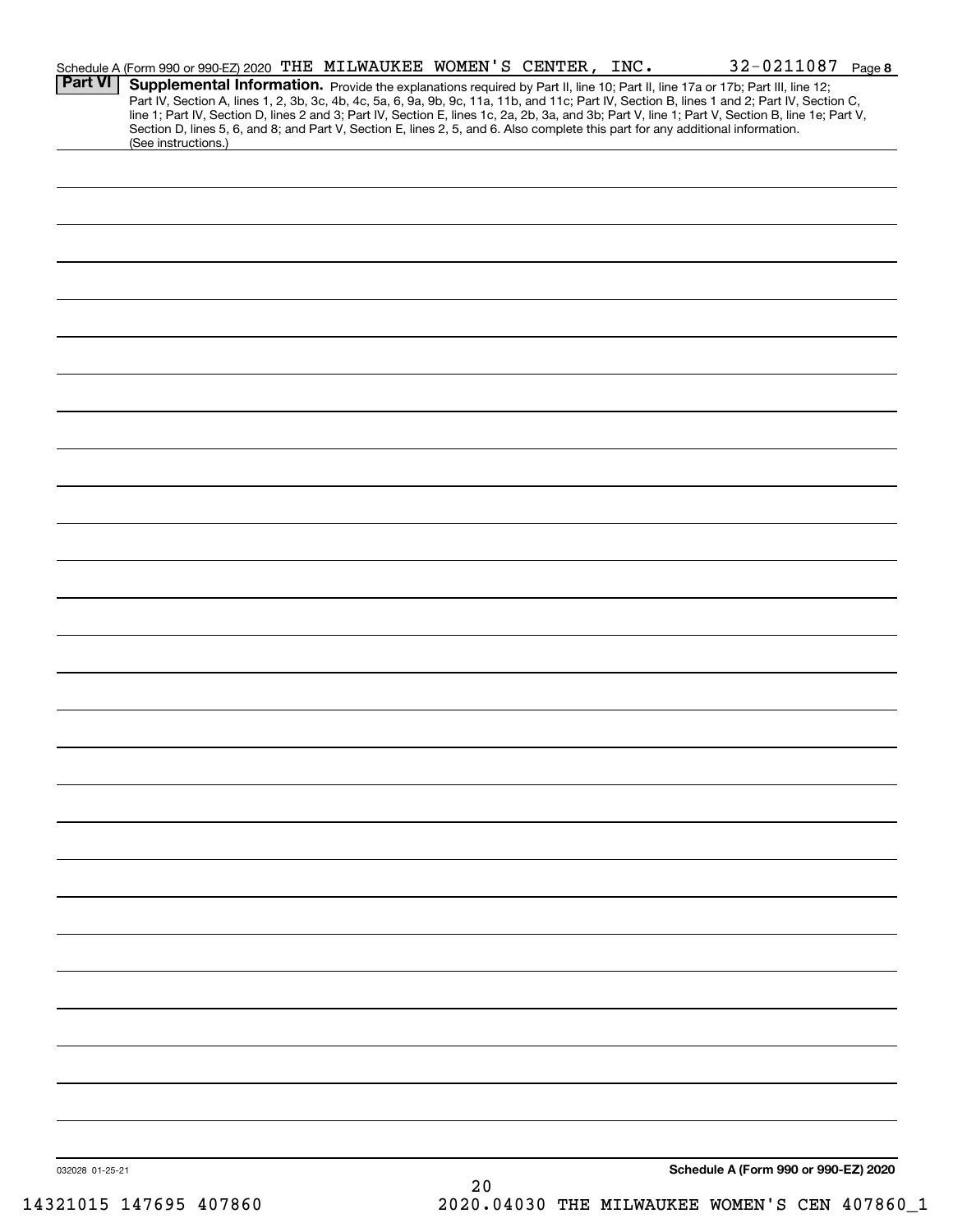|                 | Schedule A (Form 990 or 990-EZ) 2020 THE MILWAUKEE WOMEN'S CENTER, INC.                                                                                |  |    |  | $32 - 0211087$ Page 8                                                                                                                                                                                                                                                                                                                                                                                                             |  |
|-----------------|--------------------------------------------------------------------------------------------------------------------------------------------------------|--|----|--|-----------------------------------------------------------------------------------------------------------------------------------------------------------------------------------------------------------------------------------------------------------------------------------------------------------------------------------------------------------------------------------------------------------------------------------|--|
| <b>Part VI</b>  |                                                                                                                                                        |  |    |  | Supplemental Information. Provide the explanations required by Part II, line 10; Part II, line 17a or 17b; Part III, line 12;<br>Part IV, Section A, lines 1, 2, 3b, 3c, 4b, 4c, 5a, 6, 9a, 9b, 9c, 11a, 11b, and 11c; Part IV, Section B, lines 1 and 2; Part IV, Section C,<br>line 1; Part IV, Section D, lines 2 and 3; Part IV, Section E, lines 1c, 2a, 2b, 3a, and 3b; Part V, line 1; Part V, Section B, line 1e; Part V, |  |
|                 | Section D, lines 5, 6, and 8; and Part V, Section E, lines 2, 5, and 6. Also complete this part for any additional information.<br>(See instructions.) |  |    |  |                                                                                                                                                                                                                                                                                                                                                                                                                                   |  |
|                 |                                                                                                                                                        |  |    |  |                                                                                                                                                                                                                                                                                                                                                                                                                                   |  |
|                 |                                                                                                                                                        |  |    |  |                                                                                                                                                                                                                                                                                                                                                                                                                                   |  |
|                 |                                                                                                                                                        |  |    |  |                                                                                                                                                                                                                                                                                                                                                                                                                                   |  |
|                 |                                                                                                                                                        |  |    |  |                                                                                                                                                                                                                                                                                                                                                                                                                                   |  |
|                 |                                                                                                                                                        |  |    |  |                                                                                                                                                                                                                                                                                                                                                                                                                                   |  |
|                 |                                                                                                                                                        |  |    |  |                                                                                                                                                                                                                                                                                                                                                                                                                                   |  |
|                 |                                                                                                                                                        |  |    |  |                                                                                                                                                                                                                                                                                                                                                                                                                                   |  |
|                 |                                                                                                                                                        |  |    |  |                                                                                                                                                                                                                                                                                                                                                                                                                                   |  |
|                 |                                                                                                                                                        |  |    |  |                                                                                                                                                                                                                                                                                                                                                                                                                                   |  |
|                 |                                                                                                                                                        |  |    |  |                                                                                                                                                                                                                                                                                                                                                                                                                                   |  |
|                 |                                                                                                                                                        |  |    |  |                                                                                                                                                                                                                                                                                                                                                                                                                                   |  |
|                 |                                                                                                                                                        |  |    |  |                                                                                                                                                                                                                                                                                                                                                                                                                                   |  |
|                 |                                                                                                                                                        |  |    |  |                                                                                                                                                                                                                                                                                                                                                                                                                                   |  |
|                 |                                                                                                                                                        |  |    |  |                                                                                                                                                                                                                                                                                                                                                                                                                                   |  |
|                 |                                                                                                                                                        |  |    |  |                                                                                                                                                                                                                                                                                                                                                                                                                                   |  |
|                 |                                                                                                                                                        |  |    |  |                                                                                                                                                                                                                                                                                                                                                                                                                                   |  |
|                 |                                                                                                                                                        |  |    |  |                                                                                                                                                                                                                                                                                                                                                                                                                                   |  |
|                 |                                                                                                                                                        |  |    |  |                                                                                                                                                                                                                                                                                                                                                                                                                                   |  |
|                 |                                                                                                                                                        |  |    |  |                                                                                                                                                                                                                                                                                                                                                                                                                                   |  |
|                 |                                                                                                                                                        |  |    |  |                                                                                                                                                                                                                                                                                                                                                                                                                                   |  |
|                 |                                                                                                                                                        |  |    |  |                                                                                                                                                                                                                                                                                                                                                                                                                                   |  |
|                 |                                                                                                                                                        |  |    |  |                                                                                                                                                                                                                                                                                                                                                                                                                                   |  |
|                 |                                                                                                                                                        |  |    |  |                                                                                                                                                                                                                                                                                                                                                                                                                                   |  |
|                 |                                                                                                                                                        |  |    |  |                                                                                                                                                                                                                                                                                                                                                                                                                                   |  |
|                 |                                                                                                                                                        |  |    |  |                                                                                                                                                                                                                                                                                                                                                                                                                                   |  |
|                 |                                                                                                                                                        |  |    |  |                                                                                                                                                                                                                                                                                                                                                                                                                                   |  |
|                 |                                                                                                                                                        |  |    |  |                                                                                                                                                                                                                                                                                                                                                                                                                                   |  |
|                 |                                                                                                                                                        |  |    |  |                                                                                                                                                                                                                                                                                                                                                                                                                                   |  |
|                 |                                                                                                                                                        |  |    |  |                                                                                                                                                                                                                                                                                                                                                                                                                                   |  |
|                 |                                                                                                                                                        |  |    |  |                                                                                                                                                                                                                                                                                                                                                                                                                                   |  |
| 032028 01-25-21 |                                                                                                                                                        |  | 20 |  | Schedule A (Form 990 or 990-EZ) 2020                                                                                                                                                                                                                                                                                                                                                                                              |  |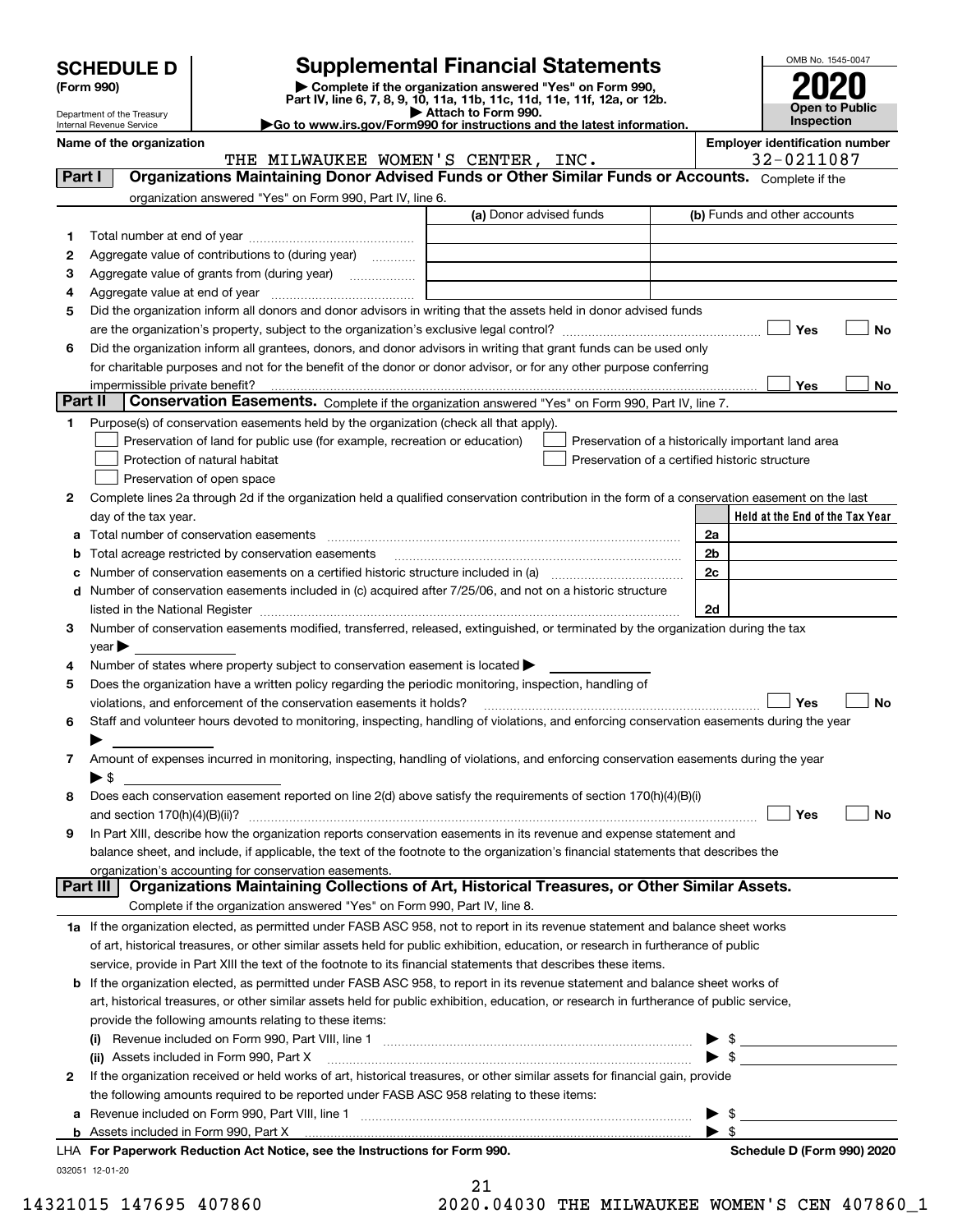| <b>SCHEDULE D</b> |  |
|-------------------|--|
|-------------------|--|

| (Form 990) |  |
|------------|--|
|------------|--|

# **Supplemental Financial Statements**

**(Form 990)** (**Form 990,**<br>Part IV, line 6, 7, 8, 9, 10, 11a, 11b, 11c, 11d, 11e, 11f, 12a, or 12b.<br>Department of the Treasury **and Exercise Connect Connect Connect Connect Connect Connect Connect Connect Connect** 

THE MILWAUKEE WOMEN'S CENTER, INC. 32-0211087



Department of the Treasury Internal Revenue Service

**|Go to www.irs.gov/Form990 for instructions and the latest information. Name of the organization Employer identification number**

**Held at the End of the Tax Year** (a) Donor advised funds **123456Yes No Yes**<u>es \_\_\_\_\_\_\_\_ No</u> **12**Complete lines 2a through 2d if the organization held a qualified conservation contribution in the form of a conservation easement on the last **3456789abc** Number of conservation easements on a certified historic structure included in (a) www.communically **d2a2b2c2dYes No Yes No 1a** If the organization elected, as permitted under FASB ASC 958, not to report in its revenue statement and balance sheet works **2b** If the organization elected, as permitted under FASB ASC 958, to report in its revenue statement and balance sheet works of **(i)** Revenue included on Form 990, Part VIII, line 1  $\ldots$   $\ldots$   $\ldots$   $\ldots$   $\ldots$   $\ldots$   $\ldots$   $\ldots$   $\ldots$   $\ldots$   $\ldots$   $\ldots$   $\ldots$   $\ldots$ **(ii)** Assets included in Form 990, Part X ~~~~~~~~~~~~~~~~~~~~~~~~~~~~~~~~~ | \$ Complete if the organization answered "Yes" on Form 990, Part IV, line 6. (b) Funds and other accounts Total number at end of year ~~~~~~~~~~~~~~~ Aggregate value of contributions to (during year)  $\quad \quad \ldots \ldots \ldots$ Aggregate value of grants from (during year) www.community Aggregate value at end of year ~~~~~~~~~~~~~ Did the organization inform all donors and donor advisors in writing that the assets held in donor advised funds are the organization's property, subject to the organization's exclusive legal control? ~~~~~~~~~~~~~~~~~~ Did the organization inform all grantees, donors, and donor advisors in writing that grant funds can be used only for charitable purposes and not for the benefit of the donor or donor advisor, or for any other purpose conferring impermissible private benefit? **Part II | Conservation Easements.** Complete if the organization answered "Yes" on Form 990, Part IV, line 7. Purpose(s) of conservation easements held by the organization (check all that apply). Preservation of land for public use (for example, recreation or education) **Protection of natural habitat Example 2014** Preservation of open space Preservation of a historically important land area Preservation of a certified historic structure day of the tax year. Total number of conservation easements ~~~~~~~~~~~~~~~~~~~~~~~~~~~~~~~~ Total acreage restricted by conservation easements ~~~~~~~~~~~~~~~~~~~~~~~~~~Number of conservation easements included in (c) acquired after 7/25/06, and not on a historic structure listed in the National Register ~~~~~~~~~~~~~~~~~~~~~~~~~~~~~~~~~~~~~~ Number of conservation easements modified, transferred, released, extinguished, or terminated by the organization during the tax  $year$ Number of states where property subject to conservation easement is located  $\blacktriangleright$ Does the organization have a written policy regarding the periodic monitoring, inspection, handling of violations, and enforcement of the conservation easements it holds? ~~~~~~~~~~~~~~~~~~~~~~~~~ Staff and volunteer hours devoted to monitoring, inspecting, handling of violations, and enforcing conservation easements during the year  $\blacktriangleright$ Amount of expenses incurred in monitoring, inspecting, handling of violations, and enforcing conservation easements during the year  $\blacktriangleright$  \$ Does each conservation easement reported on line 2(d) above satisfy the requirements of section 170(h)(4)(B)(i) and section 170(h)(4)(B)(ii)? ~~~~~~~~~~~~~~~~~~~~~~~~~~~~~~~~~~~~~~~~~~~~~~ In Part XIII, describe how the organization reports conservation easements in its revenue and expense statement and balance sheet, and include, if applicable, the text of the footnote to the organization's financial statements that describes the organization's accounting for conservation easements. Complete if the organization answered "Yes" on Form 990, Part IV, line 8. of art, historical treasures, or other similar assets held for public exhibition, education, or research in furtherance of public service, provide in Part XIII the text of the footnote to its financial statements that describes these items. art, historical treasures, or other similar assets held for public exhibition, education, or research in furtherance of public service, provide the following amounts relating to these items: If the organization received or held works of art, historical treasures, or other similar assets for financial gain, provide the following amounts required to be reported under FASB ASC 958 relating to these items: **Part I Organizations Maintaining Donor Advised Funds or Other Similar Funds or Accounts. Part III Organizations Maintaining Collections of Art, Historical Treasures, or Other Similar Assets.**  $\mathcal{L}^{\text{max}}$  $\mathcal{L}^{\text{max}}$  $\Box$  Yes  $\Box$  $\mathcal{L}^{\text{max}}$  $\mathcal{L}^{\text{max}}$  $\mathcal{L}^{\text{max}}$ 

**a**Revenue included on Form 990, Part VIII, line 1 ~~~~~~~~~~~~~~~~~~~~~~~~~~~~~~**bFor Paperwork Reduction Act Notice, see the Instructions for Form 990. Schedule D (Form 990) 2020** LHAAssets included in Form 990, Part X 

032051 12-01-20

21

14321015 147695 407860 2020.04030 THE MILWAUKEE WOMEN'S CEN 407860\_1

 $\blacktriangleright$  \$

 $\ldots$   $\blacktriangleright$  \$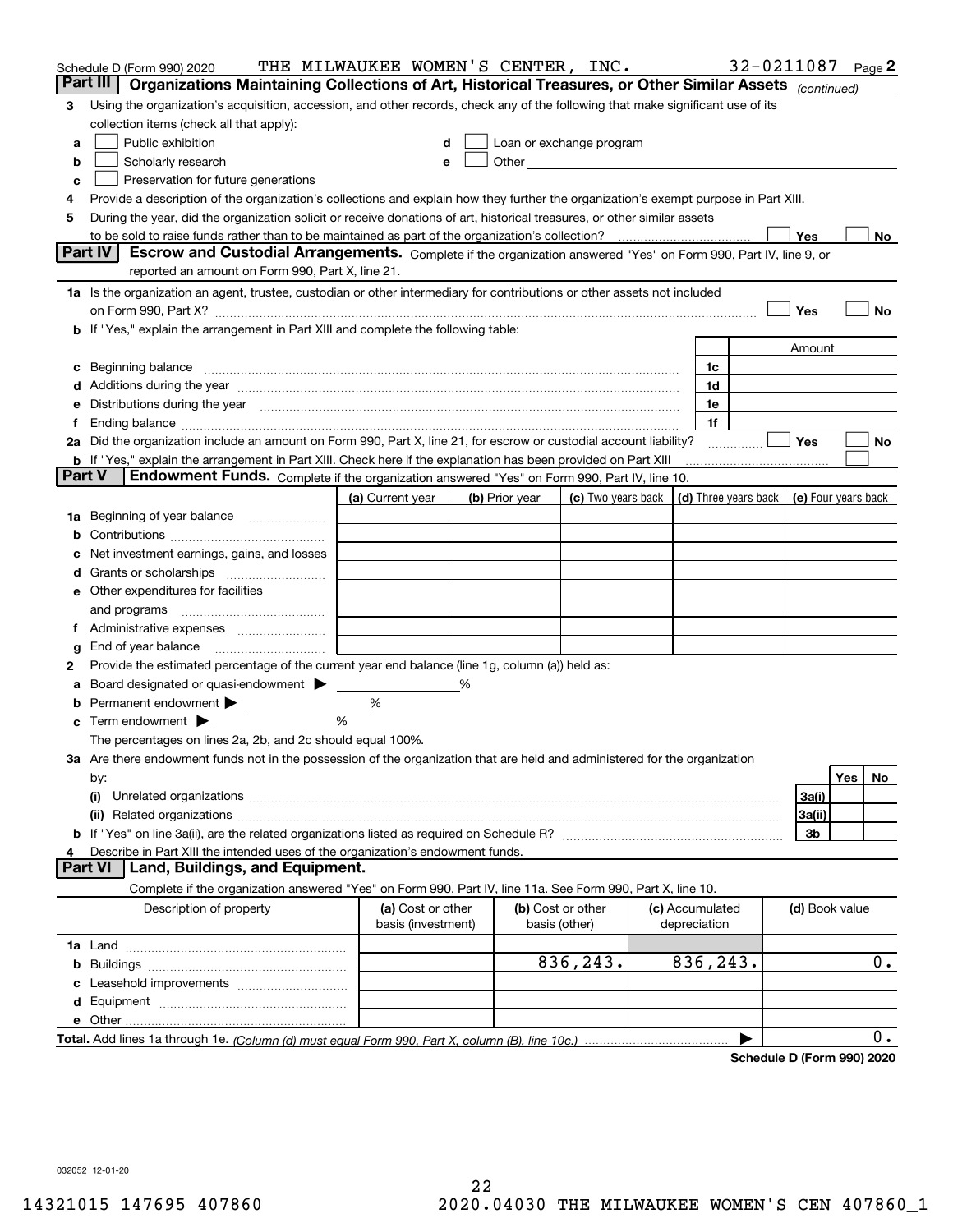|        | Schedule D (Form 990) 2020                                                                                                                                                                                                     | THE MILWAUKEE WOMEN'S CENTER, INC.      |   |                                                      |                    |                                 | 32-0211087 |                     |     | Page 2 |
|--------|--------------------------------------------------------------------------------------------------------------------------------------------------------------------------------------------------------------------------------|-----------------------------------------|---|------------------------------------------------------|--------------------|---------------------------------|------------|---------------------|-----|--------|
|        | Part III<br>Organizations Maintaining Collections of Art, Historical Treasures, or Other Similar Assets (continued)                                                                                                            |                                         |   |                                                      |                    |                                 |            |                     |     |        |
| 3      | Using the organization's acquisition, accession, and other records, check any of the following that make significant use of its                                                                                                |                                         |   |                                                      |                    |                                 |            |                     |     |        |
|        | collection items (check all that apply):                                                                                                                                                                                       |                                         |   |                                                      |                    |                                 |            |                     |     |        |
| a      | Public exhibition                                                                                                                                                                                                              |                                         |   | Loan or exchange program                             |                    |                                 |            |                     |     |        |
| b      | Scholarly research                                                                                                                                                                                                             | е                                       |   | Other <b>Committee Committee Committee Committee</b> |                    |                                 |            |                     |     |        |
| с      | Preservation for future generations                                                                                                                                                                                            |                                         |   |                                                      |                    |                                 |            |                     |     |        |
| 4      | Provide a description of the organization's collections and explain how they further the organization's exempt purpose in Part XIII.                                                                                           |                                         |   |                                                      |                    |                                 |            |                     |     |        |
| 5      | During the year, did the organization solicit or receive donations of art, historical treasures, or other similar assets                                                                                                       |                                         |   |                                                      |                    |                                 |            |                     |     |        |
|        | to be sold to raise funds rather than to be maintained as part of the organization's collection?                                                                                                                               |                                         |   |                                                      |                    |                                 |            | Yes                 |     | No     |
|        | <b>Part IV</b><br>Escrow and Custodial Arrangements. Complete if the organization answered "Yes" on Form 990, Part IV, line 9, or                                                                                              |                                         |   |                                                      |                    |                                 |            |                     |     |        |
|        | reported an amount on Form 990, Part X, line 21.                                                                                                                                                                               |                                         |   |                                                      |                    |                                 |            |                     |     |        |
|        | 1a Is the organization an agent, trustee, custodian or other intermediary for contributions or other assets not included                                                                                                       |                                         |   |                                                      |                    |                                 |            |                     |     |        |
|        | on Form 990, Part X? [11] matter contracts and contracts and contracts are contracted as a form 990, Part X?                                                                                                                   |                                         |   |                                                      |                    |                                 |            | Yes                 |     | No     |
|        | b If "Yes," explain the arrangement in Part XIII and complete the following table:                                                                                                                                             |                                         |   |                                                      |                    |                                 |            |                     |     |        |
|        |                                                                                                                                                                                                                                |                                         |   |                                                      |                    |                                 |            | Amount              |     |        |
| c      | Beginning balance material content contracts and content and content and content and content and content and content and content and content and content and content and content and content and content and content and conte |                                         |   |                                                      |                    | 1c                              |            |                     |     |        |
|        | Additions during the year manufactured and an annual contract of the year manufactured and a set of the year manufactured and a set of the year manufactured and a set of the year manufactured and a set of the set of the se |                                         |   |                                                      |                    | 1d                              |            |                     |     |        |
|        | Distributions during the year manufactured and continuum and continuum and continuum and continuum and continuum                                                                                                               |                                         |   |                                                      |                    | 1e                              |            |                     |     |        |
| Ť.     | 2a Did the organization include an amount on Form 990, Part X, line 21, for escrow or custodial account liability?                                                                                                             |                                         |   |                                                      |                    | 1f                              |            | Yes                 |     | No     |
|        | <b>b</b> If "Yes," explain the arrangement in Part XIII. Check here if the explanation has been provided on Part XIII                                                                                                          |                                         |   |                                                      |                    |                                 | .          |                     |     |        |
| Part V | Endowment Funds. Complete if the organization answered "Yes" on Form 990, Part IV, line 10.                                                                                                                                    |                                         |   |                                                      |                    |                                 |            |                     |     |        |
|        |                                                                                                                                                                                                                                | (a) Current year                        |   | (b) Prior year                                       | (c) Two years back | (d) Three years back            |            | (e) Four years back |     |        |
| 1a     | Beginning of year balance                                                                                                                                                                                                      |                                         |   |                                                      |                    |                                 |            |                     |     |        |
|        |                                                                                                                                                                                                                                |                                         |   |                                                      |                    |                                 |            |                     |     |        |
|        | Net investment earnings, gains, and losses                                                                                                                                                                                     |                                         |   |                                                      |                    |                                 |            |                     |     |        |
| d      |                                                                                                                                                                                                                                |                                         |   |                                                      |                    |                                 |            |                     |     |        |
|        | e Other expenditures for facilities                                                                                                                                                                                            |                                         |   |                                                      |                    |                                 |            |                     |     |        |
|        | and programs                                                                                                                                                                                                                   |                                         |   |                                                      |                    |                                 |            |                     |     |        |
|        |                                                                                                                                                                                                                                |                                         |   |                                                      |                    |                                 |            |                     |     |        |
| g      | End of year balance                                                                                                                                                                                                            |                                         |   |                                                      |                    |                                 |            |                     |     |        |
| 2      | Provide the estimated percentage of the current year end balance (line 1g, column (a)) held as:                                                                                                                                |                                         |   |                                                      |                    |                                 |            |                     |     |        |
| а      | Board designated or quasi-endowment                                                                                                                                                                                            |                                         | ℅ |                                                      |                    |                                 |            |                     |     |        |
|        | Permanent endowment > 1                                                                                                                                                                                                        | %                                       |   |                                                      |                    |                                 |            |                     |     |        |
|        | Term endowment $\blacktriangleright$                                                                                                                                                                                           | %                                       |   |                                                      |                    |                                 |            |                     |     |        |
|        | The percentages on lines 2a, 2b, and 2c should equal 100%.                                                                                                                                                                     |                                         |   |                                                      |                    |                                 |            |                     |     |        |
|        | 3a Are there endowment funds not in the possession of the organization that are held and administered for the organization                                                                                                     |                                         |   |                                                      |                    |                                 |            |                     |     |        |
|        | by:                                                                                                                                                                                                                            |                                         |   |                                                      |                    |                                 |            |                     | Yes | No.    |
|        | (i)                                                                                                                                                                                                                            |                                         |   |                                                      |                    |                                 |            | 3a(i)               |     |        |
|        |                                                                                                                                                                                                                                |                                         |   |                                                      |                    |                                 |            | 3a(ii)              |     |        |
|        |                                                                                                                                                                                                                                |                                         |   |                                                      |                    |                                 |            | 3b                  |     |        |
| 4      | Describe in Part XIII the intended uses of the organization's endowment funds.                                                                                                                                                 |                                         |   |                                                      |                    |                                 |            |                     |     |        |
|        | Land, Buildings, and Equipment.<br>Part VI                                                                                                                                                                                     |                                         |   |                                                      |                    |                                 |            |                     |     |        |
|        | Complete if the organization answered "Yes" on Form 990, Part IV, line 11a. See Form 990, Part X, line 10.                                                                                                                     |                                         |   |                                                      |                    |                                 |            |                     |     |        |
|        | Description of property                                                                                                                                                                                                        | (a) Cost or other<br>basis (investment) |   | (b) Cost or other<br>basis (other)                   |                    | (c) Accumulated<br>depreciation |            | (d) Book value      |     |        |
|        |                                                                                                                                                                                                                                |                                         |   |                                                      |                    |                                 |            |                     |     |        |
| b      |                                                                                                                                                                                                                                |                                         |   |                                                      | 836,243.           | 836,243.                        |            |                     |     | 0.     |
|        |                                                                                                                                                                                                                                |                                         |   |                                                      |                    |                                 |            |                     |     |        |
|        |                                                                                                                                                                                                                                |                                         |   |                                                      |                    |                                 |            |                     |     |        |
|        |                                                                                                                                                                                                                                |                                         |   |                                                      |                    |                                 |            |                     |     |        |
|        |                                                                                                                                                                                                                                |                                         |   |                                                      |                    |                                 |            |                     |     | 0.     |

**Schedule D (Form 990) 2020**

032052 12-01-20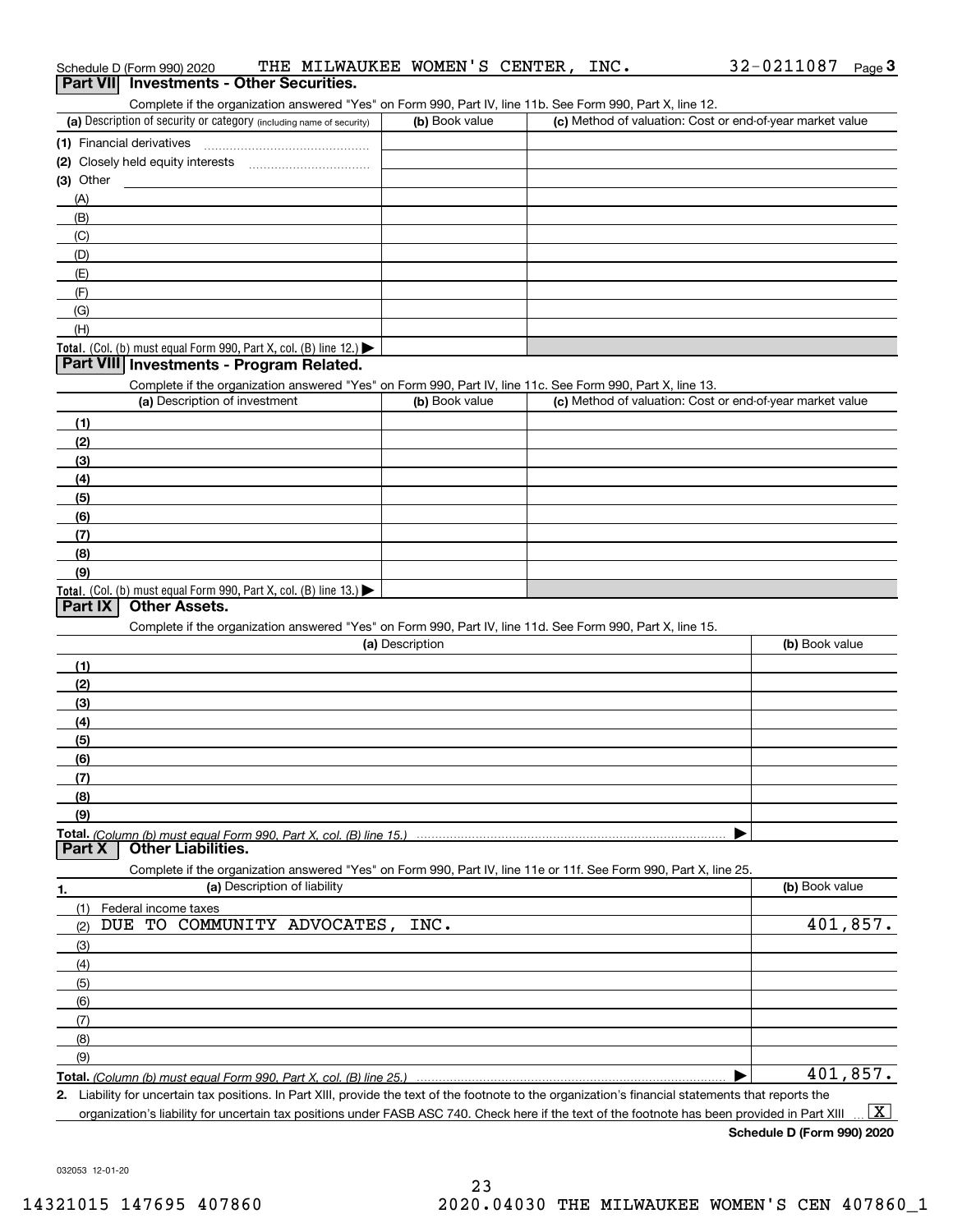| Complete if the organization answered "Yes" on Form 990, Part IV, line 11b. See Form 990, Part X, line 12.                                           |                 |                                                           |                |
|------------------------------------------------------------------------------------------------------------------------------------------------------|-----------------|-----------------------------------------------------------|----------------|
| (a) Description of security or category (including name of security)                                                                                 | (b) Book value  | (c) Method of valuation: Cost or end-of-year market value |                |
| (1) Financial derivatives                                                                                                                            |                 |                                                           |                |
| (2) Closely held equity interests                                                                                                                    |                 |                                                           |                |
| (3) Other                                                                                                                                            |                 |                                                           |                |
| (A)                                                                                                                                                  |                 |                                                           |                |
| (B)                                                                                                                                                  |                 |                                                           |                |
| (C)                                                                                                                                                  |                 |                                                           |                |
| (D)                                                                                                                                                  |                 |                                                           |                |
|                                                                                                                                                      |                 |                                                           |                |
| (E)                                                                                                                                                  |                 |                                                           |                |
| (F)                                                                                                                                                  |                 |                                                           |                |
| (G)                                                                                                                                                  |                 |                                                           |                |
| (H)                                                                                                                                                  |                 |                                                           |                |
| Total. (Col. (b) must equal Form 990, Part X, col. (B) line 12.)                                                                                     |                 |                                                           |                |
| Part VIII Investments - Program Related.                                                                                                             |                 |                                                           |                |
| Complete if the organization answered "Yes" on Form 990, Part IV, line 11c. See Form 990, Part X, line 13.                                           |                 |                                                           |                |
| (a) Description of investment                                                                                                                        | (b) Book value  | (c) Method of valuation: Cost or end-of-year market value |                |
| (1)                                                                                                                                                  |                 |                                                           |                |
| (2)                                                                                                                                                  |                 |                                                           |                |
| (3)                                                                                                                                                  |                 |                                                           |                |
| (4)                                                                                                                                                  |                 |                                                           |                |
| (5)                                                                                                                                                  |                 |                                                           |                |
| (6)                                                                                                                                                  |                 |                                                           |                |
| (7)                                                                                                                                                  |                 |                                                           |                |
| (8)                                                                                                                                                  |                 |                                                           |                |
| (9)                                                                                                                                                  |                 |                                                           |                |
| Total. (Col. (b) must equal Form 990, Part X, col. (B) line 13.)                                                                                     |                 |                                                           |                |
| Part IX<br><b>Other Assets.</b>                                                                                                                      |                 |                                                           |                |
| Complete if the organization answered "Yes" on Form 990, Part IV, line 11d. See Form 990, Part X, line 15.                                           |                 |                                                           |                |
|                                                                                                                                                      | (a) Description |                                                           | (b) Book value |
| (1)                                                                                                                                                  |                 |                                                           |                |
| (2)                                                                                                                                                  |                 |                                                           |                |
| (3)                                                                                                                                                  |                 |                                                           |                |
| (4)                                                                                                                                                  |                 |                                                           |                |
| (5)                                                                                                                                                  |                 |                                                           |                |
|                                                                                                                                                      |                 |                                                           |                |
| (6)                                                                                                                                                  |                 |                                                           |                |
| (7)                                                                                                                                                  |                 |                                                           |                |
| (8)                                                                                                                                                  |                 |                                                           |                |
| (9)                                                                                                                                                  |                 |                                                           |                |
| <b>Other Liabilities.</b><br>Part X                                                                                                                  |                 |                                                           |                |
|                                                                                                                                                      |                 |                                                           |                |
| Complete if the organization answered "Yes" on Form 990, Part IV, line 11e or 11f. See Form 990, Part X, line 25.                                    |                 |                                                           |                |
| (a) Description of liability<br>1.                                                                                                                   |                 |                                                           | (b) Book value |
| (1)<br>Federal income taxes                                                                                                                          |                 |                                                           |                |
| TO COMMUNITY ADVOCATES,<br>DUE<br>(2)                                                                                                                | INC.            |                                                           | 401,857.       |
| (3)                                                                                                                                                  |                 |                                                           |                |
| (4)                                                                                                                                                  |                 |                                                           |                |
| (5)                                                                                                                                                  |                 |                                                           |                |
| (6)                                                                                                                                                  |                 |                                                           |                |
| (7)                                                                                                                                                  |                 |                                                           |                |
| (8)                                                                                                                                                  |                 |                                                           |                |
| (9)                                                                                                                                                  |                 |                                                           |                |
|                                                                                                                                                      |                 |                                                           | 401,857.       |
| 2. Liability for uncertain tax positions. In Part XIII, provide the text of the footnote to the organization's financial statements that reports the |                 |                                                           |                |

organization's liability for uncertain tax positions under FASB ASC 740. Check here if the text of the footnote has been provided in Part XIII  $\,$  ...  $\overline{\rm X}$ 

**Schedule D (Form 990) 2020**

032053 12-01-20

| (b) Book value | (c) Method of valuation: Cost or end-of-year market value |
|----------------|-----------------------------------------------------------|
|                |                                                           |
|                |                                                           |
|                |                                                           |
|                |                                                           |
|                |                                                           |
|                |                                                           |
|                |                                                           |
|                |                                                           |
|                |                                                           |
|                |                                                           |
|                |                                                           |
|                |                                                           |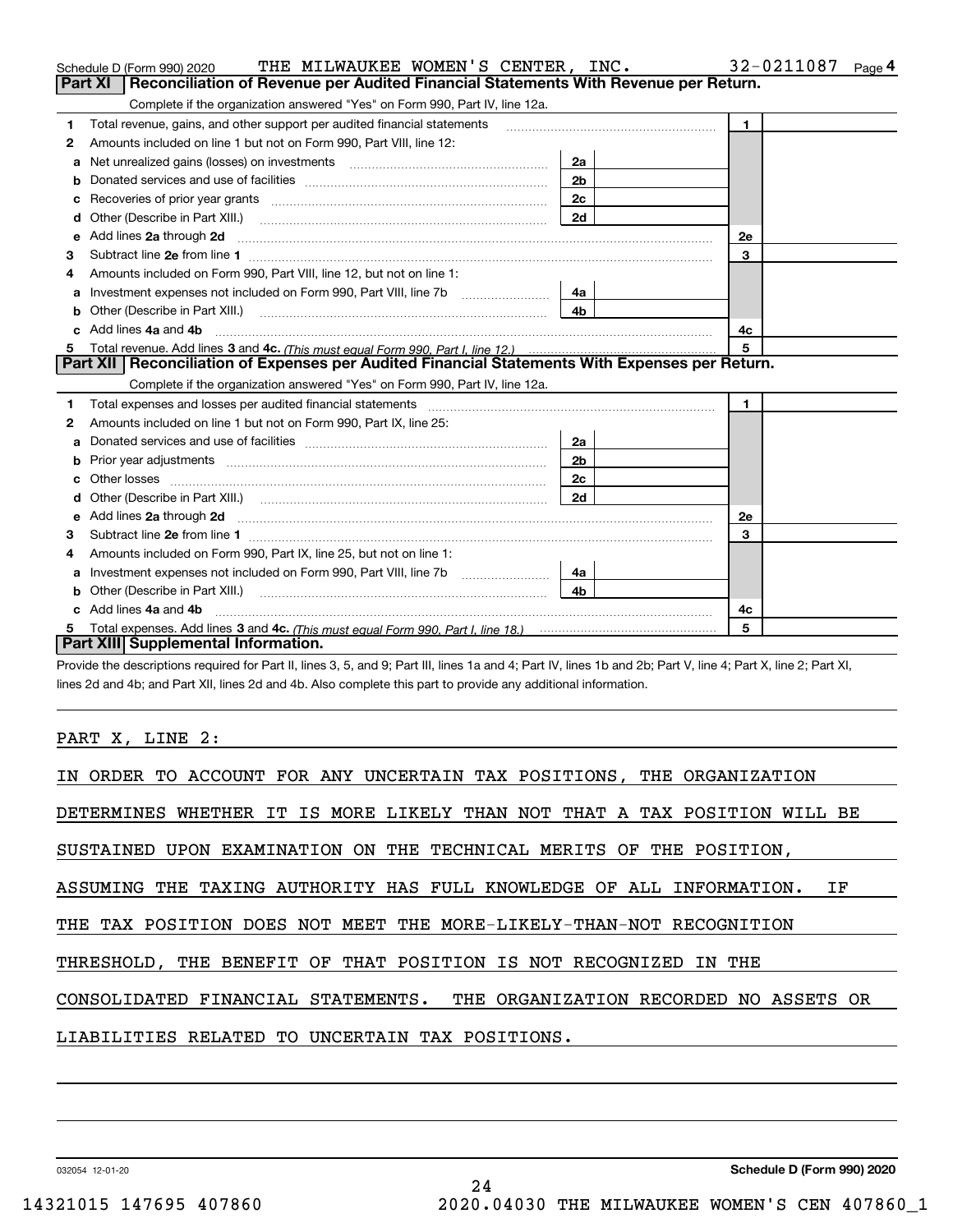|    | THE MILWAUKEE WOMEN'S CENTER, INC.<br>Schedule D (Form 990) 2020                                                      |                | 32-0211087<br>Page 4 |
|----|-----------------------------------------------------------------------------------------------------------------------|----------------|----------------------|
|    | Reconciliation of Revenue per Audited Financial Statements With Revenue per Return.<br>Part XI                        |                |                      |
|    | Complete if the organization answered "Yes" on Form 990, Part IV, line 12a.                                           |                |                      |
| 1  | Total revenue, gains, and other support per audited financial statements                                              |                | $\mathbf{1}$         |
| 2  | Amounts included on line 1 but not on Form 990, Part VIII, line 12:                                                   |                |                      |
| a  | Net unrealized gains (losses) on investments [11] matter contracts and the unrealized gains (losses) on investments   | 2a             |                      |
| b  |                                                                                                                       | 2 <sub>b</sub> |                      |
|    | Recoveries of prior year grants <i>manual content of the series</i> of prior year grants                              | 2 <sub>c</sub> |                      |
| d  | Other (Describe in Part XIII.) <b>Construction Contract Construction</b> Chern Construction Construction Construction | 2d             |                      |
| е  | Add lines 2a through 2d                                                                                               |                | 2e                   |
| 3  |                                                                                                                       |                | 3                    |
| 4  | Amounts included on Form 990, Part VIII, line 12, but not on line 1:                                                  |                |                      |
| a  |                                                                                                                       | 4a             |                      |
|    |                                                                                                                       | 4 <sub>b</sub> |                      |
|    | Add lines 4a and 4b                                                                                                   |                | 4c                   |
| 5  |                                                                                                                       |                | 5                    |
|    | Part XII   Reconciliation of Expenses per Audited Financial Statements With Expenses per Return.                      |                |                      |
|    | Complete if the organization answered "Yes" on Form 990, Part IV, line 12a.                                           |                |                      |
| 1  |                                                                                                                       |                | $\mathbf{1}$         |
| 2  | Amounts included on line 1 but not on Form 990, Part IX, line 25:                                                     |                |                      |
| а  |                                                                                                                       | 2a             |                      |
| b  |                                                                                                                       | 2 <sub>b</sub> |                      |
| c  | Other losses                                                                                                          | 2c             |                      |
|    |                                                                                                                       | 2d             |                      |
| е  |                                                                                                                       |                | 2e                   |
| з  |                                                                                                                       |                | 3                    |
|    | Amounts included on Form 990, Part IX, line 25, but not on line 1:                                                    |                |                      |
| a  | Investment expenses not included on Form 990, Part VIII, line 7b [100] [100] [100] [100] [100] [100] [100] [10        | 4a             |                      |
| b  | Other (Describe in Part XIII.)                                                                                        | 4 <sub>b</sub> |                      |
| c. | Add lines 4a and 4b                                                                                                   |                | 4с                   |
| 5  |                                                                                                                       |                | 5                    |
|    | Part XIII Supplemental Information.                                                                                   |                |                      |
|    |                                                                                                                       |                |                      |

Provide the descriptions required for Part II, lines 3, 5, and 9; Part III, lines 1a and 4; Part IV, lines 1b and 2b; Part V, line 4; Part X, line 2; Part XI, lines 2d and 4b; and Part XII, lines 2d and 4b. Also complete this part to provide any additional information.

PART X, LINE 2:

| IN ORDER TO ACCOUNT FOR ANY UNCERTAIN TAX POSITIONS, THE ORGANIZATION     |
|---------------------------------------------------------------------------|
| DETERMINES WHETHER IT IS MORE LIKELY THAN NOT THAT A TAX POSITION WILL BE |
| SUSTAINED UPON EXAMINATION ON THE TECHNICAL MERITS OF THE POSITION,       |
| ASSUMING THE TAXING AUTHORITY HAS FULL KNOWLEDGE OF ALL INFORMATION. IF   |
| THE TAX POSITION DOES NOT MEET THE MORE-LIKELY-THAN-NOT RECOGNITION       |
| THRESHOLD, THE BENEFIT OF THAT POSITION IS NOT RECOGNIZED IN THE          |
| CONSOLIDATED FINANCIAL STATEMENTS. THE ORGANIZATION RECORDED NO ASSETS OR |
| LIABILITIES RELATED TO UNCERTAIN TAX POSITIONS.                           |

24

032054 12-01-20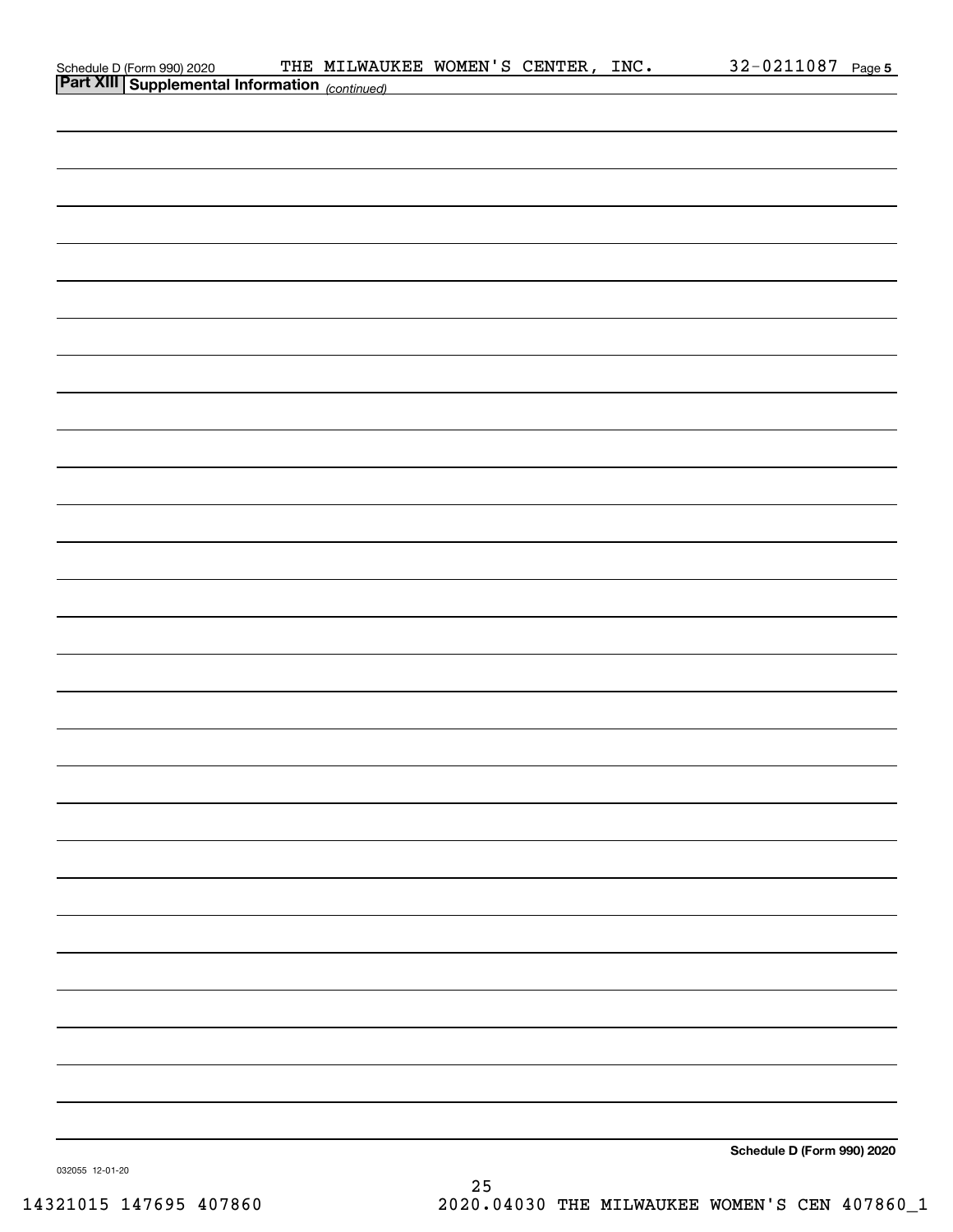|                                                                                                   | THE MILWAUKEE WOMEN'S CENTER, INC. |  | 32-0211087 Page 5          |  |
|---------------------------------------------------------------------------------------------------|------------------------------------|--|----------------------------|--|
| Schedule D (Form 990) 2020 THE MILWAUI<br><b>Part XIII   Supplemental Information</b> (continued) |                                    |  |                            |  |
|                                                                                                   |                                    |  |                            |  |
|                                                                                                   |                                    |  |                            |  |
|                                                                                                   |                                    |  |                            |  |
|                                                                                                   |                                    |  |                            |  |
|                                                                                                   |                                    |  |                            |  |
|                                                                                                   |                                    |  |                            |  |
|                                                                                                   |                                    |  |                            |  |
|                                                                                                   |                                    |  |                            |  |
|                                                                                                   |                                    |  |                            |  |
|                                                                                                   |                                    |  |                            |  |
|                                                                                                   |                                    |  |                            |  |
|                                                                                                   |                                    |  |                            |  |
|                                                                                                   |                                    |  |                            |  |
|                                                                                                   |                                    |  |                            |  |
|                                                                                                   |                                    |  |                            |  |
|                                                                                                   |                                    |  |                            |  |
|                                                                                                   |                                    |  |                            |  |
|                                                                                                   |                                    |  |                            |  |
|                                                                                                   |                                    |  |                            |  |
|                                                                                                   |                                    |  |                            |  |
|                                                                                                   |                                    |  |                            |  |
|                                                                                                   |                                    |  |                            |  |
|                                                                                                   |                                    |  |                            |  |
|                                                                                                   |                                    |  |                            |  |
|                                                                                                   |                                    |  |                            |  |
|                                                                                                   |                                    |  |                            |  |
|                                                                                                   |                                    |  |                            |  |
|                                                                                                   |                                    |  |                            |  |
|                                                                                                   |                                    |  |                            |  |
|                                                                                                   |                                    |  |                            |  |
|                                                                                                   |                                    |  |                            |  |
|                                                                                                   |                                    |  |                            |  |
|                                                                                                   |                                    |  |                            |  |
|                                                                                                   |                                    |  |                            |  |
|                                                                                                   |                                    |  |                            |  |
|                                                                                                   |                                    |  |                            |  |
|                                                                                                   |                                    |  |                            |  |
|                                                                                                   |                                    |  |                            |  |
|                                                                                                   |                                    |  |                            |  |
|                                                                                                   |                                    |  |                            |  |
|                                                                                                   |                                    |  |                            |  |
|                                                                                                   |                                    |  |                            |  |
|                                                                                                   |                                    |  |                            |  |
|                                                                                                   |                                    |  |                            |  |
|                                                                                                   |                                    |  |                            |  |
|                                                                                                   |                                    |  |                            |  |
|                                                                                                   |                                    |  |                            |  |
|                                                                                                   |                                    |  |                            |  |
|                                                                                                   |                                    |  |                            |  |
|                                                                                                   |                                    |  | Schedule D (Form 990) 2020 |  |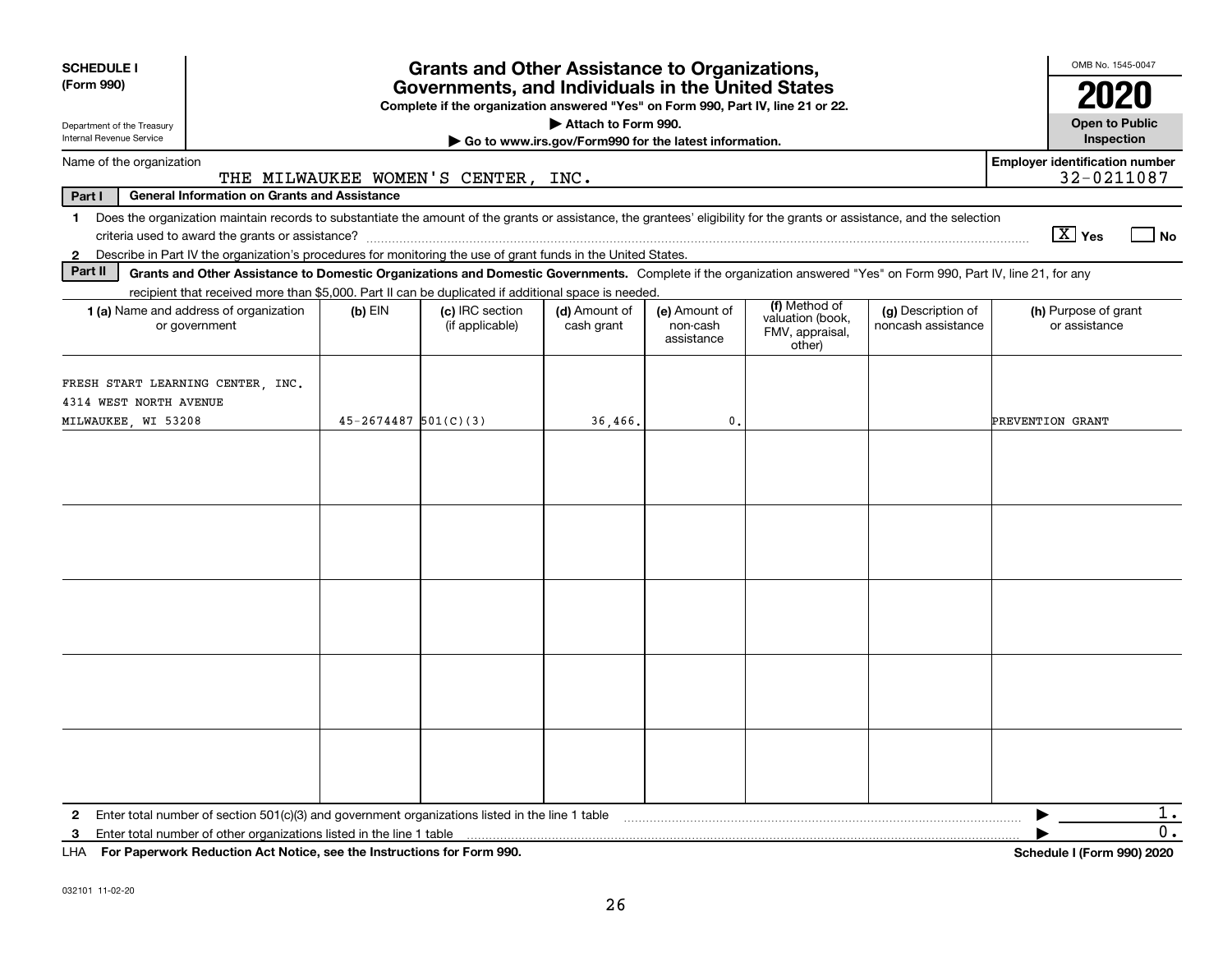| <b>SCHEDULE I</b>                                                                  |                                                                                                                                                                            |                          | <b>Grants and Other Assistance to Organizations,</b>                                                                                  |                                                       |                                         |                                                                |                                          | OMB No. 1545-0047                                   |
|------------------------------------------------------------------------------------|----------------------------------------------------------------------------------------------------------------------------------------------------------------------------|--------------------------|---------------------------------------------------------------------------------------------------------------------------------------|-------------------------------------------------------|-----------------------------------------|----------------------------------------------------------------|------------------------------------------|-----------------------------------------------------|
| (Form 990)                                                                         |                                                                                                                                                                            |                          | Governments, and Individuals in the United States<br>Complete if the organization answered "Yes" on Form 990, Part IV, line 21 or 22. |                                                       |                                         |                                                                |                                          | 2020                                                |
| Department of the Treasury                                                         |                                                                                                                                                                            |                          |                                                                                                                                       | Attach to Form 990.                                   |                                         |                                                                |                                          | <b>Open to Public</b>                               |
| Internal Revenue Service                                                           |                                                                                                                                                                            |                          |                                                                                                                                       | Go to www.irs.gov/Form990 for the latest information. |                                         |                                                                |                                          | Inspection                                          |
| Name of the organization                                                           |                                                                                                                                                                            |                          | THE MILWAUKEE WOMEN'S CENTER, INC.                                                                                                    |                                                       |                                         |                                                                |                                          | <b>Employer identification number</b><br>32-0211087 |
| Part I                                                                             | <b>General Information on Grants and Assistance</b>                                                                                                                        |                          |                                                                                                                                       |                                                       |                                         |                                                                |                                          |                                                     |
|                                                                                    | 1 Does the organization maintain records to substantiate the amount of the grants or assistance, the grantees' eligibility for the grants or assistance, and the selection |                          |                                                                                                                                       |                                                       |                                         |                                                                |                                          | $\boxed{\text{X}}$ Yes<br>  No                      |
| $\mathbf{2}$                                                                       | Describe in Part IV the organization's procedures for monitoring the use of grant funds in the United States.                                                              |                          |                                                                                                                                       |                                                       |                                         |                                                                |                                          |                                                     |
| Part II                                                                            | Grants and Other Assistance to Domestic Organizations and Domestic Governments. Complete if the organization answered "Yes" on Form 990, Part IV, line 21, for any         |                          |                                                                                                                                       |                                                       |                                         |                                                                |                                          |                                                     |
|                                                                                    | recipient that received more than \$5,000. Part II can be duplicated if additional space is needed.                                                                        |                          |                                                                                                                                       |                                                       |                                         |                                                                |                                          |                                                     |
|                                                                                    | <b>1 (a)</b> Name and address of organization<br>or government                                                                                                             | $(b)$ EIN                | (c) IRC section<br>(if applicable)                                                                                                    | (d) Amount of<br>cash grant                           | (e) Amount of<br>non-cash<br>assistance | (f) Method of<br>valuation (book,<br>FMV, appraisal,<br>other) | (g) Description of<br>noncash assistance | (h) Purpose of grant<br>or assistance               |
| FRESH START LEARNING CENTER, INC.<br>4314 WEST NORTH AVENUE<br>MILWAUKEE, WI 53208 |                                                                                                                                                                            | $45 - 2674487$ 501(C)(3) |                                                                                                                                       | 36,466.                                               | $\mathbf{0}$ .                          |                                                                |                                          | PREVENTION GRANT                                    |
|                                                                                    |                                                                                                                                                                            |                          |                                                                                                                                       |                                                       |                                         |                                                                |                                          |                                                     |
|                                                                                    |                                                                                                                                                                            |                          |                                                                                                                                       |                                                       |                                         |                                                                |                                          |                                                     |
|                                                                                    |                                                                                                                                                                            |                          |                                                                                                                                       |                                                       |                                         |                                                                |                                          |                                                     |
| $\mathbf{2}$                                                                       | Enter total number of section 501(c)(3) and government organizations listed in the line 1 table                                                                            |                          |                                                                                                                                       |                                                       |                                         |                                                                |                                          | 1.<br>0.                                            |
| 3<br>LHA For Paperwork Reduction Act Notice, see the Instructions for Form 990.    | Enter total number of other organizations listed in the line 1 table                                                                                                       |                          |                                                                                                                                       |                                                       |                                         |                                                                |                                          | <b>Schedule I (Form 990) 2020</b>                   |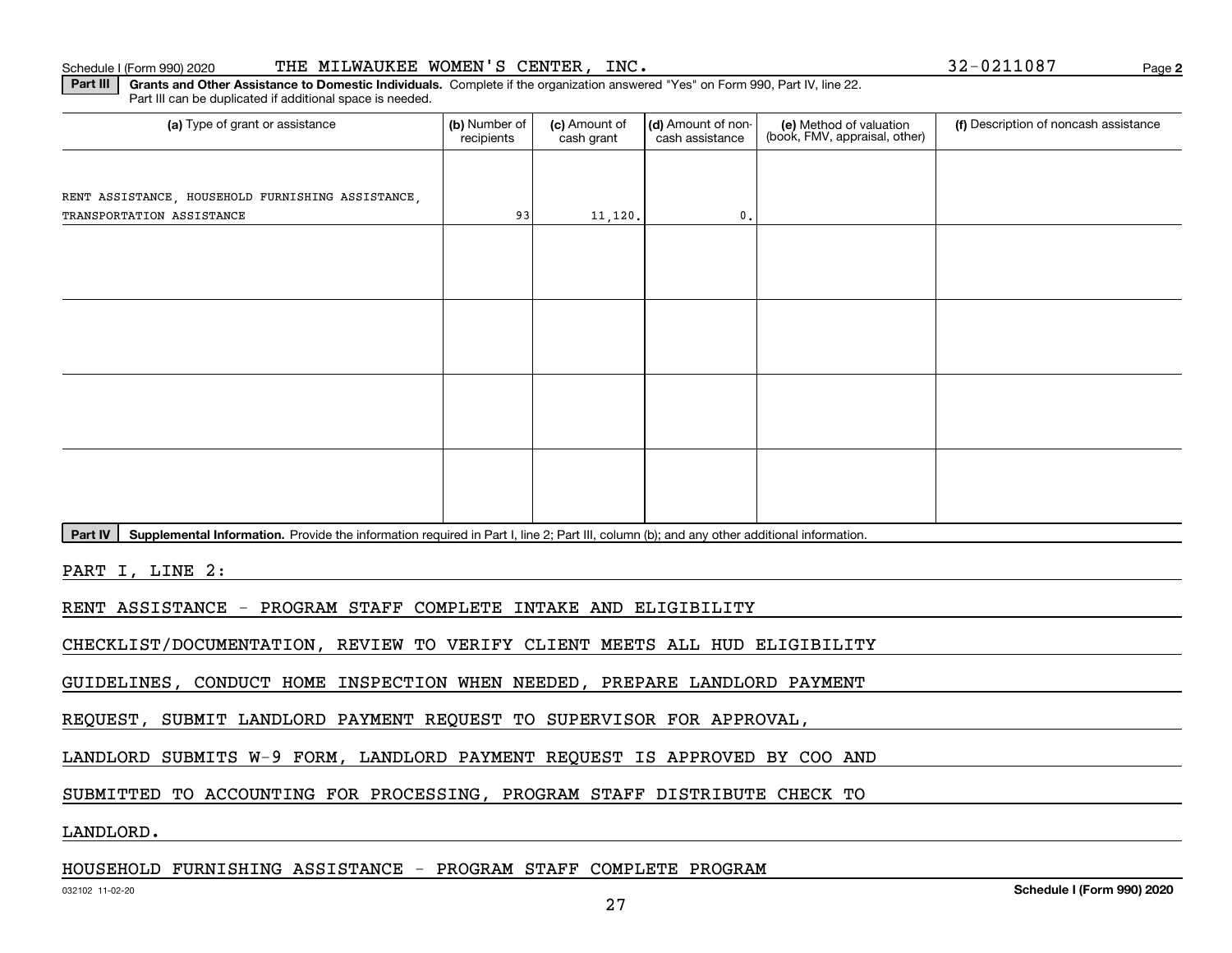#### Schedule I (Form 990) 2020 THE <code>MILWAUKEE WOMEN'S CENTER,INC</code> .  $$32-0211087$   $$Page$

(a) Type of grant or assistance **Audity Commet Audio Commet Commet Commet Commet Commet Commet Commet Commet Comme** Part III can be duplicated if additional space is needed. (e) Method of valuation (book, FMV, appraisal, other) recipients(c) Amount of cash grant (d) Amount of noncash assistance **(f)** Description of noncash assistance RENT ASSISTANCE, HOUSEHOLD FURNISHING ASSISTANCE, TRANSPORTATION ASSISTANCE  $\begin{array}{ccc} 93 & 11,120. \end{array}$ 

Part IV | Supplemental Information. Provide the information required in Part I, line 2; Part III, column (b); and any other additional information.

**Part III | Grants and Other Assistance to Domestic Individuals. Complete if the organization answered "Yes" on Form 990, Part IV, line 22.** 

PART I, LINE 2:

RENT ASSISTANCE - PROGRAM STAFF COMPLETE INTAKE AND ELIGIBILITY

CHECKLIST/DOCUMENTATION, REVIEW TO VERIFY CLIENT MEETS ALL HUD ELIGIBILITY

GUIDELINES, CONDUCT HOME INSPECTION WHEN NEEDED, PREPARE LANDLORD PAYMENT

REQUEST, SUBMIT LANDLORD PAYMENT REQUEST TO SUPERVISOR FOR APPROVAL,

LANDLORD SUBMITS W-9 FORM, LANDLORD PAYMENT REQUEST IS APPROVED BY COO AND

SUBMITTED TO ACCOUNTING FOR PROCESSING, PROGRAM STAFF DISTRIBUTE CHECK TO

LANDLORD.

### HOUSEHOLD FURNISHING ASSISTANCE - PROGRAM STAFF COMPLETE PROGRAM

**2**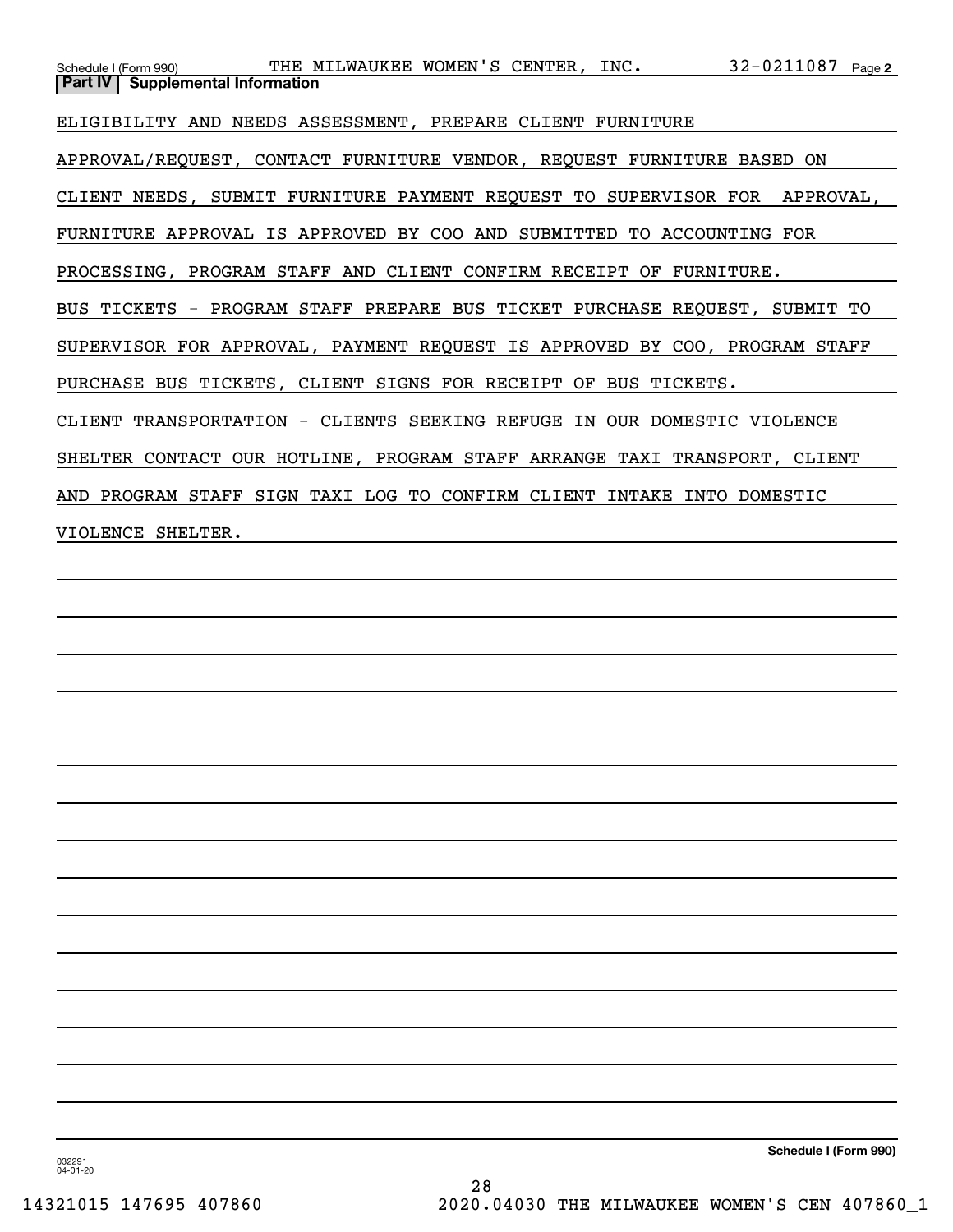| Schedule I (Form 990) THE MILWAUKEE WOMEN'S CENTER, INC. 32-0211087 Page 2<br>Part IV Supplemental Information |
|----------------------------------------------------------------------------------------------------------------|
| ELIGIBILITY AND NEEDS ASSESSMENT, PREPARE CLIENT FURNITURE                                                     |
| APPROVAL/REQUEST, CONTACT FURNITURE VENDOR, REQUEST FURNITURE BASED ON                                         |
| CLIENT NEEDS, SUBMIT FURNITURE PAYMENT REQUEST TO SUPERVISOR FOR APPROVAL,                                     |
| FURNITURE APPROVAL IS APPROVED BY COO AND SUBMITTED TO ACCOUNTING FOR                                          |
| PROCESSING, PROGRAM STAFF AND CLIENT CONFIRM RECEIPT OF FURNITURE.                                             |
| BUS TICKETS - PROGRAM STAFF PREPARE BUS TICKET PURCHASE REQUEST, SUBMIT TO                                     |
| SUPERVISOR FOR APPROVAL, PAYMENT REQUEST IS APPROVED BY COO, PROGRAM STAFF                                     |
| PURCHASE BUS TICKETS, CLIENT SIGNS FOR RECEIPT OF BUS TICKETS.                                                 |
| CLIENT TRANSPORTATION - CLIENTS SEEKING REFUGE IN OUR DOMESTIC VIOLENCE                                        |
| SHELTER CONTACT OUR HOTLINE, PROGRAM STAFF ARRANGE TAXI TRANSPORT, CLIENT                                      |
| AND PROGRAM STAFF SIGN TAXI LOG TO CONFIRM CLIENT INTAKE INTO DOMESTIC                                         |
| VIOLENCE SHELTER.                                                                                              |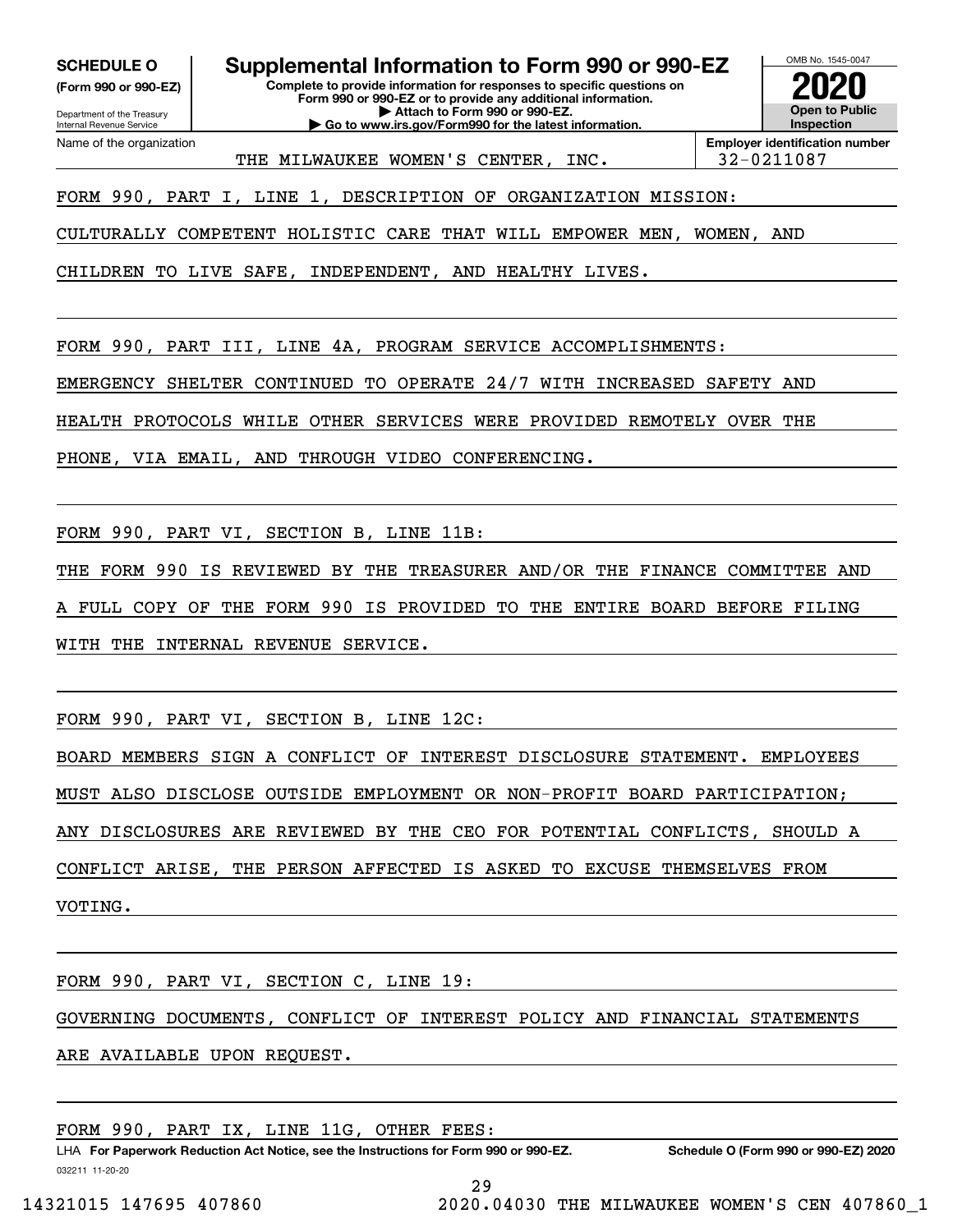**(Form 990 or 990-EZ)**

Department of the Treasury Internal Revenue Service Name of the organization

**SCHEDULE O Supplemental Information to Form 990 or 990-EZ**

**Complete to provide information for responses to specific questions on Form 990 or 990-EZ or to provide any additional information. | Attach to Form 990 or 990-EZ. | Go to www.irs.gov/Form990 for the latest information.**

OMB No. 1545-0047 **Open to Public Inspection2020**

THE MILWAUKEE WOMEN'S CENTER, INC. 32-0211087

**Employer identification number**

FORM 990, PART I, LINE 1, DESCRIPTION OF ORGANIZATION MISSION:

CULTURALLY COMPETENT HOLISTIC CARE THAT WILL EMPOWER MEN, WOMEN, AND

CHILDREN TO LIVE SAFE, INDEPENDENT, AND HEALTHY LIVES.

FORM 990, PART III, LINE 4A, PROGRAM SERVICE ACCOMPLISHMENTS:

EMERGENCY SHELTER CONTINUED TO OPERATE 24/7 WITH INCREASED SAFETY AND

HEALTH PROTOCOLS WHILE OTHER SERVICES WERE PROVIDED REMOTELY OVER THE

PHONE, VIA EMAIL, AND THROUGH VIDEO CONFERENCING.

FORM 990, PART VI, SECTION B, LINE 11B:

THE FORM 990 IS REVIEWED BY THE TREASURER AND/OR THE FINANCE COMMITTEE AND

FULL COPY OF THE FORM 990 IS PROVIDED TO THE ENTIRE BOARD BEFORE FILING

WITH THE INTERNAL REVENUE SERVICE.

FORM 990, PART VI, SECTION B, LINE 12C:

BOARD MEMBERS SIGN A CONFLICT OF INTEREST DISCLOSURE STATEMENT. EMPLOYEES

MUST ALSO DISCLOSE OUTSIDE EMPLOYMENT OR NON-PROFIT BOARD PARTICIPATION;

ANY DISCLOSURES ARE REVIEWED BY THE CEO FOR POTENTIAL CONFLICTS, SHOULD A

CONFLICT ARISE, THE PERSON AFFECTED IS ASKED TO EXCUSE THEMSELVES FROM

VOTING.

FORM 990, PART VI, SECTION C, LINE 19:

GOVERNING DOCUMENTS, CONFLICT OF INTEREST POLICY AND FINANCIAL STATEMENTS

ARE AVAILABLE UPON REQUEST.

FORM 990, PART IX, LINE 11G, OTHER FEES:

032211 11-20-20 LHA For Paperwork Reduction Act Notice, see the Instructions for Form 990 or 990-EZ. Schedule O (Form 990 or 990-EZ) 2020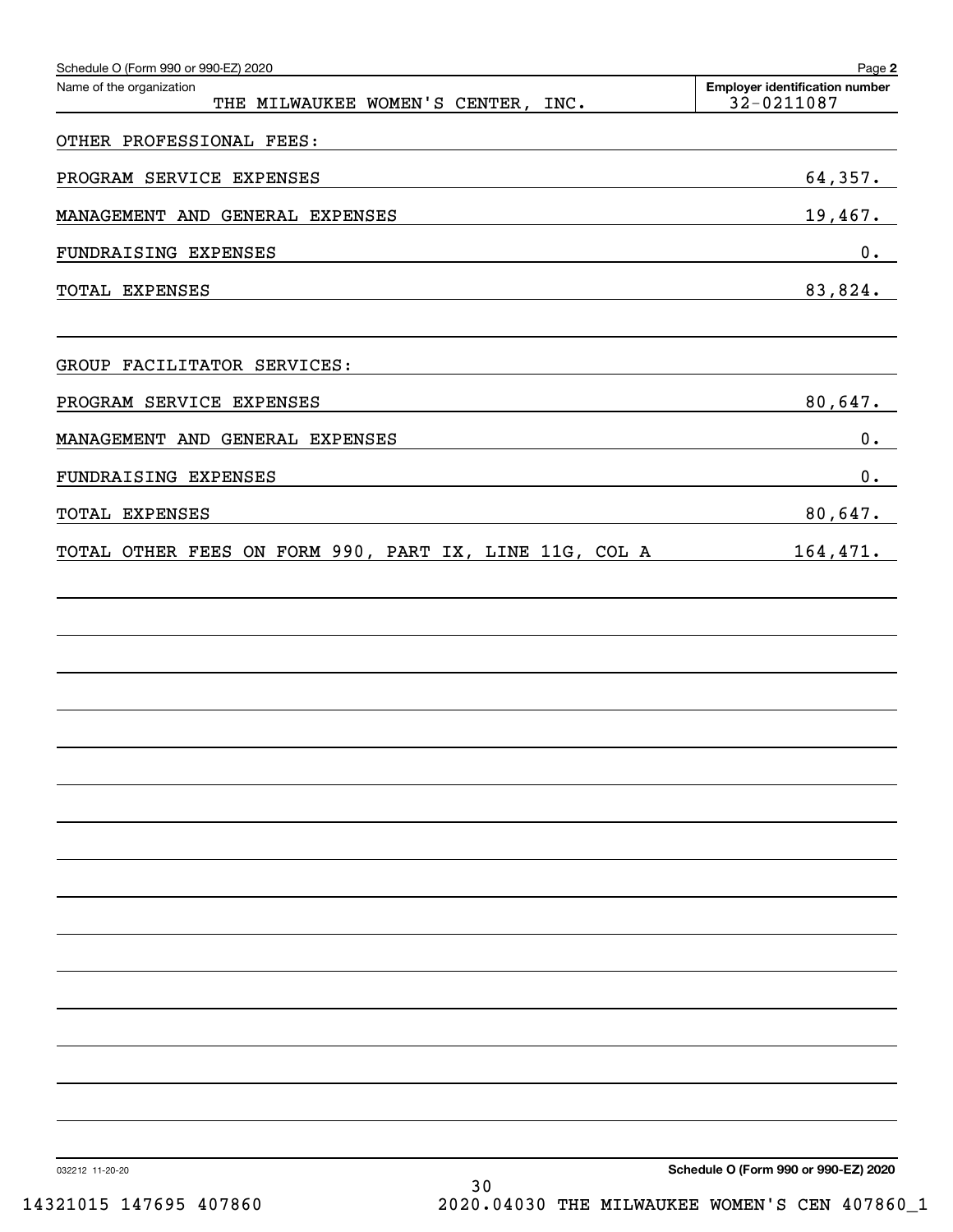| Schedule O (Form 990 or 990-EZ) 2020<br>Name of the organization<br>THE MILWAUKEE WOMEN'S CENTER, INC.                                                                                                                                                | Page 2<br><b>Employer identification number</b><br>32-0211087 |
|-------------------------------------------------------------------------------------------------------------------------------------------------------------------------------------------------------------------------------------------------------|---------------------------------------------------------------|
| OTHER PROFESSIONAL FEES:                                                                                                                                                                                                                              |                                                               |
| PROGRAM SERVICE EXPENSES                                                                                                                                                                                                                              | 64,357.                                                       |
| MANAGEMENT AND GENERAL EXPENSES                                                                                                                                                                                                                       | 19,467.                                                       |
| FUNDRAISING EXPENSES                                                                                                                                                                                                                                  | 0.                                                            |
| TOTAL EXPENSES                                                                                                                                                                                                                                        | 83,824.                                                       |
| GROUP FACILITATOR SERVICES:                                                                                                                                                                                                                           |                                                               |
| PROGRAM SERVICE EXPENSES                                                                                                                                                                                                                              | 80,647.                                                       |
| MANAGEMENT AND GENERAL EXPENSES                                                                                                                                                                                                                       | 0.                                                            |
| FUNDRAISING EXPENSES<br>the control of the control of the control of the control of the control of the control of the control of the control of the control of the control of the control of the control of the control of the control of the control | $0$ .                                                         |
| TOTAL EXPENSES<br>the control of the control of the control of the control of the control of                                                                                                                                                          | 80,647.                                                       |
| TOTAL OTHER FEES ON FORM 990, PART IX, LINE 11G, COL A                                                                                                                                                                                                | 164,471.                                                      |
|                                                                                                                                                                                                                                                       |                                                               |
|                                                                                                                                                                                                                                                       |                                                               |
|                                                                                                                                                                                                                                                       |                                                               |
|                                                                                                                                                                                                                                                       |                                                               |
|                                                                                                                                                                                                                                                       |                                                               |
|                                                                                                                                                                                                                                                       |                                                               |
|                                                                                                                                                                                                                                                       |                                                               |
|                                                                                                                                                                                                                                                       |                                                               |
|                                                                                                                                                                                                                                                       |                                                               |
|                                                                                                                                                                                                                                                       |                                                               |
|                                                                                                                                                                                                                                                       |                                                               |
|                                                                                                                                                                                                                                                       |                                                               |
|                                                                                                                                                                                                                                                       |                                                               |
|                                                                                                                                                                                                                                                       |                                                               |
|                                                                                                                                                                                                                                                       |                                                               |
| 11.00.00                                                                                                                                                                                                                                              | Schodule O (Form 990 or 990 FZ) 2020                          |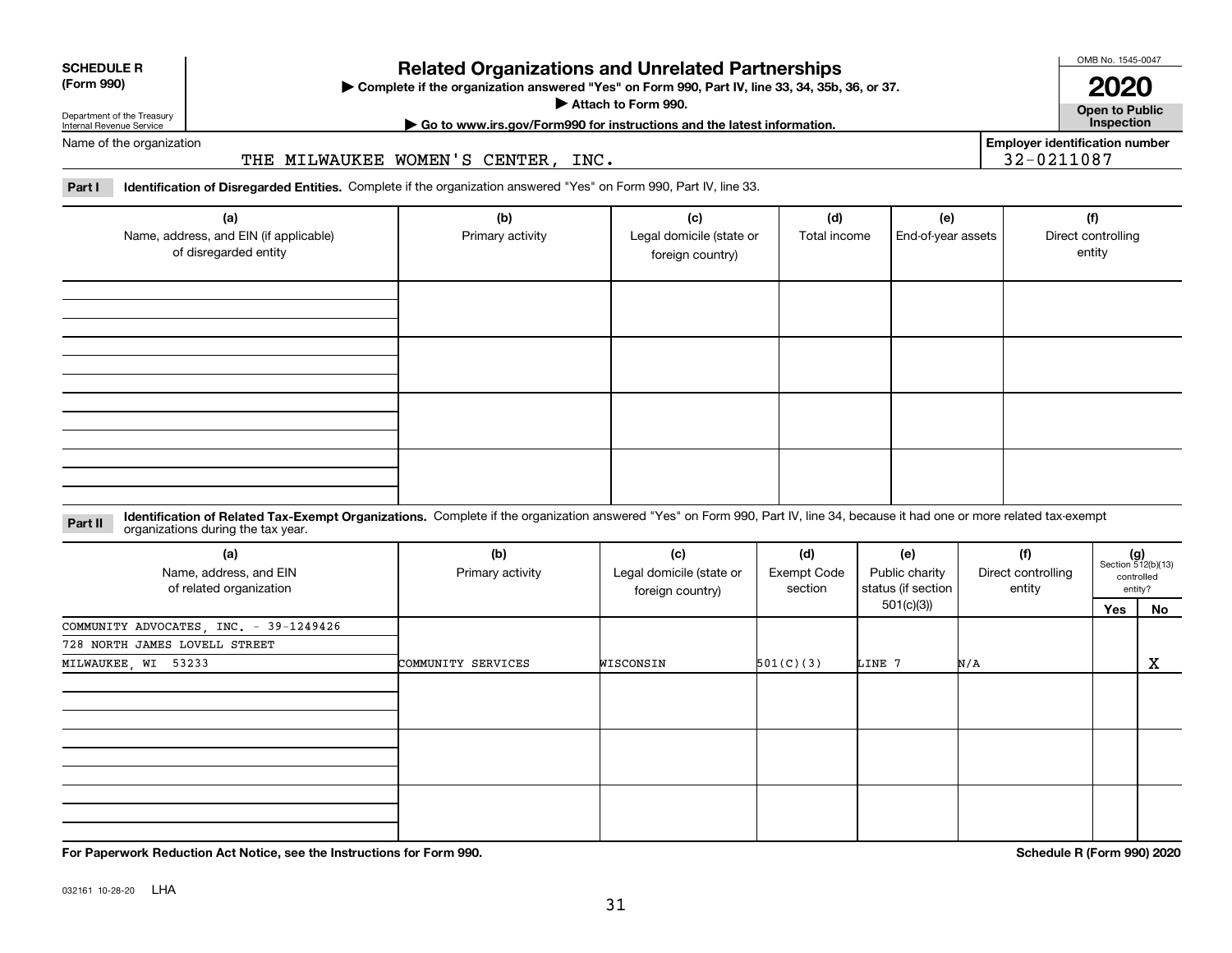# **Related Organizations and Unrelated Partnerships**

**Complete if the organization answered "Yes" on Form 990, Part IV, line 33, 34, 35b, 36, or 37.** |

**Attach to Form 990.**  |

OMB No. 1545-0047

**Open to Public 2020**

**Employer identification number**

32-0211087

**| Go to www.irs.gov/Form990 for instructions and the latest information. Inspection**

of the organization

Department of the Treasury Internal Revenue Service

**SCHEDULE R (Form 990)**

THE MILWAUKEE WOMEN'S CENTER, INC.

**Part I Identification of Disregarded Entities.**  Complete if the organization answered "Yes" on Form 990, Part IV, line 33.

| (a)<br>Name, address, and EIN (if applicable)<br>of disregarded entity | (b)<br>Primary activity | (c)<br>Legal domicile (state or<br>foreign country) | (d)<br>Total income | (e)<br>End-of-year assets | (f)<br>Direct controlling<br>entity |
|------------------------------------------------------------------------|-------------------------|-----------------------------------------------------|---------------------|---------------------------|-------------------------------------|
|                                                                        |                         |                                                     |                     |                           |                                     |
|                                                                        |                         |                                                     |                     |                           |                                     |
|                                                                        |                         |                                                     |                     |                           |                                     |
|                                                                        |                         |                                                     |                     |                           |                                     |

**Identification of Related Tax-Exempt Organizations.** Complete if the organization answered "Yes" on Form 990, Part IV, line 34, because it had one or more related tax-exempt **Part II** organizations during the tax year.

| (a)<br>Name, address, and EIN<br>of related organization | (b)<br>Primary activity | (c)<br>Legal domicile (state or<br>Exempt Code<br>foreign country) |           |            | (f)<br>Direct controlling<br>status (if section  <br>entity |     | $(g)$<br>Section 512(b)(13)<br>controlled<br>entity? |
|----------------------------------------------------------|-------------------------|--------------------------------------------------------------------|-----------|------------|-------------------------------------------------------------|-----|------------------------------------------------------|
|                                                          |                         |                                                                    |           | 501(c)(3)) |                                                             | Yes | No                                                   |
| COMMUNITY ADVOCATES, INC. - 39-1249426                   |                         |                                                                    |           |            |                                                             |     |                                                      |
| 728 NORTH JAMES LOVELL STREET                            |                         |                                                                    |           |            |                                                             |     |                                                      |
| MILWAUKEE, WI 53233                                      | COMMUNITY SERVICES      | WISCONSIN                                                          | 501(C)(3) | LINE 7     | N/A                                                         |     | X                                                    |
|                                                          |                         |                                                                    |           |            |                                                             |     |                                                      |
|                                                          |                         |                                                                    |           |            |                                                             |     |                                                      |
|                                                          |                         |                                                                    |           |            |                                                             |     |                                                      |

**For Paperwork Reduction Act Notice, see the Instructions for Form 990. Schedule R (Form 990) 2020**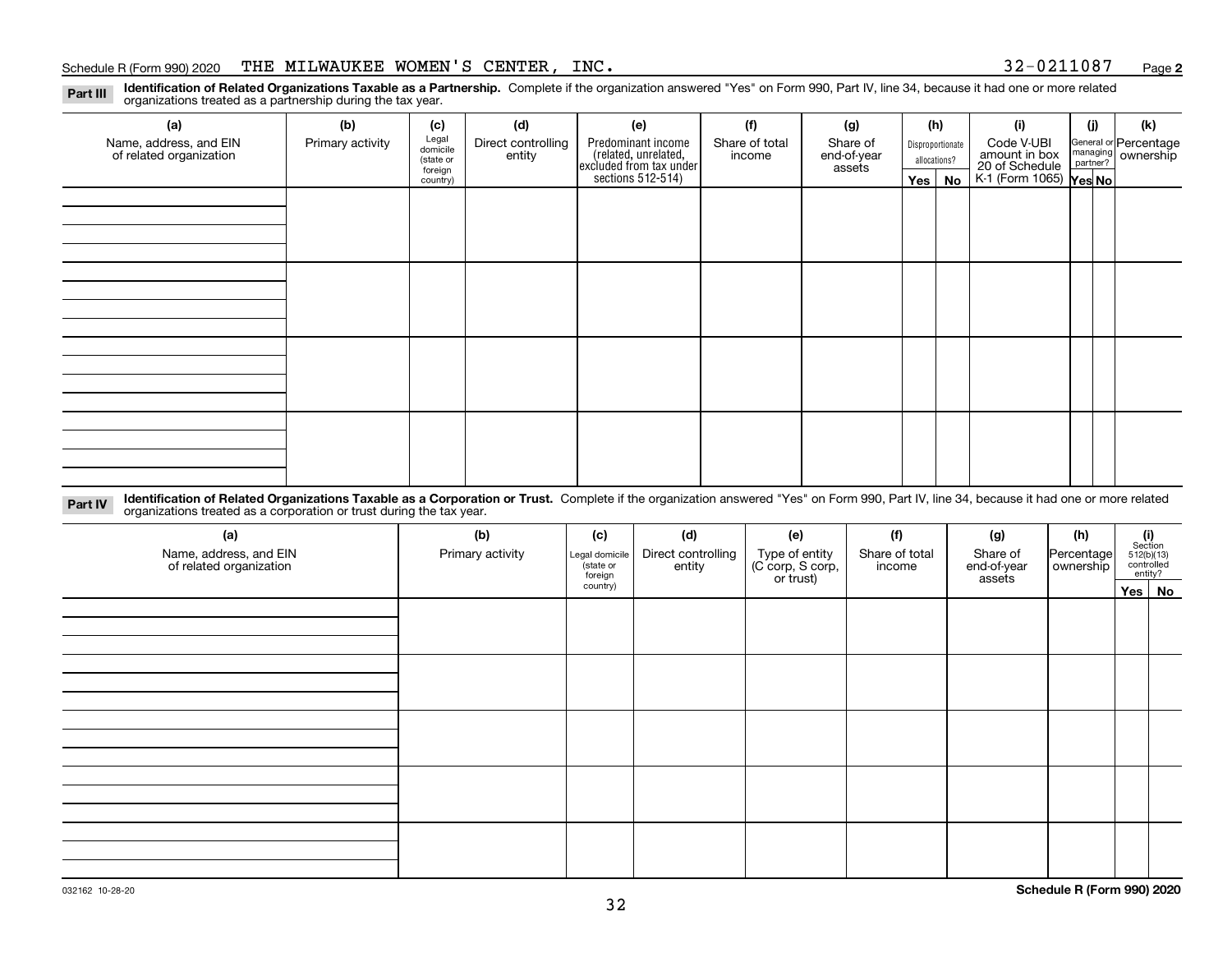#### Schedule R (Form 990) 2020 THE MILWAUKEE WOMEN'S CENTER, INC. 3 2-0 2 1 1 0 8 7 <sub>Page</sub>

**2**

**Identification of Related Organizations Taxable as a Partnership.** Complete if the organization answered "Yes" on Form 990, Part IV, line 34, because it had one or more related **Part III** organizations treated as a partnership during the tax year.

| (a)                                               | (b)              | (c)                  | (d)                          | (e)                                                                 | (f)                      | (g)                     |         | (h)              | (i)                                      | (j) | (k)                                                     |
|---------------------------------------------------|------------------|----------------------|------------------------------|---------------------------------------------------------------------|--------------------------|-------------------------|---------|------------------|------------------------------------------|-----|---------------------------------------------------------|
| Name, address, and EIN<br>of related organization | Primary activity | Legal<br>domicile    | Direct controlling<br>entity | Predominant income                                                  | Share of total<br>income | Share of<br>end-of-year |         | Disproportionate | Code V-UBI<br>amount in box              |     | General or Percentage<br>managing ownership<br>partner? |
|                                                   |                  | (state or<br>foreign |                              |                                                                     |                          | assets                  |         | allocations?     |                                          |     |                                                         |
|                                                   |                  | country)             |                              | related, unrelated,<br>excluded from tax under<br>sections 512-514) |                          |                         | Yes $ $ | No               | 20 of Schedule<br>K-1 (Form 1065) Yes No |     |                                                         |
|                                                   |                  |                      |                              |                                                                     |                          |                         |         |                  |                                          |     |                                                         |
|                                                   |                  |                      |                              |                                                                     |                          |                         |         |                  |                                          |     |                                                         |
|                                                   |                  |                      |                              |                                                                     |                          |                         |         |                  |                                          |     |                                                         |
|                                                   |                  |                      |                              |                                                                     |                          |                         |         |                  |                                          |     |                                                         |
|                                                   |                  |                      |                              |                                                                     |                          |                         |         |                  |                                          |     |                                                         |
|                                                   |                  |                      |                              |                                                                     |                          |                         |         |                  |                                          |     |                                                         |
|                                                   |                  |                      |                              |                                                                     |                          |                         |         |                  |                                          |     |                                                         |
|                                                   |                  |                      |                              |                                                                     |                          |                         |         |                  |                                          |     |                                                         |
|                                                   |                  |                      |                              |                                                                     |                          |                         |         |                  |                                          |     |                                                         |
|                                                   |                  |                      |                              |                                                                     |                          |                         |         |                  |                                          |     |                                                         |
|                                                   |                  |                      |                              |                                                                     |                          |                         |         |                  |                                          |     |                                                         |
|                                                   |                  |                      |                              |                                                                     |                          |                         |         |                  |                                          |     |                                                         |
|                                                   |                  |                      |                              |                                                                     |                          |                         |         |                  |                                          |     |                                                         |
|                                                   |                  |                      |                              |                                                                     |                          |                         |         |                  |                                          |     |                                                         |
|                                                   |                  |                      |                              |                                                                     |                          |                         |         |                  |                                          |     |                                                         |
|                                                   |                  |                      |                              |                                                                     |                          |                         |         |                  |                                          |     |                                                         |
|                                                   |                  |                      |                              |                                                                     |                          |                         |         |                  |                                          |     |                                                         |

**Identification of Related Organizations Taxable as a Corporation or Trust.** Complete if the organization answered "Yes" on Form 990, Part IV, line 34, because it had one or more related **Part IV** organizations treated as a corporation or trust during the tax year.

| (a)<br>Name, address, and EIN<br>of related organization | (b)<br>Primary activity | (c)<br>Legal domicile<br>(state or<br>foreign | (d)<br>Direct controlling<br>entity | (e)<br>Type of entity<br>(C corp, S corp,<br>or trust) | (f)<br>Share of total<br>income | (g)<br>Share of<br>end-of-year<br>assets | (h)<br>Percentage<br>ownership | $\begin{array}{c} \textbf{(i)}\\ \text{Section}\\ 512 \text{(b)} \text{(13)}\\ \text{controlled}\\ \text{entity?} \end{array}$ |
|----------------------------------------------------------|-------------------------|-----------------------------------------------|-------------------------------------|--------------------------------------------------------|---------------------------------|------------------------------------------|--------------------------------|--------------------------------------------------------------------------------------------------------------------------------|
|                                                          |                         | country)                                      |                                     |                                                        |                                 |                                          |                                | Yes No                                                                                                                         |
|                                                          |                         |                                               |                                     |                                                        |                                 |                                          |                                |                                                                                                                                |
|                                                          |                         |                                               |                                     |                                                        |                                 |                                          |                                |                                                                                                                                |
|                                                          |                         |                                               |                                     |                                                        |                                 |                                          |                                |                                                                                                                                |
|                                                          |                         |                                               |                                     |                                                        |                                 |                                          |                                |                                                                                                                                |
|                                                          |                         |                                               |                                     |                                                        |                                 |                                          |                                |                                                                                                                                |
|                                                          |                         |                                               |                                     |                                                        |                                 |                                          |                                |                                                                                                                                |
|                                                          |                         |                                               |                                     |                                                        |                                 |                                          |                                |                                                                                                                                |
|                                                          |                         |                                               |                                     |                                                        |                                 |                                          |                                |                                                                                                                                |
|                                                          |                         |                                               |                                     |                                                        |                                 |                                          |                                |                                                                                                                                |
|                                                          |                         |                                               |                                     |                                                        |                                 |                                          |                                |                                                                                                                                |
|                                                          |                         |                                               |                                     |                                                        |                                 |                                          |                                |                                                                                                                                |
|                                                          |                         |                                               |                                     |                                                        |                                 |                                          |                                |                                                                                                                                |
|                                                          |                         |                                               |                                     |                                                        |                                 |                                          |                                |                                                                                                                                |
|                                                          |                         |                                               |                                     |                                                        |                                 |                                          |                                |                                                                                                                                |
|                                                          |                         |                                               |                                     |                                                        |                                 |                                          |                                |                                                                                                                                |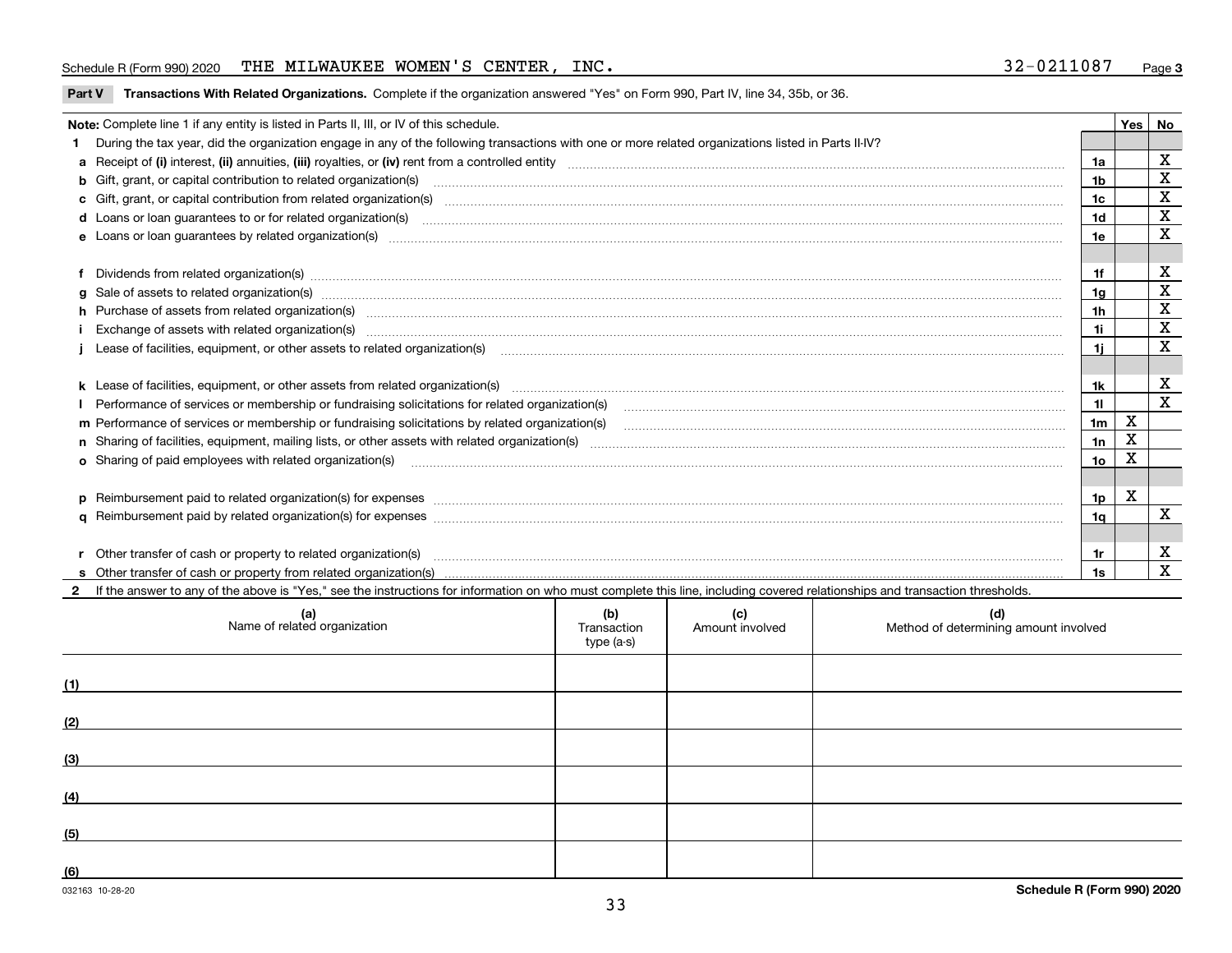#### Schedule R (Form 990) 2020 THE MILWAUKEE WOMEN'S CENTER, INC. 3 2-0 2 1 1 0 8 7 <sub>Page</sub>

#### **Part V** T**ransactions With Related Organizations.** Complete if the organization answered "Yes" on Form 990, Part IV, line 34, 35b, or 36.

| Note: Complete line 1 if any entity is listed in Parts II, III, or IV of this schedule.                                                                                                                                        |                | <b>Yes</b> | No          |
|--------------------------------------------------------------------------------------------------------------------------------------------------------------------------------------------------------------------------------|----------------|------------|-------------|
| 1 During the tax year, did the organization engage in any of the following transactions with one or more related organizations listed in Parts II-IV?                                                                          |                |            |             |
|                                                                                                                                                                                                                                | 1a             |            | х           |
| b Gift, grant, or capital contribution to related organization(s) manufactured and contribution to related organization(s)                                                                                                     | 1b             |            | X           |
|                                                                                                                                                                                                                                | 1c             |            | X           |
|                                                                                                                                                                                                                                | 1d             |            | X           |
|                                                                                                                                                                                                                                | 1e             |            | X           |
|                                                                                                                                                                                                                                |                |            |             |
| f Dividends from related organization(s) manufactured and contract the contract of the contract of the contract of the contract of the contract of the contract of the contract of the contract of the contract of the contrac |                |            | х           |
|                                                                                                                                                                                                                                | 1g             |            | X           |
| h Purchase of assets from related organization(s) manufactured content to content the content of the content of the content of the content of the content of the content of the content of the content of the content of the c | 1h             |            | X           |
| Exchange of assets with related organization(s) www.andron.com/www.andron.com/www.andron.com/www.andron.com/www.andron.com/www.andron.com/www.andron.com/www.andron.com/www.andron.com/www.andron.com/www.andron.com/www.andro | 1i.            |            | X           |
| Lease of facilities, equipment, or other assets to related organization(s) использованно положенно положенно по                                                                                                                | 1i.            |            | X           |
|                                                                                                                                                                                                                                |                |            |             |
| k Lease of facilities, equipment, or other assets from related organization(s) manufaction content and content to the assets from related organization(s) manufaction content and content and content and content and content  | 1k.            |            | х           |
| Performance of services or membership or fundraising solicitations for related organization(s) matchinary material contents and content of the services or membership or fundraising solicitations for related organization(s) | 11             |            | $\mathbf x$ |
|                                                                                                                                                                                                                                | 1 <sub>m</sub> | X          |             |
|                                                                                                                                                                                                                                | 1n             | X          |             |
|                                                                                                                                                                                                                                | 1o             | x          |             |
|                                                                                                                                                                                                                                |                |            |             |
| p Reimbursement paid to related organization(s) for expenses [111] All and the content of the content of the content of the content of the content of the content of the content of the content of the content of the content  | 1p             | X          |             |
|                                                                                                                                                                                                                                | 1q             |            | X           |
|                                                                                                                                                                                                                                |                |            |             |
| r Other transfer of cash or property to related organization(s)                                                                                                                                                                |                |            | x           |
|                                                                                                                                                                                                                                | 1s             |            | X           |

**2**If the answer to any of the above is "Yes," see the instructions for information on who must complete this line, including covered relationships and transaction thresholds.

| (a)<br>Name of related organization | (b)<br>Transaction<br>type (a-s) | (c)<br>Amount involved | (d)<br>Method of determining amount involved |
|-------------------------------------|----------------------------------|------------------------|----------------------------------------------|
| (1)                                 |                                  |                        |                                              |
| (2)                                 |                                  |                        |                                              |
| (3)                                 |                                  |                        |                                              |
| (4)                                 |                                  |                        |                                              |
| (5)                                 |                                  |                        |                                              |
| (6)                                 |                                  |                        |                                              |

 $\overline{a}$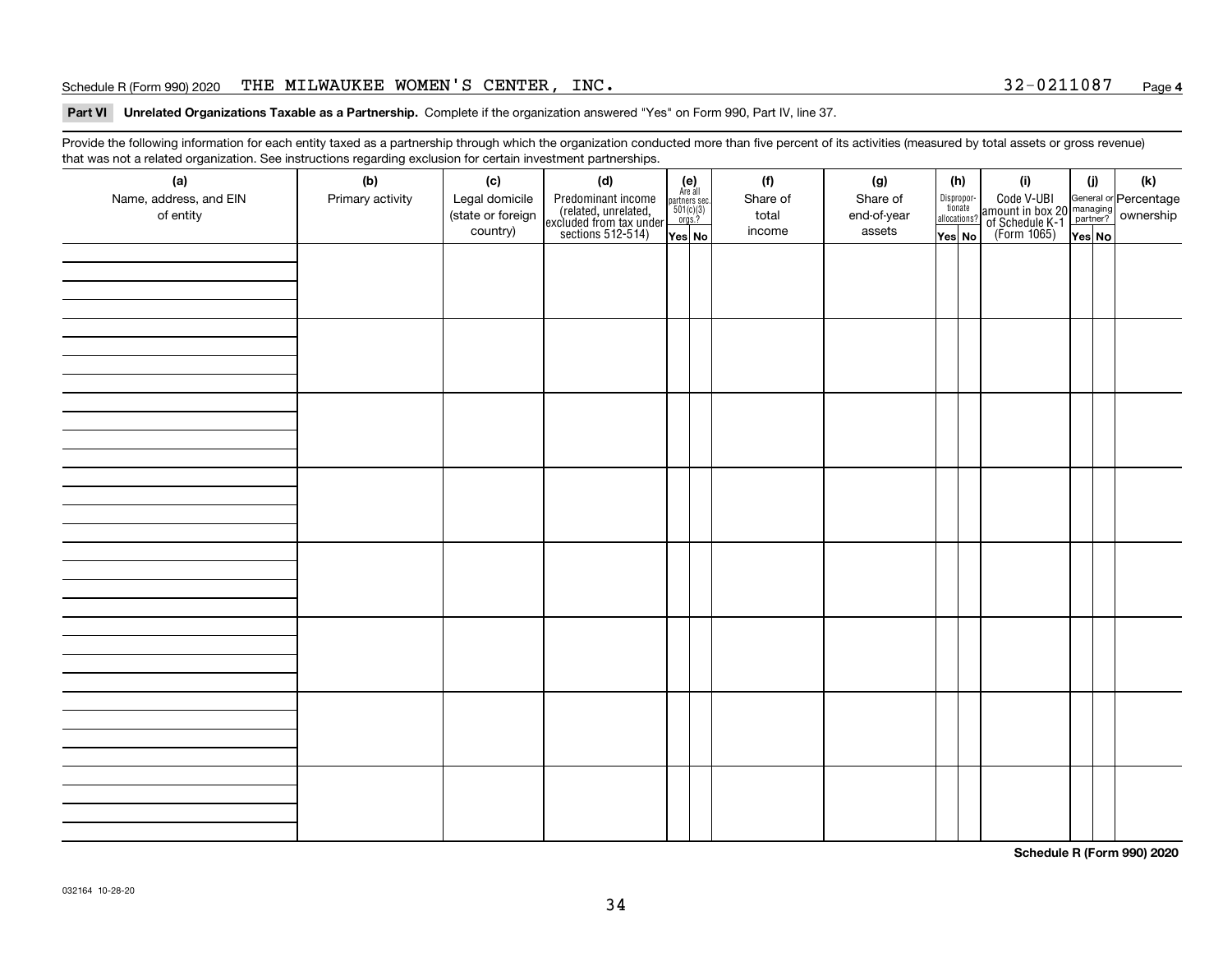#### Schedule R (Form 990) 2020 THE MILWAUKEE WOMEN'S CENTER, INC. 3 2-0 2 1 1 0 8 7 <sub>Page</sub>

#### **Part VI Unrelated Organizations Taxable as a Partnership. Complete if the organization answered "Yes" on Form 990, Part IV, line 37.**

Provide the following information for each entity taxed as a partnership through which the organization conducted more than five percent of its activities (measured by total assets or gross revenue) that was not a related organization. See instructions regarding exclusion for certain investment partnerships.

| ັ<br>(a)<br>Name, address, and EIN<br>of entity | ັ<br>ັ<br>(b)<br>Primary activity | (c)<br>Legal domicile<br>(state or foreign<br>country) | (d)<br>Predominant income<br>(related, unrelated,<br>excluded from tax under<br>sections 512-514) | (e)<br>Are all<br>$\begin{array}{c}\n\text{partners} \sec.\n\\ \n501(c)(3)\n\\ \n0rgs.?\n\end{array}$<br>Yes No | (f)<br>Share of<br>total<br>income | (g)<br>Share of<br>end-of-year<br>assets | (h)<br>Dispropor-<br>tionate<br>allocations?<br>Yes No | (i)<br>Code V-UBI<br>amount in box 20 managing<br>of Schedule K-1<br>(Form 1065)<br>$\overline{Yes}$ No | (i)<br>Yes No | (k) |
|-------------------------------------------------|-----------------------------------|--------------------------------------------------------|---------------------------------------------------------------------------------------------------|-----------------------------------------------------------------------------------------------------------------|------------------------------------|------------------------------------------|--------------------------------------------------------|---------------------------------------------------------------------------------------------------------|---------------|-----|
|                                                 |                                   |                                                        |                                                                                                   |                                                                                                                 |                                    |                                          |                                                        |                                                                                                         |               |     |
|                                                 |                                   |                                                        |                                                                                                   |                                                                                                                 |                                    |                                          |                                                        |                                                                                                         |               |     |
|                                                 |                                   |                                                        |                                                                                                   |                                                                                                                 |                                    |                                          |                                                        |                                                                                                         |               |     |
|                                                 |                                   |                                                        |                                                                                                   |                                                                                                                 |                                    |                                          |                                                        |                                                                                                         |               |     |
|                                                 |                                   |                                                        |                                                                                                   |                                                                                                                 |                                    |                                          |                                                        |                                                                                                         |               |     |
|                                                 |                                   |                                                        |                                                                                                   |                                                                                                                 |                                    |                                          |                                                        |                                                                                                         |               |     |
|                                                 |                                   |                                                        |                                                                                                   |                                                                                                                 |                                    |                                          |                                                        |                                                                                                         |               |     |
|                                                 |                                   |                                                        |                                                                                                   |                                                                                                                 |                                    |                                          |                                                        |                                                                                                         |               |     |

**Schedule R (Form 990) 2020**